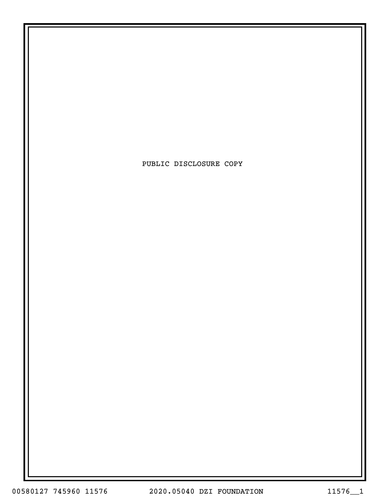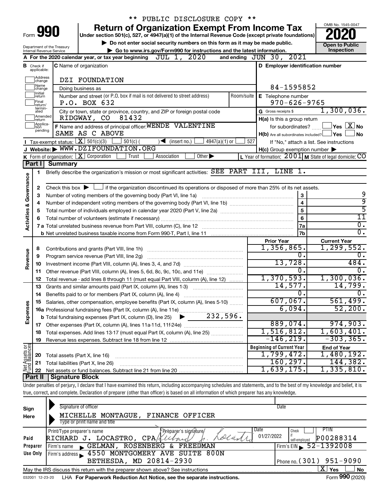|                         |                         |                                                                 | PUBLIC DISCLOSURE COPY **                                                                                                                                                  |                                                           |                         |                            |  |
|-------------------------|-------------------------|-----------------------------------------------------------------|----------------------------------------------------------------------------------------------------------------------------------------------------------------------------|-----------------------------------------------------------|-------------------------|----------------------------|--|
|                         |                         |                                                                 | <b>Return of Organization Exempt From Income Tax</b>                                                                                                                       |                                                           |                         | OMB No. 1545-0047          |  |
| Form 990                |                         |                                                                 | Under section 501(c), 527, or 4947(a)(1) of the Internal Revenue Code (except private foundations)                                                                         |                                                           |                         |                            |  |
|                         |                         |                                                                 | Do not enter social security numbers on this form as it may be made public.                                                                                                |                                                           |                         | <b>Open to Public</b>      |  |
|                         |                         | Department of the Treasury<br>Internal Revenue Service          | Go to www.irs.gov/Form990 for instructions and the latest information.                                                                                                     |                                                           |                         | Inspection                 |  |
|                         |                         |                                                                 | JUL 1, 2020<br>A For the 2020 calendar year, or tax year beginning                                                                                                         | and ending JUN 30, 2021                                   |                         |                            |  |
| в                       | Check if<br>applicable: |                                                                 | <b>C</b> Name of organization                                                                                                                                              | D Employer identification number                          |                         |                            |  |
|                         | Address<br>change       |                                                                 | DZI FOUNDATION                                                                                                                                                             |                                                           |                         |                            |  |
|                         | 1Name<br>change         |                                                                 | Doing business as                                                                                                                                                          | 84-1595852                                                |                         |                            |  |
|                         | 1Initial<br>return      |                                                                 | Number and street (or P.O. box if mail is not delivered to street address)<br>Room/suite                                                                                   | E Telephone number                                        |                         |                            |  |
|                         | Final<br>return/        |                                                                 | P.O. BOX 632                                                                                                                                                               | $970 - 626 - 9765$                                        |                         |                            |  |
|                         | termin-<br>ated         |                                                                 | City or town, state or province, country, and ZIP or foreign postal code                                                                                                   | G Gross receipts \$                                       |                         | 1,300,036.                 |  |
|                         | Amended<br>Ireturn      |                                                                 | 81432<br>RIDGWAY, CO                                                                                                                                                       | H(a) Is this a group return                               |                         |                            |  |
|                         | Applica-<br>tion        |                                                                 | F Name and address of principal officer: WENDE VALENTINE                                                                                                                   | for subordinates?                                         |                         | $\Box$ Yes $~\boxtimes$ No |  |
|                         | pending                 |                                                                 | SAME AS C ABOVE                                                                                                                                                            | H(b) Are all subordinates included? <b>Yes</b>            |                         | ∫No                        |  |
|                         |                         | Tax-exempt status: $X \over 301(c)(3)$                          | $4947(a)(1)$ or<br>$501(c)$ (<br>$\sqrt{\frac{1}{1}}$ (insert no.)                                                                                                         | 527<br>If "No," attach a list. See instructions           |                         |                            |  |
|                         |                         |                                                                 | J Website: WWW.DZIFOUNDATION.ORG                                                                                                                                           | $H(c)$ Group exemption number $\blacktriangleright$       |                         |                            |  |
|                         |                         | <b>K</b> Form of organization: $\boxed{\textbf{X}}$ Corporation | Other $\blacktriangleright$<br>Trust<br>Association                                                                                                                        | L Year of formation: $2001$ M State of legal domicile: CO |                         |                            |  |
|                         | <b>Part II</b>          | <b>Summary</b>                                                  |                                                                                                                                                                            |                                                           |                         |                            |  |
|                         | 1.                      |                                                                 | Briefly describe the organization's mission or most significant activities: SEE PART III, LINE 1.                                                                          |                                                           |                         |                            |  |
| Governance              |                         |                                                                 |                                                                                                                                                                            |                                                           |                         |                            |  |
|                         | 2                       |                                                                 | Check this box $\blacktriangleright$ $\Box$ if the organization discontinued its operations or disposed of more than 25% of its net assets.                                |                                                           |                         |                            |  |
|                         | З                       |                                                                 | Number of voting members of the governing body (Part VI, line 1a)                                                                                                          |                                                           | 3                       | 9                          |  |
|                         | 4                       |                                                                 |                                                                                                                                                                            |                                                           | $\overline{\mathbf{4}}$ | 9                          |  |
|                         | 5                       |                                                                 | 5                                                                                                                                                                          | 5                                                         |                         |                            |  |
| <b>Activities &amp;</b> | 6                       |                                                                 |                                                                                                                                                                            |                                                           | 6                       | $\overline{11}$            |  |
|                         |                         |                                                                 |                                                                                                                                                                            |                                                           | <b>7a</b>               | $\overline{0}$ .           |  |
|                         |                         |                                                                 |                                                                                                                                                                            |                                                           | 7 <sub>b</sub>          | $\overline{0}$ .           |  |
|                         |                         |                                                                 |                                                                                                                                                                            | <b>Prior Year</b>                                         |                         | <b>Current Year</b>        |  |
|                         | 8                       |                                                                 |                                                                                                                                                                            | 1,356,865.                                                |                         | 1, 299, 552.               |  |
|                         | 9                       |                                                                 |                                                                                                                                                                            |                                                           | 0                       | О.                         |  |
| Revenue                 | 10                      |                                                                 |                                                                                                                                                                            | 13,728.                                                   |                         | 484.                       |  |
|                         |                         |                                                                 | 11 Other revenue (Part VIII, column (A), lines 5, 6d, 8c, 9c, 10c, and 11e)                                                                                                |                                                           | Ω.                      | 0.                         |  |
|                         | 12                      |                                                                 | Total revenue - add lines 8 through 11 (must equal Part VIII, column (A), line 12)                                                                                         | 1,370,593.                                                |                         | 1,300,036.                 |  |
|                         | 13                      |                                                                 | Grants and similar amounts paid (Part IX, column (A), lines 1-3)                                                                                                           | 14,577.                                                   |                         | 14,799.                    |  |
|                         | 14                      |                                                                 | Benefits paid to or for members (Part IX, column (A), line 4)                                                                                                              |                                                           | 0                       | $\overline{0}$ .           |  |
|                         |                         |                                                                 |                                                                                                                                                                            | $607,067$ .                                               |                         | 561,499.                   |  |
| Expenses                |                         |                                                                 |                                                                                                                                                                            | 6,094.                                                    |                         | 52,200.                    |  |
|                         |                         |                                                                 |                                                                                                                                                                            |                                                           |                         |                            |  |
|                         |                         |                                                                 |                                                                                                                                                                            | 889,074.                                                  |                         | 974,903.                   |  |
|                         | 18                      |                                                                 | Total expenses. Add lines 13-17 (must equal Part IX, column (A), line 25)                                                                                                  | 1,516,812.<br>-146,219.                                   |                         | 1,603,401.                 |  |
|                         | 19                      |                                                                 |                                                                                                                                                                            |                                                           |                         | $-303, 365.$               |  |
|                         |                         |                                                                 |                                                                                                                                                                            | <b>Beginning of Current Year</b>                          |                         | <b>End of Year</b>         |  |
|                         | 20                      | Total assets (Part X, line 16)                                  |                                                                                                                                                                            | 1,799,472.<br>160, 297.                                   |                         | 1,480,192.<br>144,382.     |  |
| Net Assets or           | 21                      |                                                                 | Total liabilities (Part X, line 26)                                                                                                                                        | 1,639,175.                                                |                         | 1,335,810.                 |  |
|                         | 22<br>Part II           | Signature Block                                                 |                                                                                                                                                                            |                                                           |                         |                            |  |
|                         |                         |                                                                 | Under penalties of perjury, I declare that I have examined this return, including accompanying schedules and statements, and to the best of my knowledge and belief, it is |                                                           |                         |                            |  |
|                         |                         |                                                                 | true, correct, and complete. Declaration of preparer (other than officer) is based on all information of which preparer has any knowledge.                                 |                                                           |                         |                            |  |
| Sign                    |                         |                                                                 | Signature of officer                                                                                                                                                       | Date                                                      |                         |                            |  |

| Sign     | <b>Signature of Officer</b>                                                     | Dalt                                        |
|----------|---------------------------------------------------------------------------------|---------------------------------------------|
| Here     | MICHELLE MONTAGUE, FINANCE OFFICER                                              |                                             |
|          | Type or print name and title                                                    |                                             |
|          | Date<br>Print/Type preparer's name<br>'Préparer's sionature/                    | PTIN<br>Check                               |
| Paid     | LOCASTRO,<br>CPA/Z<br>RICHARD J.                                                | 01/27/2022<br>P00288314<br>self-employed    |
| Preparer | ROSENBERG & FREEDMAN<br>$\blacksquare$ GELMAN .<br>Firm's name                  | Firm's EIN $\frac{52 - 1392008}{ }$         |
| Use Only | Firm's address 1550 MONTGOMERY AVE SUITE 800N                                   |                                             |
|          | BETHESDA, MD 20814-2930                                                         | Phone no. $(301)$ 951-9090                  |
|          | May the IRS discuss this return with the preparer shown above? See instructions | x<br><b>No</b><br>Yes                       |
|          |                                                                                 | $000 \times 00$<br>$\overline{\phantom{0}}$ |

032001 12-23-20 LHA **For Paperwork Reduction Act Notice, see the separate instructions.** Form 990 (2020)

#### Form **990** (2020)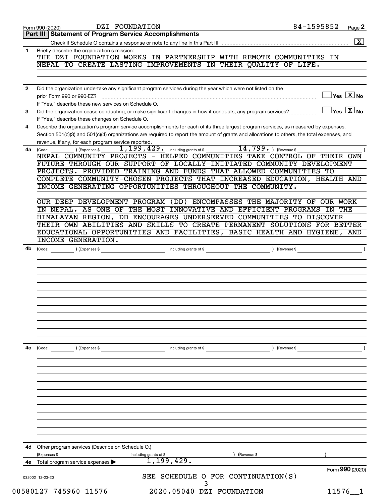|              | 84-1595852<br>DZI FOUNDATION<br>Form 990 (2020)                                                                                                                                                                                                                                      | Page 2             |
|--------------|--------------------------------------------------------------------------------------------------------------------------------------------------------------------------------------------------------------------------------------------------------------------------------------|--------------------|
|              | Part III   Statement of Program Service Accomplishments                                                                                                                                                                                                                              |                    |
|              |                                                                                                                                                                                                                                                                                      | $\boxed{\text{X}}$ |
| 1            | Briefly describe the organization's mission:                                                                                                                                                                                                                                         |                    |
|              | THE DZI FOUNDATION WORKS IN PARTNERSHIP WITH REMOTE COMMUNITIES IN                                                                                                                                                                                                                   |                    |
|              | NEPAL TO CREATE LASTING IMPROVEMENTS IN THEIR QUALITY OF LIFE.                                                                                                                                                                                                                       |                    |
|              |                                                                                                                                                                                                                                                                                      |                    |
|              |                                                                                                                                                                                                                                                                                      |                    |
| $\mathbf{2}$ | Did the organization undertake any significant program services during the year which were not listed on the<br>$\exists$ Yes $\boxed{\text{X}}$ No                                                                                                                                  |                    |
|              |                                                                                                                                                                                                                                                                                      |                    |
|              | If "Yes." describe these new services on Schedule O.<br>$\Box$ Yes $[\overline{\mathrm{X}}]$ No                                                                                                                                                                                      |                    |
| 3            | Did the organization cease conducting, or make significant changes in how it conducts, any program services?                                                                                                                                                                         |                    |
|              | If "Yes," describe these changes on Schedule O.                                                                                                                                                                                                                                      |                    |
| 4            | Describe the organization's program service accomplishments for each of its three largest program services, as measured by expenses.<br>Section 501(c)(3) and 501(c)(4) organizations are required to report the amount of grants and allocations to others, the total expenses, and |                    |
|              | revenue, if any, for each program service reported.                                                                                                                                                                                                                                  |                    |
| 4a           | 1, 199, 429. including grants of \$ 14, 799. ) (Revenue \$<br>) (Expenses \$<br>(Code:                                                                                                                                                                                               |                    |
|              | NEPAL COMMUNITY PROJECTS - HELPED COMMUNITIES TAKE CONTROL OF THEIR OWN                                                                                                                                                                                                              |                    |
|              | FUTURE THROUGH OUR SUPPORT OF LOCALLY-INITIATED COMMUNITY DEVELOPMENT                                                                                                                                                                                                                |                    |
|              | PROJECTS. PROVIDED TRAINING AND FUNDS THAT ALLOWED COMMUNITIES TO                                                                                                                                                                                                                    |                    |
|              | COMPLETE COMMUNITY-CHOSEN PROJECTS THAT INCREASED EDUCATION, HEALTH AND                                                                                                                                                                                                              |                    |
|              | INCOME GENERATING OPPORTUNITIES THROUGHOUT THE COMMUNITY.                                                                                                                                                                                                                            |                    |
|              |                                                                                                                                                                                                                                                                                      |                    |
|              | OUR DEEP DEVELOPMENT PROGRAM (DD) ENCOMPASSES THE MAJORITY OF OUR WORK                                                                                                                                                                                                               |                    |
|              | IN NEPAL. AS ONE OF THE MOST INNOVATIVE AND EFFICIENT PROGRAMS IN THE                                                                                                                                                                                                                |                    |
|              | HIMALAYAN REGION, DD ENCOURAGES UNDERSERVED COMMUNITIES TO DISCOVER                                                                                                                                                                                                                  |                    |
|              | THEIR OWN ABILITIES AND SKILLS TO CREATE PERMANENT SOLUTIONS FOR BETTER                                                                                                                                                                                                              |                    |
|              | EDUCATIONAL OPPORTUNITIES AND FACILITIES, BASIC HEALTH AND HYGIENE, AND                                                                                                                                                                                                              |                    |
|              | <b>INCOME GENERATION.</b>                                                                                                                                                                                                                                                            |                    |
| 4b           |                                                                                                                                                                                                                                                                                      |                    |
|              |                                                                                                                                                                                                                                                                                      |                    |
|              |                                                                                                                                                                                                                                                                                      |                    |
|              |                                                                                                                                                                                                                                                                                      |                    |
|              |                                                                                                                                                                                                                                                                                      |                    |
|              |                                                                                                                                                                                                                                                                                      |                    |
|              |                                                                                                                                                                                                                                                                                      |                    |
|              |                                                                                                                                                                                                                                                                                      |                    |
|              |                                                                                                                                                                                                                                                                                      |                    |
|              |                                                                                                                                                                                                                                                                                      |                    |
|              |                                                                                                                                                                                                                                                                                      |                    |
|              |                                                                                                                                                                                                                                                                                      |                    |
|              |                                                                                                                                                                                                                                                                                      |                    |
| 4с           | (Code: ) (Expenses \$<br>) (Revenue \$<br>including grants of \$                                                                                                                                                                                                                     |                    |
|              |                                                                                                                                                                                                                                                                                      |                    |
|              |                                                                                                                                                                                                                                                                                      |                    |
|              |                                                                                                                                                                                                                                                                                      |                    |
|              |                                                                                                                                                                                                                                                                                      |                    |
|              |                                                                                                                                                                                                                                                                                      |                    |
|              |                                                                                                                                                                                                                                                                                      |                    |
|              |                                                                                                                                                                                                                                                                                      |                    |
|              |                                                                                                                                                                                                                                                                                      |                    |
|              |                                                                                                                                                                                                                                                                                      |                    |
|              |                                                                                                                                                                                                                                                                                      |                    |
|              |                                                                                                                                                                                                                                                                                      |                    |
|              |                                                                                                                                                                                                                                                                                      |                    |
| 4d           | Other program services (Describe on Schedule O.)                                                                                                                                                                                                                                     |                    |
|              |                                                                                                                                                                                                                                                                                      |                    |
|              | (Expenses \$<br>Revenue \$<br>including grants of \$<br>1, 199, 429.                                                                                                                                                                                                                 |                    |
| 4е           | Total program service expenses<br>Form 990 (2020)                                                                                                                                                                                                                                    |                    |
|              | SEE SCHEDULE O FOR CONTINUATION(S)                                                                                                                                                                                                                                                   |                    |
|              | 032002 12-23-20                                                                                                                                                                                                                                                                      |                    |
|              | 00580127 745960 11576<br>2020.05040 DZI FOUNDATION<br>$11576 - 1$                                                                                                                                                                                                                    |                    |
|              |                                                                                                                                                                                                                                                                                      |                    |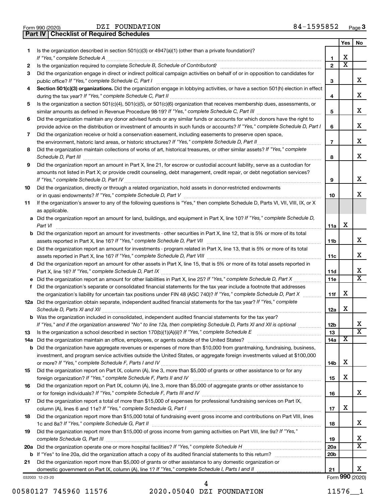| Form 990 (2020) |  | DZI FOUNDATI                                     |
|-----------------|--|--------------------------------------------------|
|                 |  | <b>Part IV   Checklist of Required Schedules</b> |

DZI FOUNDATION

|     |                                                                                                                                                                                                                                             |                          | Yes                     | No                      |
|-----|---------------------------------------------------------------------------------------------------------------------------------------------------------------------------------------------------------------------------------------------|--------------------------|-------------------------|-------------------------|
| 1.  | Is the organization described in section 501(c)(3) or 4947(a)(1) (other than a private foundation)?                                                                                                                                         |                          |                         |                         |
|     | If "Yes," complete Schedule A                                                                                                                                                                                                               | 1                        | х                       |                         |
| 2   |                                                                                                                                                                                                                                             | $\mathbf{2}$             | $\overline{\textbf{x}}$ |                         |
| 3   | Did the organization engage in direct or indirect political campaign activities on behalf of or in opposition to candidates for                                                                                                             |                          |                         |                         |
|     |                                                                                                                                                                                                                                             | 3                        |                         | x                       |
| 4   | Section 501(c)(3) organizations. Did the organization engage in lobbying activities, or have a section 501(h) election in effect                                                                                                            | 4                        |                         | x                       |
| 5   | Is the organization a section 501(c)(4), 501(c)(5), or 501(c)(6) organization that receives membership dues, assessments, or                                                                                                                |                          |                         |                         |
|     |                                                                                                                                                                                                                                             | 5                        |                         | x                       |
| 6   | Did the organization maintain any donor advised funds or any similar funds or accounts for which donors have the right to                                                                                                                   |                          |                         |                         |
|     | provide advice on the distribution or investment of amounts in such funds or accounts? If "Yes," complete Schedule D, Part I                                                                                                                | 6                        |                         | x                       |
| 7   | Did the organization receive or hold a conservation easement, including easements to preserve open space,                                                                                                                                   |                          |                         |                         |
|     |                                                                                                                                                                                                                                             | $\overline{\phantom{a}}$ |                         | x                       |
| 8   | Did the organization maintain collections of works of art, historical treasures, or other similar assets? If "Yes," complete                                                                                                                |                          |                         |                         |
|     | Schedule D, Part III <b>www.community.community.community.community.community.community.com</b>                                                                                                                                             |                          |                         | x                       |
| 9   | Did the organization report an amount in Part X, line 21, for escrow or custodial account liability, serve as a custodian for                                                                                                               |                          |                         |                         |
|     | amounts not listed in Part X; or provide credit counseling, debt management, credit repair, or debt negotiation services?                                                                                                                   |                          |                         |                         |
|     |                                                                                                                                                                                                                                             | 9                        |                         | x                       |
| 10  | Did the organization, directly or through a related organization, hold assets in donor-restricted endowments                                                                                                                                |                          |                         |                         |
|     |                                                                                                                                                                                                                                             | 10                       |                         | x                       |
| 11  | If the organization's answer to any of the following questions is "Yes," then complete Schedule D, Parts VI, VII, VIII, IX, or X<br>as applicable.                                                                                          |                          |                         |                         |
|     | a Did the organization report an amount for land, buildings, and equipment in Part X, line 10? If "Yes," complete Schedule D,                                                                                                               |                          |                         |                         |
|     | Part VI                                                                                                                                                                                                                                     | 11a                      | X                       |                         |
|     | <b>b</b> Did the organization report an amount for investments - other securities in Part X, line 12, that is 5% or more of its total                                                                                                       |                          |                         |                         |
|     |                                                                                                                                                                                                                                             | 11b                      |                         | x                       |
|     | c Did the organization report an amount for investments - program related in Part X, line 13, that is 5% or more of its total                                                                                                               | 11c                      |                         | x                       |
|     | d Did the organization report an amount for other assets in Part X, line 15, that is 5% or more of its total assets reported in                                                                                                             |                          |                         |                         |
|     |                                                                                                                                                                                                                                             | 11d                      |                         | х                       |
|     |                                                                                                                                                                                                                                             | 11e                      |                         | X                       |
| f   | Did the organization's separate or consolidated financial statements for the tax year include a footnote that addresses                                                                                                                     |                          |                         |                         |
|     | the organization's liability for uncertain tax positions under FIN 48 (ASC 740)? If "Yes," complete Schedule D, Part X                                                                                                                      | 11f                      | х                       |                         |
|     | 12a Did the organization obtain separate, independent audited financial statements for the tax year? If "Yes," complete                                                                                                                     |                          | X                       |                         |
|     |                                                                                                                                                                                                                                             | 12a                      |                         |                         |
|     | <b>b</b> Was the organization included in consolidated, independent audited financial statements for the tax year?<br>If "Yes." and if the organization answered "No" to line 12a, then completing Schedule D. Parts XI and XII is optional | 12 <sub>b</sub>          |                         | х                       |
| 13  |                                                                                                                                                                                                                                             | 13                       |                         | $\overline{\textbf{X}}$ |
| 14a |                                                                                                                                                                                                                                             | 14a                      | X                       |                         |
|     | <b>b</b> Did the organization have aggregate revenues or expenses of more than \$10,000 from grantmaking, fundraising, business,                                                                                                            |                          |                         |                         |
|     | investment, and program service activities outside the United States, or aggregate foreign investments valued at \$100,000                                                                                                                  |                          |                         |                         |
|     |                                                                                                                                                                                                                                             | 14b                      | X                       |                         |
| 15  | Did the organization report on Part IX, column (A), line 3, more than \$5,000 of grants or other assistance to or for any                                                                                                                   |                          |                         |                         |
|     |                                                                                                                                                                                                                                             | 15                       | х                       |                         |
| 16  | Did the organization report on Part IX, column (A), line 3, more than \$5,000 of aggregate grants or other assistance to                                                                                                                    |                          |                         |                         |
|     |                                                                                                                                                                                                                                             | 16                       |                         | x                       |
| 17  | Did the organization report a total of more than \$15,000 of expenses for professional fundraising services on Part IX,                                                                                                                     |                          |                         |                         |
|     |                                                                                                                                                                                                                                             | 17                       | X                       |                         |
| 18  | Did the organization report more than \$15,000 total of fundraising event gross income and contributions on Part VIII, lines                                                                                                                | 18                       |                         | х                       |
| 19  | Did the organization report more than \$15,000 of gross income from gaming activities on Part VIII, line 9a? If "Yes,"                                                                                                                      | 19                       |                         | х                       |
|     |                                                                                                                                                                                                                                             | 20a                      |                         | х                       |
|     |                                                                                                                                                                                                                                             | 20 <sub>b</sub>          |                         |                         |
| 21  | Did the organization report more than \$5,000 of grants or other assistance to any domestic organization or                                                                                                                                 |                          |                         |                         |
|     |                                                                                                                                                                                                                                             | 21                       |                         | х                       |
|     | 032003 12-23-20                                                                                                                                                                                                                             |                          |                         | Form 990 (2020)         |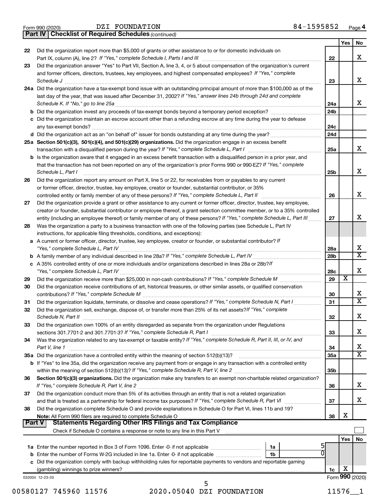|  | Form 990 (2020) |  |
|--|-----------------|--|
|  |                 |  |

DZI FOUNDATION

*(continued)* **Part IV Checklist of Required Schedules**

|          | <b>Part IV   Checklist of Required Schedules</b> (continued)                                                                                                                                                                         |                 |     |                         |
|----------|--------------------------------------------------------------------------------------------------------------------------------------------------------------------------------------------------------------------------------------|-----------------|-----|-------------------------|
|          |                                                                                                                                                                                                                                      |                 | Yes | No                      |
| 22       | Did the organization report more than \$5,000 of grants or other assistance to or for domestic individuals on                                                                                                                        |                 |     |                         |
|          |                                                                                                                                                                                                                                      | 22              |     | х                       |
| 23       | Did the organization answer "Yes" to Part VII, Section A, line 3, 4, or 5 about compensation of the organization's current                                                                                                           |                 |     |                         |
|          | and former officers, directors, trustees, key employees, and highest compensated employees? If "Yes," complete                                                                                                                       |                 |     |                         |
|          | Schedule J <b>with a contract of the contract of the contract of the contract of the contract of the contract of the contract of the contract of the contract of the contract of the contract of the contract of the contract of</b> | 23              |     | x                       |
|          | 24a Did the organization have a tax-exempt bond issue with an outstanding principal amount of more than \$100,000 as of the                                                                                                          |                 |     |                         |
|          | last day of the year, that was issued after December 31, 2002? If "Yes," answer lines 24b through 24d and complete                                                                                                                   |                 |     |                         |
|          |                                                                                                                                                                                                                                      | 24a             |     | х                       |
|          |                                                                                                                                                                                                                                      | 24 <sub>b</sub> |     |                         |
|          | c Did the organization maintain an escrow account other than a refunding escrow at any time during the year to defease                                                                                                               |                 |     |                         |
|          |                                                                                                                                                                                                                                      | 24c             |     |                         |
|          |                                                                                                                                                                                                                                      | 24 <sub>d</sub> |     |                         |
|          | 25a Section 501(c)(3), 501(c)(4), and 501(c)(29) organizations. Did the organization engage in an excess benefit                                                                                                                     |                 |     |                         |
|          |                                                                                                                                                                                                                                      | 25a             |     | x                       |
|          | b Is the organization aware that it engaged in an excess benefit transaction with a disqualified person in a prior year, and                                                                                                         |                 |     |                         |
|          | that the transaction has not been reported on any of the organization's prior Forms 990 or 990-EZ? If "Yes," complete                                                                                                                |                 |     |                         |
|          | Schedule L, Part I                                                                                                                                                                                                                   |                 |     | х                       |
| 26       | Did the organization report any amount on Part X, line 5 or 22, for receivables from or payables to any current                                                                                                                      |                 |     |                         |
|          | or former officer, director, trustee, key employee, creator or founder, substantial contributor, or 35%                                                                                                                              |                 |     |                         |
|          |                                                                                                                                                                                                                                      | 26              |     | х                       |
| 27       | Did the organization provide a grant or other assistance to any current or former officer, director, trustee, key employee,                                                                                                          |                 |     |                         |
|          | creator or founder, substantial contributor or employee thereof, a grant selection committee member, or to a 35% controlled                                                                                                          |                 |     |                         |
|          | entity (including an employee thereof) or family member of any of these persons? If "Yes," complete Schedule L, Part III                                                                                                             | 27              |     | х                       |
| 28       | Was the organization a party to a business transaction with one of the following parties (see Schedule L, Part IV                                                                                                                    |                 |     |                         |
|          | instructions, for applicable filing thresholds, conditions, and exceptions):                                                                                                                                                         |                 |     |                         |
|          | a A current or former officer, director, trustee, key employee, creator or founder, or substantial contributor? If                                                                                                                   |                 |     |                         |
|          |                                                                                                                                                                                                                                      | 28a             |     | X                       |
|          |                                                                                                                                                                                                                                      | 28 <sub>b</sub> |     | $\overline{\texttt{x}}$ |
|          | c A 35% controlled entity of one or more individuals and/or organizations described in lines 28a or 28b?If                                                                                                                           |                 |     |                         |
|          |                                                                                                                                                                                                                                      | 28c             |     | х                       |
| 29       |                                                                                                                                                                                                                                      | 29              | X   |                         |
| 30       | Did the organization receive contributions of art, historical treasures, or other similar assets, or qualified conservation                                                                                                          |                 |     |                         |
|          |                                                                                                                                                                                                                                      | 30              |     | х                       |
| 31       | Did the organization liquidate, terminate, or dissolve and cease operations? If "Yes," complete Schedule N, Part I                                                                                                                   | 31              |     | $\overline{\text{x}}$   |
| 32       | Did the organization sell, exchange, dispose of, or transfer more than 25% of its net assets? If "Yes," complete                                                                                                                     |                 |     |                         |
|          | Schedule N. Part II                                                                                                                                                                                                                  | 32              |     | Χ                       |
| 33       | Did the organization own 100% of an entity disregarded as separate from the organization under Regulations                                                                                                                           |                 |     |                         |
|          |                                                                                                                                                                                                                                      | 33              |     | х                       |
| 34       | Was the organization related to any tax-exempt or taxable entity? If "Yes," complete Schedule R, Part II, III, or IV, and                                                                                                            |                 |     |                         |
|          | Part V, line 1                                                                                                                                                                                                                       | 34              |     | х                       |
|          | 35a Did the organization have a controlled entity within the meaning of section 512(b)(13)?                                                                                                                                          | 35a             |     | $\overline{\text{X}}$   |
|          | <b>b</b> If "Yes" to line 35a, did the organization receive any payment from or engage in any transaction with a controlled entity                                                                                                   |                 |     |                         |
|          |                                                                                                                                                                                                                                      | 35b             |     |                         |
| 36       | Section 501(c)(3) organizations. Did the organization make any transfers to an exempt non-charitable related organization?                                                                                                           |                 |     |                         |
|          |                                                                                                                                                                                                                                      | 36              |     | x                       |
| 37       | Did the organization conduct more than 5% of its activities through an entity that is not a related organization                                                                                                                     |                 |     |                         |
|          | and that is treated as a partnership for federal income tax purposes? If "Yes," complete Schedule R, Part VI                                                                                                                         | 37              |     | x                       |
| 38       | Did the organization complete Schedule O and provide explanations in Schedule O for Part VI, lines 11b and 19?                                                                                                                       |                 |     |                         |
|          | Note: All Form 990 filers are required to complete Schedule O                                                                                                                                                                        | 38              | х   |                         |
| ∣ Part V | <b>Statements Regarding Other IRS Filings and Tax Compliance</b>                                                                                                                                                                     |                 |     |                         |
|          |                                                                                                                                                                                                                                      |                 |     |                         |
|          |                                                                                                                                                                                                                                      |                 | Yes | No                      |
|          | 1a                                                                                                                                                                                                                                   |                 |     |                         |
|          | <b>b</b> Enter the number of Forms W-2G included in line 1a. Enter -0- if not applicable <i></i><br>1b                                                                                                                               |                 |     |                         |
|          | c Did the organization comply with backup withholding rules for reportable payments to vendors and reportable gaming                                                                                                                 |                 |     |                         |
|          |                                                                                                                                                                                                                                      | 1c              | х   |                         |
|          | 032004 12-23-20                                                                                                                                                                                                                      |                 |     | Form 990 (2020)         |
|          | 5                                                                                                                                                                                                                                    |                 |     |                         |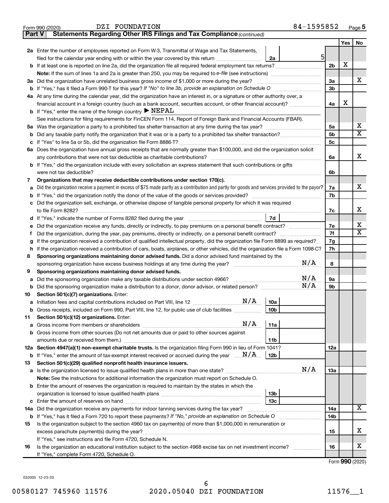| Form 990 (2020 |  |  |
|----------------|--|--|
|----------------|--|--|

**Part V Statements Regarding Other IRS Filings and Tax Compliance** DZI FOUNDATION 84-1595852

*(continued)*

|                                                            |                                                                                                                                                                                                                      |                | Yes | No                           |  |  |  |
|------------------------------------------------------------|----------------------------------------------------------------------------------------------------------------------------------------------------------------------------------------------------------------------|----------------|-----|------------------------------|--|--|--|
|                                                            | 2a Enter the number of employees reported on Form W-3, Transmittal of Wage and Tax Statements,                                                                                                                       |                |     |                              |  |  |  |
|                                                            | 5 <sup>1</sup><br>filed for the calendar year ending with or within the year covered by this return <i></i><br>2a                                                                                                    |                |     |                              |  |  |  |
|                                                            |                                                                                                                                                                                                                      | 2 <sub>b</sub> | X   |                              |  |  |  |
|                                                            |                                                                                                                                                                                                                      |                |     |                              |  |  |  |
|                                                            | 3a Did the organization have unrelated business gross income of \$1,000 or more during the year?                                                                                                                     | За             |     | х                            |  |  |  |
|                                                            |                                                                                                                                                                                                                      | 3b             |     |                              |  |  |  |
|                                                            | 4a At any time during the calendar year, did the organization have an interest in, or a signature or other authority over, a                                                                                         |                |     |                              |  |  |  |
|                                                            | financial account in a foreign country (such as a bank account, securities account, or other financial account)?                                                                                                     | 4a             | х   |                              |  |  |  |
|                                                            | <b>b</b> If "Yes," enter the name of the foreign country $\triangleright$ NEPAL                                                                                                                                      |                |     |                              |  |  |  |
|                                                            | See instructions for filing requirements for FinCEN Form 114, Report of Foreign Bank and Financial Accounts (FBAR).                                                                                                  |                |     |                              |  |  |  |
|                                                            | 5а                                                                                                                                                                                                                   |                |     |                              |  |  |  |
| b                                                          |                                                                                                                                                                                                                      | 5b<br>5c       |     | $\overline{\textbf{X}}$      |  |  |  |
|                                                            | 6a Does the organization have annual gross receipts that are normally greater than \$100,000, and did the organization solicit                                                                                       |                |     |                              |  |  |  |
|                                                            |                                                                                                                                                                                                                      | 6a             |     | х                            |  |  |  |
|                                                            | <b>b</b> If "Yes," did the organization include with every solicitation an express statement that such contributions or gifts                                                                                        |                |     |                              |  |  |  |
|                                                            | were not tax deductible?                                                                                                                                                                                             | 6b             |     |                              |  |  |  |
| 7                                                          | Organizations that may receive deductible contributions under section 170(c).                                                                                                                                        |                |     |                              |  |  |  |
| a                                                          | Did the organization receive a payment in excess of \$75 made partly as a contribution and partly for goods and services provided to the payor?                                                                      | 7a             |     | х                            |  |  |  |
| b                                                          |                                                                                                                                                                                                                      | 7b             |     |                              |  |  |  |
| с                                                          | Did the organization sell, exchange, or otherwise dispose of tangible personal property for which it was required                                                                                                    |                |     |                              |  |  |  |
|                                                            |                                                                                                                                                                                                                      | 7c             |     | х                            |  |  |  |
|                                                            | 7d                                                                                                                                                                                                                   |                |     |                              |  |  |  |
|                                                            | Did the organization receive any funds, directly or indirectly, to pay premiums on a personal benefit contract?                                                                                                      | 7e             |     | х<br>$\overline{\textbf{X}}$ |  |  |  |
| f                                                          | Did the organization, during the year, pay premiums, directly or indirectly, on a personal benefit contract?                                                                                                         |                |     |                              |  |  |  |
| g                                                          | If the organization received a contribution of qualified intellectual property, did the organization file Form 8899 as required?                                                                                     |                |     |                              |  |  |  |
| h                                                          | If the organization received a contribution of cars, boats, airplanes, or other vehicles, did the organization file a Form 1098-C?                                                                                   |                |     |                              |  |  |  |
| 8                                                          | Sponsoring organizations maintaining donor advised funds. Did a donor advised fund maintained by the                                                                                                                 |                |     |                              |  |  |  |
|                                                            | N/A<br>sponsoring organization have excess business holdings at any time during the year?                                                                                                                            | 8              |     |                              |  |  |  |
| 9                                                          | Sponsoring organizations maintaining donor advised funds.                                                                                                                                                            |                |     |                              |  |  |  |
| а                                                          | N/A<br>Did the sponsoring organization make any taxable distributions under section 4966?<br>N/A                                                                                                                     | 9а             |     |                              |  |  |  |
| b                                                          |                                                                                                                                                                                                                      | 9b             |     |                              |  |  |  |
| 10                                                         | Section 501(c)(7) organizations. Enter:<br>$\mathrm{N}/\mathrm{A}$                                                                                                                                                   |                |     |                              |  |  |  |
| а                                                          | 10a<br>10 <sub>b</sub>                                                                                                                                                                                               |                |     |                              |  |  |  |
| 11.                                                        | b Gross receipts, included on Form 990, Part VIII, line 12, for public use of club facilities<br>Section 501(c)(12) organizations. Enter:                                                                            |                |     |                              |  |  |  |
|                                                            | $N/A$   11a                                                                                                                                                                                                          |                |     |                              |  |  |  |
|                                                            | <b>b</b> Gross income from other sources (Do not net amounts due or paid to other sources against                                                                                                                    |                |     |                              |  |  |  |
|                                                            | 11b                                                                                                                                                                                                                  |                |     |                              |  |  |  |
|                                                            | 12a Section 4947(a)(1) non-exempt charitable trusts. Is the organization filing Form 990 in lieu of Form 1041?                                                                                                       | 12a            |     |                              |  |  |  |
|                                                            | <b>b</b> If "Yes," enter the amount of tax-exempt interest received or accrued during the year $\ldots$ $\mathbf{N}/\mathbf{A}$<br>  12b                                                                             |                |     |                              |  |  |  |
| 13                                                         | Section 501(c)(29) qualified nonprofit health insurance issuers.                                                                                                                                                     |                |     |                              |  |  |  |
|                                                            | N/A<br>a Is the organization licensed to issue qualified health plans in more than one state?                                                                                                                        | 13a            |     |                              |  |  |  |
|                                                            | Note: See the instructions for additional information the organization must report on Schedule O.                                                                                                                    |                |     |                              |  |  |  |
|                                                            | <b>b</b> Enter the amount of reserves the organization is required to maintain by the states in which the                                                                                                            |                |     |                              |  |  |  |
|                                                            | 13b                                                                                                                                                                                                                  |                |     |                              |  |  |  |
|                                                            | 13 <sub>c</sub>                                                                                                                                                                                                      |                |     | x                            |  |  |  |
|                                                            | 14a Did the organization receive any payments for indoor tanning services during the tax year?<br><b>b</b> If "Yes," has it filed a Form 720 to report these payments? If "No," provide an explanation on Schedule O |                |     |                              |  |  |  |
|                                                            | 14 <sub>b</sub>                                                                                                                                                                                                      |                |     |                              |  |  |  |
| 15                                                         | Is the organization subject to the section 4960 tax on payment(s) of more than \$1,000,000 in remuneration or                                                                                                        |                |     |                              |  |  |  |
|                                                            | excess parachute payment(s) during the year?                                                                                                                                                                         | 15             |     | х                            |  |  |  |
| If "Yes," see instructions and file Form 4720, Schedule N. |                                                                                                                                                                                                                      |                |     |                              |  |  |  |
| 16                                                         | Is the organization an educational institution subject to the section 4968 excise tax on net investment income?                                                                                                      | 16             |     | x                            |  |  |  |
|                                                            | If "Yes," complete Form 4720, Schedule O.                                                                                                                                                                            |                |     |                              |  |  |  |

Form (2020) **990**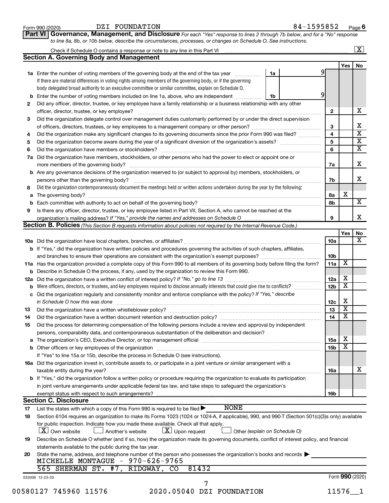|        | DZI FOUNDATION<br>Form 990 (2020)                                                                                                                                                                                              |    | 84-1595852 |              |                         | Page 6                  |
|--------|--------------------------------------------------------------------------------------------------------------------------------------------------------------------------------------------------------------------------------|----|------------|--------------|-------------------------|-------------------------|
|        | Governance, Management, and Disclosure For each "Yes" response to lines 2 through 7b below, and for a "No" response<br><b>Part VI</b>                                                                                          |    |            |              |                         |                         |
|        | to line 8a, 8b, or 10b below, describe the circumstances, processes, or changes on Schedule O. See instructions.                                                                                                               |    |            |              |                         |                         |
|        |                                                                                                                                                                                                                                |    |            |              |                         | $\overline{\mathbf{X}}$ |
|        | <b>Section A. Governing Body and Management</b>                                                                                                                                                                                |    |            |              |                         |                         |
|        |                                                                                                                                                                                                                                |    |            |              | Yes                     | No                      |
|        | 1a Enter the number of voting members of the governing body at the end of the tax year                                                                                                                                         | 1a |            |              |                         |                         |
|        | If there are material differences in voting rights among members of the governing body, or if the governing                                                                                                                    |    |            |              |                         |                         |
|        | body delegated broad authority to an executive committee or similar committee, explain on Schedule O.                                                                                                                          |    |            |              |                         |                         |
| b      | Enter the number of voting members included on line 1a, above, who are independent                                                                                                                                             | 1b |            | 9            |                         |                         |
| 2      | Did any officer, director, trustee, or key employee have a family relationship or a business relationship with any other                                                                                                       |    |            |              |                         | x                       |
|        |                                                                                                                                                                                                                                |    |            | $\mathbf{2}$ |                         |                         |
| 3      | Did the organization delegate control over management duties customarily performed by or under the direct supervision                                                                                                          |    |            |              |                         |                         |
|        |                                                                                                                                                                                                                                |    |            | 3            |                         |                         |
| 4      | Did the organization make any significant changes to its governing documents since the prior Form 990 was filed?                                                                                                               |    |            | 4            |                         |                         |
| 5      |                                                                                                                                                                                                                                |    |            | 5            |                         |                         |
| 6      |                                                                                                                                                                                                                                |    |            | 6            |                         |                         |
| 7a     | Did the organization have members, stockholders, or other persons who had the power to elect or appoint one or                                                                                                                 |    |            |              |                         |                         |
|        |                                                                                                                                                                                                                                |    |            | 7a           |                         | X                       |
|        | <b>b</b> Are any governance decisions of the organization reserved to (or subject to approval by) members, stockholders, or                                                                                                    |    |            |              |                         |                         |
|        | persons other than the governing body?                                                                                                                                                                                         |    |            | 7b           |                         |                         |
| 8      | Did the organization contemporaneously document the meetings held or written actions undertaken during the year by the following:                                                                                              |    |            |              |                         |                         |
| a      |                                                                                                                                                                                                                                |    |            | 8a           | х                       |                         |
|        |                                                                                                                                                                                                                                |    |            | 8b           |                         |                         |
| b<br>9 |                                                                                                                                                                                                                                |    |            |              |                         |                         |
|        | Is there any officer, director, trustee, or key employee listed in Part VII, Section A, who cannot be reached at the                                                                                                           |    |            | 9            |                         |                         |
|        | Section B. Policies (This Section B requests information about policies not required by the Internal Revenue Code.)                                                                                                            |    |            |              |                         |                         |
|        |                                                                                                                                                                                                                                |    |            |              |                         |                         |
|        |                                                                                                                                                                                                                                |    |            |              | Yes                     | No                      |
|        |                                                                                                                                                                                                                                |    |            | 10a          |                         |                         |
|        | <b>b</b> If "Yes," did the organization have written policies and procedures governing the activities of such chapters, affiliates,                                                                                            |    |            |              |                         |                         |
|        |                                                                                                                                                                                                                                |    |            | 10b          |                         |                         |
|        | 11a Has the organization provided a complete copy of this Form 990 to all members of its governing body before filing the form?                                                                                                |    |            | 11a          | X                       |                         |
|        | <b>b</b> Describe in Schedule O the process, if any, used by the organization to review this Form 990.                                                                                                                         |    |            |              |                         |                         |
|        |                                                                                                                                                                                                                                |    |            | 12a          | х                       |                         |
| b      |                                                                                                                                                                                                                                |    |            | 12b          | $\overline{\textbf{X}}$ |                         |
| с      | Did the organization regularly and consistently monitor and enforce compliance with the policy? If "Yes," describe                                                                                                             |    |            |              |                         |                         |
|        | in Schedule O how this was done continuous continuous continuous contract of the state of the state of the state of the state of the state of the state of the state of the state of the state of the state of the state of th |    |            | 12c          | Χ                       |                         |
| 13     | Did the organization have a written whistleblower policy?                                                                                                                                                                      |    |            | 13           | x                       |                         |
| 14     | Did the organization have a written document retention and destruction policy? [11] manufaction in the organization have a written document retention and destruction policy?                                                  |    |            | 14           | $\overline{\text{X}}$   |                         |
| 15     | Did the process for determining compensation of the following persons include a review and approval by independent                                                                                                             |    |            |              |                         |                         |
|        | persons, comparability data, and contemporaneous substantiation of the deliberation and decision?                                                                                                                              |    |            |              |                         |                         |
| а      |                                                                                                                                                                                                                                |    |            | 15a          | х                       |                         |
|        |                                                                                                                                                                                                                                |    |            | 15b          | $\overline{\textbf{x}}$ |                         |
|        | If "Yes" to line 15a or 15b, describe the process in Schedule O (see instructions).                                                                                                                                            |    |            |              |                         |                         |
|        | 16a Did the organization invest in, contribute assets to, or participate in a joint venture or similar arrangement with a                                                                                                      |    |            |              |                         |                         |
|        |                                                                                                                                                                                                                                |    |            |              |                         |                         |
|        | taxable entity during the year?                                                                                                                                                                                                |    |            | 16a          |                         |                         |
|        | <b>b</b> If "Yes," did the organization follow a written policy or procedure requiring the organization to evaluate its participation                                                                                          |    |            |              |                         |                         |
|        | in joint venture arrangements under applicable federal tax law, and take steps to safeguard the organization's                                                                                                                 |    |            |              |                         |                         |
|        |                                                                                                                                                                                                                                |    |            | 16b          |                         |                         |
|        | <b>Section C. Disclosure</b>                                                                                                                                                                                                   |    |            |              |                         |                         |
| 17     | <b>NONE</b><br>List the states with which a copy of this Form 990 is required to be filed $\blacktriangleright$                                                                                                                |    |            |              |                         |                         |
| 18     | Section 6104 requires an organization to make its Forms 1023 (1024 or 1024-A, if applicable), 990, and 990-T (Section 501(c)(3)s only) available                                                                               |    |            |              |                         |                         |
|        | for public inspection. Indicate how you made these available. Check all that apply.                                                                                                                                            |    |            |              |                         |                         |
|        | $X$ Own website<br>$\lfloor x \rfloor$ Upon request<br>Another's website<br>Other (explain on Schedule O)                                                                                                                      |    |            |              |                         |                         |
| 19     | Describe on Schedule O whether (and if so, how) the organization made its governing documents, conflict of interest policy, and financial                                                                                      |    |            |              |                         |                         |
|        | statements available to the public during the tax year.                                                                                                                                                                        |    |            |              |                         |                         |
| 20     | State the name, address, and telephone number of the person who possesses the organization's books and records                                                                                                                 |    |            |              |                         |                         |
|        | MICHELLE MONTAGUE - 970-626-9765                                                                                                                                                                                               |    |            |              |                         |                         |
|        | SHERMAN ST. #7, RIDGWAY, CO<br>81432<br>565                                                                                                                                                                                    |    |            |              |                         |                         |
|        | 032006 12-23-20                                                                                                                                                                                                                |    |            |              | Form 990 (2020)         |                         |
|        |                                                                                                                                                                                                                                |    |            |              |                         |                         |
|        | 00580127 745960 11576<br>2020.05040 DZI FOUNDATION                                                                                                                                                                             |    |            |              | $11576 - 1$             |                         |
|        |                                                                                                                                                                                                                                |    |            |              |                         |                         |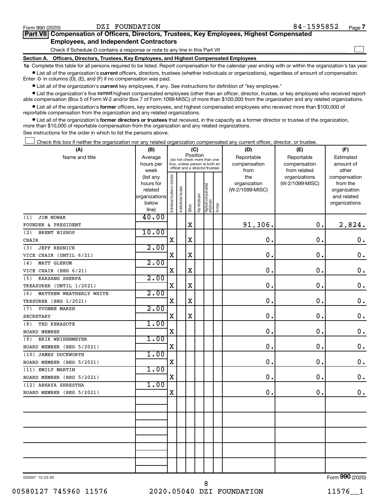| Form 990 (2020)                               | DZI FOUNDATION                                                                             | 84-1595852 | Page 7 |  |  |  |  |  |
|-----------------------------------------------|--------------------------------------------------------------------------------------------|------------|--------|--|--|--|--|--|
|                                               | Part VII Compensation of Officers, Directors, Trustees, Key Employees, Highest Compensated |            |        |  |  |  |  |  |
| <b>Employees, and Independent Contractors</b> |                                                                                            |            |        |  |  |  |  |  |
|                                               | Check if Schedule O contains a response or note to any line in this Part VII               |            |        |  |  |  |  |  |
| <b>Section A.</b>                             | Officers, Directors, Trustees, Key Employees, and Highest Compensated Employees            |            |        |  |  |  |  |  |

**1a**  Complete this table for all persons required to be listed. Report compensation for the calendar year ending with or within the organization's tax year.  $\bullet$  List all of the organization's current officers, directors, trustees (whether individuals or organizations), regardless of amount of compensation.

Enter -0- in columns (D), (E), and (F) if no compensation was paid.

**•** List all of the organization's current key employees, if any. See instructions for definition of "key employee."

• List the organization's five *current* highest compensated employees (other than an officer, director, trustee, or key employee) who received reportable compensation (Box 5 of Form W-2 and/or Box 7 of Form 1099-MISC) of more than \$100,000 from the organization and any related organizations.

 $\bullet$  List all of the organization's former officers, key employees, and highest compensated employees who received more than \$100,000 of reportable compensation from the organization and any related organizations.

**•** List all of the organization's former directors or trustees that received, in the capacity as a former director or trustee of the organization, more than \$10,000 of reportable compensation from the organization and any related organizations.

See instructions for the order in which to list the persons above.

Check this box if neither the organization nor any related organization compensated any current officer, director, or trustee.  $\Box$ 

| (A)                            | (B)                  | (C)                            |                                                                  |             |                                         |                                 |        | (D)                             | (E)             | (F)                         |
|--------------------------------|----------------------|--------------------------------|------------------------------------------------------------------|-------------|-----------------------------------------|---------------------------------|--------|---------------------------------|-----------------|-----------------------------|
| Name and title                 | Average              |                                |                                                                  |             | Position<br>(do not check more than one |                                 |        | Reportable                      | Reportable      | Estimated                   |
|                                | hours per            |                                | box, unless person is both an<br>officer and a director/trustee) |             |                                         |                                 |        | compensation                    | compensation    | amount of                   |
|                                | week                 |                                |                                                                  |             |                                         |                                 |        | from                            | from related    | other                       |
|                                | (list any            |                                |                                                                  |             |                                         |                                 |        | the                             | organizations   | compensation                |
|                                | hours for<br>related |                                |                                                                  |             |                                         |                                 |        | organization<br>(W-2/1099-MISC) | (W-2/1099-MISC) | from the<br>organization    |
|                                | organizations        |                                |                                                                  |             |                                         |                                 |        |                                 |                 | and related                 |
|                                | below                |                                |                                                                  |             |                                         |                                 |        |                                 |                 | organizations               |
|                                | line)                | Individual trustee or director | Institutional trustee                                            | Officer     | Key employee                            | Highest compensated<br>employee | Former |                                 |                 |                             |
| JIM NOWAK<br>(1)               | 40.00                |                                |                                                                  |             |                                         |                                 |        |                                 |                 |                             |
| FOUNDER & PRESIDENT            |                      |                                |                                                                  | $\mathbf X$ |                                         |                                 |        | 91,306.                         | $\mathbf 0$ .   | 2,824.                      |
| BRENT BISHOP<br>(2)            | 10.00                |                                |                                                                  |             |                                         |                                 |        |                                 |                 |                             |
| CHAIR                          |                      | X                              |                                                                  | $\mathbf X$ |                                         |                                 |        | $\mathbf 0$                     | $\mathbf 0$ .   | 0.                          |
| JEFF RESNICK<br>(3)            | 2.00                 |                                |                                                                  |             |                                         |                                 |        |                                 |                 |                             |
| VICE CHAIR (UNTIL 6/21)        |                      | X                              |                                                                  | $\mathbf X$ |                                         |                                 |        | $\mathbf 0$                     | $\mathbf 0$     | $\mathbf 0$ .               |
| MATT GLERUM<br>(4)             | 2.00                 |                                |                                                                  |             |                                         |                                 |        |                                 |                 |                             |
| VICE CHAIR (BEG 6/21)          |                      | $\mathbf X$                    |                                                                  | $\mathbf X$ |                                         |                                 |        | $\mathbf 0$ .                   | $\mathbf 0$ .   | $\mathbf 0$ .               |
| KARSANG SHERPA<br>(5)          | 2.00                 |                                |                                                                  |             |                                         |                                 |        |                                 |                 |                             |
| TREASURER (UNTIL 1/2021)       |                      | X                              |                                                                  | X           |                                         |                                 |        | $\mathbf 0$ .                   | $\mathbf 0$ .   | $\mathbf 0$ .               |
| MATTHEW WEATHERLY WHITE<br>(6) | 2.00                 |                                |                                                                  |             |                                         |                                 |        |                                 |                 |                             |
| TRESURER (BEG 1/2021)          |                      | $\mathbf X$                    |                                                                  | $\mathbf X$ |                                         |                                 |        | $\mathbf 0$ .                   | $\mathbf 0$ .   | $\mathbf 0$ .               |
| YVONNE MARSH<br>(7)            | 2.00                 |                                |                                                                  |             |                                         |                                 |        |                                 |                 |                             |
| <b>SECRETARY</b>               |                      | $\mathbf X$                    |                                                                  | $\mathbf X$ |                                         |                                 |        | $\mathbf 0$ .                   | $\mathbf 0$ .   | $\mathbf 0$ .               |
| TED KERASOTE<br>(8)            | 1.00                 |                                |                                                                  |             |                                         |                                 |        |                                 |                 |                             |
| <b>BOARD MEMBER</b>            |                      | $\mathbf X$                    |                                                                  |             |                                         |                                 |        | 0.                              | $\mathbf 0$ .   | $\mathbf 0$ .               |
| ERIK WEIHENMEYER<br>(9)        | 1.00                 |                                |                                                                  |             |                                         |                                 |        |                                 |                 |                             |
| BOARD MEMBER (BEG 5/2021)      |                      | $\mathbf X$                    |                                                                  |             |                                         |                                 |        | $\mathbf 0$                     | $\mathbf 0$ .   | $\boldsymbol{0}$ .          |
| (10) JAMES DUCKWORTH           | 1.00                 |                                |                                                                  |             |                                         |                                 |        |                                 |                 |                             |
| BOARD MEMBER (BEG 5/2021)      |                      | $\mathbf X$                    |                                                                  |             |                                         |                                 |        | 0                               | $\mathbf 0$     | $\mathbf 0$ .               |
| (11) EMILY MARTIN              | 1.00                 |                                |                                                                  |             |                                         |                                 |        |                                 |                 |                             |
| BOARD MEMBER (BEG 5/2021)      |                      | $\mathbf X$                    |                                                                  |             |                                         |                                 |        | 0                               | $\mathbf 0$ .   | 0.                          |
| (12) ABHAYA SHRESTHA           | 1.00                 |                                |                                                                  |             |                                         |                                 |        |                                 |                 |                             |
| BOARD MEMBER (BEG 5/2021)      |                      | $\mathbf X$                    |                                                                  |             |                                         |                                 |        | 0.                              | $\mathbf 0$ .   | $\mathbf 0$ .               |
|                                |                      |                                |                                                                  |             |                                         |                                 |        |                                 |                 |                             |
|                                |                      |                                |                                                                  |             |                                         |                                 |        |                                 |                 |                             |
|                                |                      |                                |                                                                  |             |                                         |                                 |        |                                 |                 |                             |
|                                |                      |                                |                                                                  |             |                                         |                                 |        |                                 |                 |                             |
|                                |                      |                                |                                                                  |             |                                         |                                 |        |                                 |                 |                             |
|                                |                      |                                |                                                                  |             |                                         |                                 |        |                                 |                 |                             |
|                                |                      |                                |                                                                  |             |                                         |                                 |        |                                 |                 |                             |
|                                |                      |                                |                                                                  |             |                                         |                                 |        |                                 |                 |                             |
|                                |                      |                                |                                                                  |             |                                         |                                 |        |                                 |                 |                             |
|                                |                      |                                |                                                                  |             |                                         |                                 |        |                                 |                 | $E_{\text{max}}$ 000 (0000) |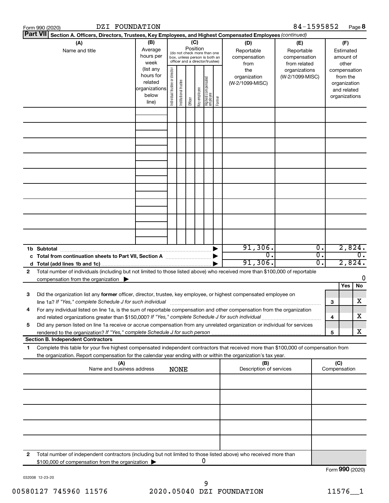|              | DZI FOUNDATION<br>Form 990 (2020)                                                                                                                                                                                                                      |                                                         |                                                                                                                                                                 |                       |         |              |                                   |        |                                                   | 84-1595852                       |                        |                                        |                                                                          | Page 8          |
|--------------|--------------------------------------------------------------------------------------------------------------------------------------------------------------------------------------------------------------------------------------------------------|---------------------------------------------------------|-----------------------------------------------------------------------------------------------------------------------------------------------------------------|-----------------------|---------|--------------|-----------------------------------|--------|---------------------------------------------------|----------------------------------|------------------------|----------------------------------------|--------------------------------------------------------------------------|-----------------|
|              | <b>Part VII</b><br>Section A. Officers, Directors, Trustees, Key Employees, and Highest Compensated Employees (continued)                                                                                                                              |                                                         |                                                                                                                                                                 |                       |         |              |                                   |        |                                                   |                                  |                        |                                        |                                                                          |                 |
|              | (A)<br>Name and title                                                                                                                                                                                                                                  | (B)<br>Average<br>hours per<br>week<br>(list any        | (C)<br>(D)<br>Position<br>Reportable<br>(do not check more than one<br>compensation<br>box, unless person is both an<br>officer and a director/trustee)<br>from |                       |         |              |                                   |        | (E)<br>Reportable<br>compensation<br>from related |                                  |                        | (F)<br>Estimated<br>amount of<br>other |                                                                          |                 |
|              |                                                                                                                                                                                                                                                        | hours for<br>related<br>organizations<br>below<br>line) | Individual trustee or director                                                                                                                                  | Institutional trustee | Officer | Key employee | Highest compensated<br>  employee | Former | the<br>organization<br>(W-2/1099-MISC)            | organizations<br>(W-2/1099-MISC) |                        |                                        | compensation<br>from the<br>organization<br>and related<br>organizations |                 |
|              |                                                                                                                                                                                                                                                        |                                                         |                                                                                                                                                                 |                       |         |              |                                   |        |                                                   |                                  |                        |                                        |                                                                          |                 |
|              |                                                                                                                                                                                                                                                        |                                                         |                                                                                                                                                                 |                       |         |              |                                   |        |                                                   |                                  |                        |                                        |                                                                          |                 |
|              |                                                                                                                                                                                                                                                        |                                                         |                                                                                                                                                                 |                       |         |              |                                   |        |                                                   |                                  |                        |                                        |                                                                          |                 |
|              |                                                                                                                                                                                                                                                        |                                                         |                                                                                                                                                                 |                       |         |              |                                   |        |                                                   |                                  |                        |                                        |                                                                          |                 |
|              |                                                                                                                                                                                                                                                        |                                                         |                                                                                                                                                                 |                       |         |              |                                   |        |                                                   |                                  |                        |                                        |                                                                          |                 |
|              |                                                                                                                                                                                                                                                        |                                                         |                                                                                                                                                                 |                       |         |              |                                   |        |                                                   |                                  |                        |                                        |                                                                          |                 |
|              |                                                                                                                                                                                                                                                        |                                                         |                                                                                                                                                                 |                       |         |              |                                   |        |                                                   |                                  |                        |                                        |                                                                          |                 |
|              |                                                                                                                                                                                                                                                        |                                                         |                                                                                                                                                                 |                       |         |              |                                   |        |                                                   |                                  |                        |                                        |                                                                          |                 |
|              |                                                                                                                                                                                                                                                        |                                                         |                                                                                                                                                                 |                       |         |              |                                   |        |                                                   |                                  |                        |                                        |                                                                          |                 |
|              | 1b Subtotal                                                                                                                                                                                                                                            |                                                         |                                                                                                                                                                 |                       |         |              |                                   |        | 91,306.<br>0.                                     |                                  | $\overline{0}$ .<br>σ. |                                        |                                                                          | 2,824.<br>σ.    |
|              | c Total from continuation sheets to Part VII, Section A [11] [2000] [2000]                                                                                                                                                                             |                                                         |                                                                                                                                                                 |                       |         |              |                                   |        | 91,306.                                           |                                  | σ.                     |                                        | 2,824.                                                                   |                 |
| $\mathbf{2}$ | Total number of individuals (including but not limited to those listed above) who received more than \$100,000 of reportable<br>compensation from the organization $\blacktriangleright$                                                               |                                                         |                                                                                                                                                                 |                       |         |              |                                   |        |                                                   |                                  |                        |                                        |                                                                          | 0               |
|              |                                                                                                                                                                                                                                                        |                                                         |                                                                                                                                                                 |                       |         |              |                                   |        |                                                   |                                  |                        |                                        | Yes                                                                      | No              |
| 3            | Did the organization list any former officer, director, trustee, key employee, or highest compensated employee on<br>line 1a? If "Yes," complete Schedule J for such individual                                                                        |                                                         |                                                                                                                                                                 |                       |         |              |                                   |        |                                                   |                                  |                        | 3                                      |                                                                          | х               |
| 4            | For any individual listed on line 1a, is the sum of reportable compensation and other compensation from the organization<br>and related organizations greater than \$150,000? If "Yes," complete Schedule J for such individual                        |                                                         |                                                                                                                                                                 |                       |         |              |                                   |        |                                                   |                                  |                        | 4                                      |                                                                          | х               |
| 5            | Did any person listed on line 1a receive or accrue compensation from any unrelated organization or individual for services                                                                                                                             |                                                         |                                                                                                                                                                 |                       |         |              |                                   |        |                                                   |                                  |                        | 5                                      |                                                                          | x               |
|              | <b>Section B. Independent Contractors</b>                                                                                                                                                                                                              |                                                         |                                                                                                                                                                 |                       |         |              |                                   |        |                                                   |                                  |                        |                                        |                                                                          |                 |
| 1            | Complete this table for your five highest compensated independent contractors that received more than \$100,000 of compensation from<br>the organization. Report compensation for the calendar year ending with or within the organization's tax year. |                                                         |                                                                                                                                                                 |                       |         |              |                                   |        |                                                   |                                  |                        |                                        |                                                                          |                 |
|              | (A)<br>Name and business address                                                                                                                                                                                                                       |                                                         |                                                                                                                                                                 | <b>NONE</b>           |         |              |                                   |        | (B)<br>Description of services                    |                                  |                        |                                        | (C)<br>Compensation                                                      |                 |
|              |                                                                                                                                                                                                                                                        |                                                         |                                                                                                                                                                 |                       |         |              |                                   |        |                                                   |                                  |                        |                                        |                                                                          |                 |
|              |                                                                                                                                                                                                                                                        |                                                         |                                                                                                                                                                 |                       |         |              |                                   |        |                                                   |                                  |                        |                                        |                                                                          |                 |
|              |                                                                                                                                                                                                                                                        |                                                         |                                                                                                                                                                 |                       |         |              |                                   |        |                                                   |                                  |                        |                                        |                                                                          |                 |
|              |                                                                                                                                                                                                                                                        |                                                         |                                                                                                                                                                 |                       |         |              |                                   |        |                                                   |                                  |                        |                                        |                                                                          |                 |
|              |                                                                                                                                                                                                                                                        |                                                         |                                                                                                                                                                 |                       |         |              |                                   |        |                                                   |                                  |                        |                                        |                                                                          |                 |
| 2            | Total number of independent contractors (including but not limited to those listed above) who received more than<br>\$100,000 of compensation from the organization                                                                                    |                                                         |                                                                                                                                                                 |                       |         |              | 0                                 |        |                                                   |                                  |                        |                                        |                                                                          |                 |
|              |                                                                                                                                                                                                                                                        |                                                         |                                                                                                                                                                 |                       |         |              |                                   |        |                                                   |                                  |                        |                                        |                                                                          | Form 990 (2020) |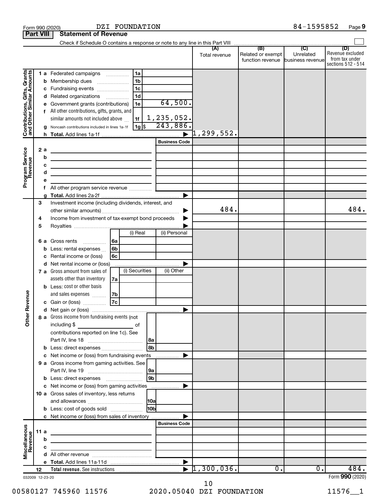|                                                                                         |                                       |                                                                                                                                                                                                                                                                                                                                                                                                                                                                                                                                       |                                                                                                                 |                                                           | Total revenue       | (B)<br>Related or exempt<br>function revenue business revenue | $\overline{C}$<br>Unrelated | (D)<br>Revenue excluded<br>from tax under<br>sections 512 - 514 |
|-----------------------------------------------------------------------------------------|---------------------------------------|---------------------------------------------------------------------------------------------------------------------------------------------------------------------------------------------------------------------------------------------------------------------------------------------------------------------------------------------------------------------------------------------------------------------------------------------------------------------------------------------------------------------------------------|-----------------------------------------------------------------------------------------------------------------|-----------------------------------------------------------|---------------------|---------------------------------------------------------------|-----------------------------|-----------------------------------------------------------------|
| Contributions, Gifts, Grants<br>and Other Similar Amounts<br>Program Service<br>Revenue | b<br>с<br>g<br>2a<br>b<br>c<br>d<br>е | 1 a Federated campaigns<br>Membership dues<br>Fundraising events<br>d Related organizations<br>Government grants (contributions)<br>All other contributions, gifts, grants, and<br>similar amounts not included above<br>Noncash contributions included in lines 1a-1f<br>the control of the control of the control of the control of the<br>the control of the control of the control of the control of the control of<br><u> 1989 - Johann Barbara, martin amerikan basar da</u><br>the contract of the contract of the contract of | 1a<br>1 <sub>b</sub><br>$\ldots \ldots \ldots \ldots \ldots$<br>l 1c<br>1 <sub>d</sub><br>1e<br>1f<br>  1g   \$ | 64,500.<br>1,235,052.<br>243,886.<br><b>Business Code</b> | $\vert 1$ ,299,552. |                                                               |                             |                                                                 |
|                                                                                         | f<br>g                                |                                                                                                                                                                                                                                                                                                                                                                                                                                                                                                                                       |                                                                                                                 |                                                           |                     |                                                               |                             |                                                                 |
|                                                                                         | 3<br>4<br>5                           | Investment income (including dividends, interest, and<br>Income from investment of tax-exempt bond proceeds                                                                                                                                                                                                                                                                                                                                                                                                                           |                                                                                                                 |                                                           | 484.                |                                                               |                             | 484.                                                            |
|                                                                                         | 6а<br>с                               | Gross rents<br>$\overline{\phantom{a}}$<br>Less: rental expenses<br>Rental income or (loss)                                                                                                                                                                                                                                                                                                                                                                                                                                           | $(i)$ Real<br> 6a<br>6b<br>6c                                                                                   | (ii) Personal                                             |                     |                                                               |                             |                                                                 |
|                                                                                         |                                       | d Net rental income or (loss)<br>7 a Gross amount from sales of<br>assets other than inventory<br><b>b</b> Less: cost or other basis                                                                                                                                                                                                                                                                                                                                                                                                  | (i) Securities<br>7a                                                                                            | (ii) Other                                                |                     |                                                               |                             |                                                                 |
| Revenue<br>৯<br>Ĕ                                                                       |                                       | and sales expenses<br>c Gain or (loss)<br>8 a Gross income from fundraising events (not<br>including $$$<br>$\mathcal{L}^{\mathcal{L}}(\mathcal{L}^{\mathcal{L}})$ and $\mathcal{L}^{\mathcal{L}}(\mathcal{L}^{\mathcal{L}})$ and $\mathcal{L}^{\mathcal{L}}(\mathcal{L}^{\mathcal{L}})$<br>contributions reported on line 1c). See                                                                                                                                                                                                   | 7b<br> 7c <br>of                                                                                                |                                                           |                     |                                                               |                             |                                                                 |
|                                                                                         |                                       | <b>b</b> Less: direct expenses <b>constants b</b><br>c Net income or (loss) from fundraising events<br>9 a Gross income from gaming activities. See                                                                                                                                                                                                                                                                                                                                                                                   |                                                                                                                 | 8a<br>8b<br>.<br> 9a                                      |                     |                                                               |                             |                                                                 |
|                                                                                         |                                       | c Net income or (loss) from gaming activities<br>10 a Gross sales of inventory, less returns                                                                                                                                                                                                                                                                                                                                                                                                                                          |                                                                                                                 | 9b                                                        |                     |                                                               |                             |                                                                 |
|                                                                                         |                                       | <b>b</b> Less: cost of goods sold<br>c Net income or (loss) from sales of inventory                                                                                                                                                                                                                                                                                                                                                                                                                                                   |                                                                                                                 | <b>HObl</b>                                               |                     |                                                               |                             |                                                                 |
| Miscellaneous<br>Revenue                                                                | 11 a<br>b<br>c                        | <u> 1989 - Johann Barbara, martin amerikan basar dan berasal dan berasal dalam basar dalam basar dalam basar dala</u>                                                                                                                                                                                                                                                                                                                                                                                                                 |                                                                                                                 | <b>Business Code</b>                                      |                     |                                                               |                             |                                                                 |
|                                                                                         |                                       |                                                                                                                                                                                                                                                                                                                                                                                                                                                                                                                                       |                                                                                                                 |                                                           |                     |                                                               |                             |                                                                 |
|                                                                                         |                                       |                                                                                                                                                                                                                                                                                                                                                                                                                                                                                                                                       |                                                                                                                 |                                                           |                     |                                                               |                             |                                                                 |
|                                                                                         | 12<br>032009 12-23-20                 |                                                                                                                                                                                                                                                                                                                                                                                                                                                                                                                                       |                                                                                                                 |                                                           | 1,300,036.          | $\overline{0}$ .                                              | 0.                          | 484.<br>Form 990 (2020)                                         |

Form 990 (2020) DZI FOUNDATION 84-1595852 Page **9** 

DZI FOUNDATION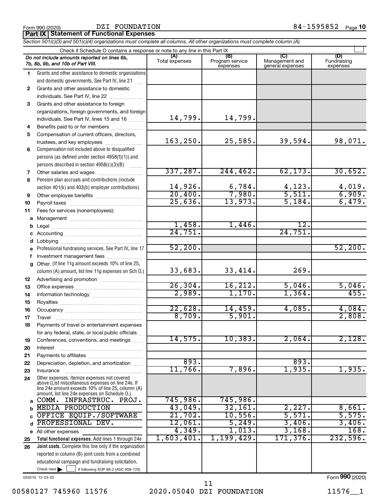DZI FOUNDATION

**Part IX Statement of Functional Expenses**

|              | Section 501(c)(3) and 501(c)(4) organizations must complete all columns. All other organizations must complete column (A).                                                                                 |                       |                                    |                                           |                                |
|--------------|------------------------------------------------------------------------------------------------------------------------------------------------------------------------------------------------------------|-----------------------|------------------------------------|-------------------------------------------|--------------------------------|
|              | Check if Schedule O contains a response or note to any line in this Part IX                                                                                                                                |                       |                                    |                                           |                                |
|              | Do not include amounts reported on lines 6b,<br>7b, 8b, 9b, and 10b of Part VIII.                                                                                                                          | (A)<br>Total expenses | (B)<br>Program service<br>expenses | (C)<br>Management and<br>general expenses | (D)<br>Fundraising<br>expenses |
| 1.           | Grants and other assistance to domestic organizations                                                                                                                                                      |                       |                                    |                                           |                                |
|              | and domestic governments. See Part IV, line 21                                                                                                                                                             |                       |                                    |                                           |                                |
| $\mathbf{2}$ | Grants and other assistance to domestic                                                                                                                                                                    |                       |                                    |                                           |                                |
|              | individuals. See Part IV, line 22                                                                                                                                                                          |                       |                                    |                                           |                                |
| 3            | Grants and other assistance to foreign                                                                                                                                                                     |                       |                                    |                                           |                                |
|              | organizations, foreign governments, and foreign                                                                                                                                                            |                       |                                    |                                           |                                |
|              | individuals. See Part IV, lines 15 and 16                                                                                                                                                                  | 14,799.               | 14,799.                            |                                           |                                |
| 4            | Benefits paid to or for members                                                                                                                                                                            |                       |                                    |                                           |                                |
| 5            | Compensation of current officers, directors,                                                                                                                                                               |                       |                                    |                                           |                                |
|              | trustees, and key employees                                                                                                                                                                                | 163,250.              | 25,585.                            | 39,594.                                   | 98,071.                        |
| 6            | Compensation not included above to disqualified                                                                                                                                                            |                       |                                    |                                           |                                |
|              | persons (as defined under section 4958(f)(1)) and                                                                                                                                                          |                       |                                    |                                           |                                |
|              | persons described in section 4958(c)(3)(B)                                                                                                                                                                 |                       |                                    |                                           |                                |
| 7            | Other salaries and wages                                                                                                                                                                                   | 337,287.              | 244, 462.                          | 62, 173.                                  | 30,652.                        |
| 8            | Pension plan accruals and contributions (include                                                                                                                                                           |                       |                                    |                                           |                                |
|              | section 401(k) and 403(b) employer contributions)                                                                                                                                                          | 14,926.               | $\frac{6,784.}{7,980.}$            | $\frac{4,123}{5,511}$                     | 4,019.                         |
| 9            | Other employee benefits                                                                                                                                                                                    | 20,400.               |                                    |                                           | 6,909.                         |
| 10           |                                                                                                                                                                                                            | 25,636.               | 13,973.                            | 5,184.                                    | 6,479.                         |
| 11           | Fees for services (nonemployees):                                                                                                                                                                          |                       |                                    |                                           |                                |
|              |                                                                                                                                                                                                            |                       |                                    |                                           |                                |
| b            |                                                                                                                                                                                                            | 1,458.<br>24,751.     | 1,446.                             | 12.<br>24,751.                            |                                |
|              |                                                                                                                                                                                                            |                       |                                    |                                           |                                |
|              |                                                                                                                                                                                                            | 52,200.               |                                    |                                           | 52,200.                        |
|              | e Professional fundraising services. See Part IV, line 17                                                                                                                                                  |                       |                                    |                                           |                                |
|              | Investment management fees                                                                                                                                                                                 |                       |                                    |                                           |                                |
|              | g Other. (If line 11g amount exceeds 10% of line 25,                                                                                                                                                       | 33,683.               | 33, 414.                           | 269.                                      |                                |
|              | column (A) amount, list line 11g expenses on Sch O.)                                                                                                                                                       |                       |                                    |                                           |                                |
| 12           |                                                                                                                                                                                                            | 26, 304.              | 16, 212.                           | 5,046.                                    | 5,046.                         |
| 13           |                                                                                                                                                                                                            | 2,989.                | 1,170.                             | 1,364.                                    | 455.                           |
| 14           |                                                                                                                                                                                                            |                       |                                    |                                           |                                |
| 15<br>16     |                                                                                                                                                                                                            | 22,628.               | 14,459.                            | 4,085.                                    | 4,084.                         |
| 17           |                                                                                                                                                                                                            | 8,709.                | 5,901.                             |                                           | 2,808.                         |
| 18           | Payments of travel or entertainment expenses                                                                                                                                                               |                       |                                    |                                           |                                |
|              | for any federal, state, or local public officials                                                                                                                                                          |                       |                                    |                                           |                                |
| 19           | Conferences, conventions, and meetings                                                                                                                                                                     | 14,575.               | 10,383.                            | 2,064.                                    | 2,128.                         |
| 20           | Interest                                                                                                                                                                                                   |                       |                                    |                                           |                                |
| 21           |                                                                                                                                                                                                            |                       |                                    |                                           |                                |
| 22           | Depreciation, depletion, and amortization                                                                                                                                                                  | 893.                  |                                    | 893.                                      |                                |
| 23           | Insurance                                                                                                                                                                                                  | 11,766.               | 7,896.                             | 1,935.                                    | 1,935.                         |
| 24           | Other expenses. Itemize expenses not covered<br>above (List miscellaneous expenses on line 24e. If<br>line 24e amount exceeds 10% of line 25, column (A)<br>amount, list line 24e expenses on Schedule O.) |                       |                                    |                                           |                                |
| a            | COMM. INFRASTRUC. PROJ.                                                                                                                                                                                    | 745,986.              | 745,986.                           |                                           |                                |
|              | <b>MEDIA PRODUCTION</b>                                                                                                                                                                                    | 43,049.               | 32,161.                            | 2,227.                                    | 8,661.                         |
|              | OFFICE EQUIP./SOFTWARE                                                                                                                                                                                     | 21,702.               | 10,556.                            | 5,571.                                    | 5,575.                         |
| d            | PROFESSIONAL DEV.                                                                                                                                                                                          | 12,061.               | 5, 249.                            | 3,406.                                    | 3,406.                         |
|              | e All other expenses                                                                                                                                                                                       | 4,349.                | 1,013.                             | 3,168.                                    | 168.                           |
| 25           | Total functional expenses. Add lines 1 through 24e                                                                                                                                                         | 1,603,401.            | 1,199,429.                         | 171,376.                                  | 232,596.                       |
| 26           | Joint costs. Complete this line only if the organization                                                                                                                                                   |                       |                                    |                                           |                                |
|              | reported in column (B) joint costs from a combined                                                                                                                                                         |                       |                                    |                                           |                                |
|              | educational campaign and fundraising solicitation.                                                                                                                                                         |                       |                                    |                                           |                                |
|              | Check here $\blacktriangleright$<br>if following SOP 98-2 (ASC 958-720)                                                                                                                                    |                       |                                    |                                           |                                |
|              |                                                                                                                                                                                                            |                       |                                    |                                           |                                |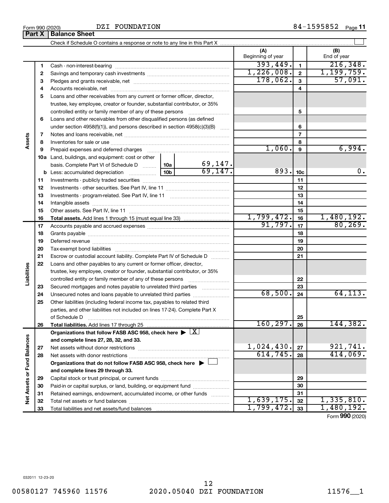DZI FOUNDATION

|                             |    |                                                                                                        |      |                         | (A)<br>Beginning of year |                | (B)<br>End of year |
|-----------------------------|----|--------------------------------------------------------------------------------------------------------|------|-------------------------|--------------------------|----------------|--------------------|
|                             | 1  |                                                                                                        |      |                         | 393,449.                 | $\mathbf{1}$   | 216, 348.          |
|                             | 2  |                                                                                                        |      |                         | 1,226,008.               | $\mathbf{2}$   | 1, 199, 759.       |
|                             | З  |                                                                                                        |      |                         | 178,062.                 | $\mathbf{3}$   | 57,091.            |
|                             | 4  |                                                                                                        |      |                         |                          | 4              |                    |
|                             | 5  | Loans and other receivables from any current or former officer, director,                              |      |                         |                          |                |                    |
|                             |    | trustee, key employee, creator or founder, substantial contributor, or 35%                             |      |                         |                          |                |                    |
|                             |    | controlled entity or family member of any of these persons                                             |      |                         |                          | 5              |                    |
|                             | 6  | Loans and other receivables from other disqualified persons (as defined                                |      |                         |                          |                |                    |
|                             |    | under section $4958(f)(1)$ , and persons described in section $4958(c)(3)(B)$                          |      |                         |                          | 6              |                    |
|                             | 7  |                                                                                                        |      |                         |                          | $\overline{7}$ |                    |
| Assets                      | 8  |                                                                                                        |      |                         |                          | 8              |                    |
|                             | 9  | Prepaid expenses and deferred charges                                                                  |      |                         | 1,060.                   | 9              | 6,994.             |
|                             |    | 10a Land, buildings, and equipment: cost or other                                                      |      |                         |                          |                |                    |
|                             |    | basis. Complete Part VI of Schedule D $\ldots$   10a                                                   |      | $\frac{69,147}{69,147}$ |                          |                |                    |
|                             |    | <b>b</b> Less: accumulated depreciation                                                                | 893. | 10 <sub>c</sub>         | 0.                       |                |                    |
|                             | 11 |                                                                                                        |      |                         |                          | 11             |                    |
|                             | 12 |                                                                                                        |      |                         | 12                       |                |                    |
|                             | 13 |                                                                                                        |      |                         | 13                       |                |                    |
|                             | 14 |                                                                                                        |      |                         | 14                       |                |                    |
|                             | 15 |                                                                                                        |      |                         |                          | 15             |                    |
|                             | 16 |                                                                                                        |      |                         | 1,799,472.               | 16             | 1,480,192.         |
|                             | 17 |                                                                                                        |      |                         | 91,797.                  | 17             | 80, 269.           |
|                             | 18 |                                                                                                        |      | 18                      |                          |                |                    |
|                             | 19 |                                                                                                        |      | 19                      |                          |                |                    |
|                             | 20 |                                                                                                        |      |                         |                          | 20             |                    |
|                             | 21 | Escrow or custodial account liability. Complete Part IV of Schedule D                                  |      |                         |                          | 21             |                    |
|                             | 22 | Loans and other payables to any current or former officer, director,                                   |      |                         |                          |                |                    |
| Liabilities                 |    | trustee, key employee, creator or founder, substantial contributor, or 35%                             |      |                         |                          |                |                    |
|                             |    |                                                                                                        |      |                         |                          | 22             |                    |
|                             | 23 | Secured mortgages and notes payable to unrelated third parties                                         |      |                         |                          | 23             |                    |
|                             | 24 | Unsecured notes and loans payable to unrelated third parties                                           |      |                         | 68,500.                  | 24             | 64, 113.           |
|                             | 25 | Other liabilities (including federal income tax, payables to related third                             |      |                         |                          |                |                    |
|                             |    | parties, and other liabilities not included on lines 17-24). Complete Part X                           |      |                         |                          |                |                    |
|                             |    | of Schedule D                                                                                          |      |                         |                          | 25             |                    |
|                             | 26 |                                                                                                        |      |                         | $160, 297$ . 26          |                | 144,382.           |
|                             |    | Organizations that follow FASB ASC 958, check here $\blacktriangleright \lfloor \underline{X} \rfloor$ |      |                         |                          |                |                    |
|                             |    | and complete lines 27, 28, 32, and 33.                                                                 |      |                         | 1,024,430.               |                | 921,741.           |
|                             | 27 |                                                                                                        |      |                         | 614,745.                 | 27             | 414,069.           |
|                             | 28 |                                                                                                        |      |                         |                          | 28             |                    |
|                             |    | Organizations that do not follow FASB ASC 958, check here $\blacktriangleright \bot$                   |      |                         |                          |                |                    |
|                             |    | and complete lines 29 through 33.                                                                      |      |                         |                          |                |                    |
| Net Assets or Fund Balances | 29 |                                                                                                        |      |                         |                          | 29             |                    |
|                             | 30 | Paid-in or capital surplus, or land, building, or equipment fund                                       |      |                         |                          | 30             |                    |
|                             | 31 | Retained earnings, endowment, accumulated income, or other funds                                       |      |                         | 1,639,175.               | 31             | 1,335,810.         |
|                             | 32 |                                                                                                        |      |                         | 1,799,472.               | 32             | 1,480,192.         |
|                             | 33 |                                                                                                        |      |                         |                          | 33             |                    |

Form (2020) **990**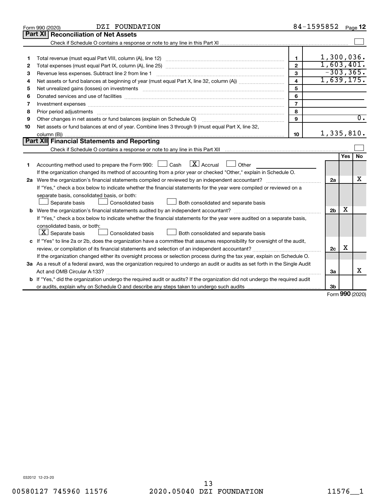|    | DZI FOUNDATION<br>Form 990 (2020)                                                                                                                                                                                              |                         | 84-1595852     |     | Page 12          |
|----|--------------------------------------------------------------------------------------------------------------------------------------------------------------------------------------------------------------------------------|-------------------------|----------------|-----|------------------|
|    | <b>Part XI</b><br><b>Reconciliation of Net Assets</b>                                                                                                                                                                          |                         |                |     |                  |
|    |                                                                                                                                                                                                                                |                         |                |     |                  |
|    |                                                                                                                                                                                                                                |                         |                |     |                  |
| 1  |                                                                                                                                                                                                                                | $\mathbf{1}$            |                |     | 1,300,036.       |
| 2  |                                                                                                                                                                                                                                | $\overline{2}$          |                |     | 1,603,401.       |
| 3  | Revenue less expenses. Subtract line 2 from line 1                                                                                                                                                                             | 3                       |                |     | $-303, 365.$     |
| 4  |                                                                                                                                                                                                                                | $\overline{\mathbf{4}}$ |                |     | 1,639,175.       |
| 5  |                                                                                                                                                                                                                                | 5                       |                |     |                  |
| 6  |                                                                                                                                                                                                                                | 6                       |                |     |                  |
| 7  | Investment expenses www.communication.com/www.communication.com/www.communication.com/www.com                                                                                                                                  | $\overline{7}$          |                |     |                  |
| 8  | Prior period adjustments material contents and content and content and content and content and content and content and content and content and content and content and content and content and content and content and content | 8                       |                |     |                  |
| 9  | Other changes in net assets or fund balances (explain on Schedule O)                                                                                                                                                           | 9                       |                |     | $\overline{0}$ . |
| 10 | Net assets or fund balances at end of year. Combine lines 3 through 9 (must equal Part X, line 32,                                                                                                                             |                         |                |     |                  |
|    |                                                                                                                                                                                                                                | 10                      |                |     | 1,335,810.       |
|    | Part XII Financial Statements and Reporting                                                                                                                                                                                    |                         |                |     |                  |
|    |                                                                                                                                                                                                                                |                         |                |     |                  |
|    |                                                                                                                                                                                                                                |                         |                | Yes | <b>No</b>        |
| 1. | Accounting method used to prepare the Form 990: $\Box$ Cash $\Box X$ Accrual<br><b>Durier</b> Other                                                                                                                            |                         |                |     |                  |
|    | If the organization changed its method of accounting from a prior year or checked "Other," explain in Schedule O.                                                                                                              |                         |                |     |                  |
|    |                                                                                                                                                                                                                                |                         | 2a             |     | х                |
|    | If "Yes," check a box below to indicate whether the financial statements for the year were compiled or reviewed on a                                                                                                           |                         |                |     |                  |
|    | separate basis, consolidated basis, or both:                                                                                                                                                                                   |                         |                |     |                  |
|    | Both consolidated and separate basis<br>Separate basis<br>Consolidated basis                                                                                                                                                   |                         |                |     |                  |
|    |                                                                                                                                                                                                                                |                         | 2 <sub>b</sub> | х   |                  |
|    | If "Yes," check a box below to indicate whether the financial statements for the year were audited on a separate basis,                                                                                                        |                         |                |     |                  |
|    | consolidated basis, or both:                                                                                                                                                                                                   |                         |                |     |                  |
|    | $ \mathbf{X} $ Separate basis<br>Consolidated basis<br>Both consolidated and separate basis                                                                                                                                    |                         |                |     |                  |
|    | c If "Yes" to line 2a or 2b, does the organization have a committee that assumes responsibility for oversight of the audit,                                                                                                    |                         |                |     |                  |
|    |                                                                                                                                                                                                                                |                         | 2c             | х   |                  |
|    | If the organization changed either its oversight process or selection process during the tax year, explain on Schedule O.                                                                                                      |                         |                |     |                  |
|    | 3a As a result of a federal award, was the organization required to undergo an audit or audits as set forth in the Single Audit                                                                                                |                         |                |     |                  |
|    |                                                                                                                                                                                                                                |                         | 3a             |     | x                |
|    | <b>b</b> If "Yes," did the organization undergo the required audit or audits? If the organization did not undergo the required audit                                                                                           |                         |                |     |                  |
|    |                                                                                                                                                                                                                                |                         | 3b             |     | $000 - 1$        |
|    |                                                                                                                                                                                                                                |                         |                |     |                  |

Form (2020) **990**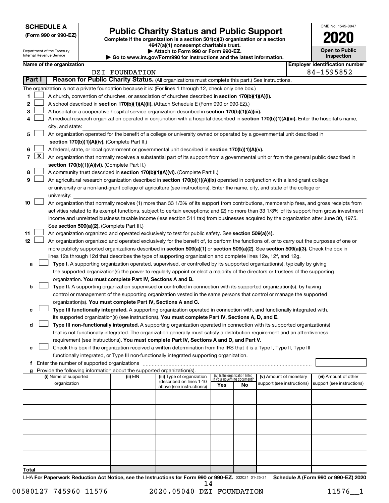**SCHEDULE A**

Department of the Treasury

# Form 990 or 990-EZ) **Public Charity Status and Public Support**<br>
Complete if the organization is a section 501(c)(3) organization or a section<br> **2020**

**4947(a)(1) nonexempt charitable trust. | Attach to Form 990 or Form 990-EZ.** 

| <b>Open to Public</b><br>Inspection |  |  |  |  |  |  |  |
|-------------------------------------|--|--|--|--|--|--|--|
| r identification numbe              |  |  |  |  |  |  |  |

OMB No. 1545-0047

|              |                     | Internal Revenue Service                                                                                                                  |  |                                                                        | Go to www.irs.gov/Form990 for instructions and the latest information.                                                                       |     |                                                                |                                                      | <b>Inspection</b>                                  |
|--------------|---------------------|-------------------------------------------------------------------------------------------------------------------------------------------|--|------------------------------------------------------------------------|----------------------------------------------------------------------------------------------------------------------------------------------|-----|----------------------------------------------------------------|------------------------------------------------------|----------------------------------------------------|
|              |                     | Name of the organization                                                                                                                  |  |                                                                        |                                                                                                                                              |     |                                                                |                                                      | <b>Employer identification number</b>              |
|              |                     |                                                                                                                                           |  | DZI FOUNDATION                                                         |                                                                                                                                              |     |                                                                |                                                      | 84-1595852                                         |
|              | Part I              |                                                                                                                                           |  |                                                                        | Reason for Public Charity Status. (All organizations must complete this part.) See instructions.                                             |     |                                                                |                                                      |                                                    |
|              |                     |                                                                                                                                           |  |                                                                        | The organization is not a private foundation because it is: (For lines 1 through 12, check only one box.)                                    |     |                                                                |                                                      |                                                    |
| 1            |                     |                                                                                                                                           |  |                                                                        | A church, convention of churches, or association of churches described in section 170(b)(1)(A)(i).                                           |     |                                                                |                                                      |                                                    |
| 2            |                     |                                                                                                                                           |  |                                                                        | A school described in section 170(b)(1)(A)(ii). (Attach Schedule E (Form 990 or 990-EZ).)                                                    |     |                                                                |                                                      |                                                    |
| 3            |                     |                                                                                                                                           |  |                                                                        | A hospital or a cooperative hospital service organization described in section 170(b)(1)(A)(iii).                                            |     |                                                                |                                                      |                                                    |
| 4            |                     |                                                                                                                                           |  |                                                                        | A medical research organization operated in conjunction with a hospital described in section 170(b)(1)(A)(iii). Enter the hospital's name,   |     |                                                                |                                                      |                                                    |
|              |                     | city, and state:                                                                                                                          |  |                                                                        |                                                                                                                                              |     |                                                                |                                                      |                                                    |
| 5            |                     |                                                                                                                                           |  |                                                                        | An organization operated for the benefit of a college or university owned or operated by a governmental unit described in                    |     |                                                                |                                                      |                                                    |
|              |                     |                                                                                                                                           |  | section 170(b)(1)(A)(iv). (Complete Part II.)                          |                                                                                                                                              |     |                                                                |                                                      |                                                    |
| 6            |                     |                                                                                                                                           |  |                                                                        | A federal, state, or local government or governmental unit described in section 170(b)(1)(A)(v).                                             |     |                                                                |                                                      |                                                    |
| $\mathbf{7}$ | $\lfloor x \rfloor$ | An organization that normally receives a substantial part of its support from a governmental unit or from the general public described in |  |                                                                        |                                                                                                                                              |     |                                                                |                                                      |                                                    |
|              |                     |                                                                                                                                           |  | section 170(b)(1)(A)(vi). (Complete Part II.)                          |                                                                                                                                              |     |                                                                |                                                      |                                                    |
| 8            |                     |                                                                                                                                           |  |                                                                        | A community trust described in section 170(b)(1)(A)(vi). (Complete Part II.)                                                                 |     |                                                                |                                                      |                                                    |
| 9            |                     |                                                                                                                                           |  |                                                                        | An agricultural research organization described in section 170(b)(1)(A)(ix) operated in conjunction with a land-grant college                |     |                                                                |                                                      |                                                    |
|              |                     |                                                                                                                                           |  |                                                                        | or university or a non-land-grant college of agriculture (see instructions). Enter the name, city, and state of the college or               |     |                                                                |                                                      |                                                    |
|              |                     | university:                                                                                                                               |  |                                                                        |                                                                                                                                              |     |                                                                |                                                      |                                                    |
| 10           |                     |                                                                                                                                           |  |                                                                        | An organization that normally receives (1) more than 33 1/3% of its support from contributions, membership fees, and gross receipts from     |     |                                                                |                                                      |                                                    |
|              |                     |                                                                                                                                           |  |                                                                        | activities related to its exempt functions, subject to certain exceptions; and (2) no more than 33 1/3% of its support from gross investment |     |                                                                |                                                      |                                                    |
|              |                     |                                                                                                                                           |  |                                                                        | income and unrelated business taxable income (less section 511 tax) from businesses acquired by the organization after June 30, 1975.        |     |                                                                |                                                      |                                                    |
|              |                     |                                                                                                                                           |  | See section 509(a)(2). (Complete Part III.)                            |                                                                                                                                              |     |                                                                |                                                      |                                                    |
| 11           |                     |                                                                                                                                           |  |                                                                        | An organization organized and operated exclusively to test for public safety. See section 509(a)(4).                                         |     |                                                                |                                                      |                                                    |
| 12           |                     |                                                                                                                                           |  |                                                                        | An organization organized and operated exclusively for the benefit of, to perform the functions of, or to carry out the purposes of one or   |     |                                                                |                                                      |                                                    |
|              |                     |                                                                                                                                           |  |                                                                        | more publicly supported organizations described in section 509(a)(1) or section 509(a)(2). See section 509(a)(3). Check the box in           |     |                                                                |                                                      |                                                    |
|              |                     |                                                                                                                                           |  |                                                                        | lines 12a through 12d that describes the type of supporting organization and complete lines 12e, 12f, and 12g.                               |     |                                                                |                                                      |                                                    |
| а            |                     |                                                                                                                                           |  |                                                                        | Type I. A supporting organization operated, supervised, or controlled by its supported organization(s), typically by giving                  |     |                                                                |                                                      |                                                    |
|              |                     |                                                                                                                                           |  |                                                                        | the supported organization(s) the power to regularly appoint or elect a majority of the directors or trustees of the supporting              |     |                                                                |                                                      |                                                    |
|              |                     |                                                                                                                                           |  | organization. You must complete Part IV, Sections A and B.             |                                                                                                                                              |     |                                                                |                                                      |                                                    |
| b            |                     |                                                                                                                                           |  |                                                                        | Type II. A supporting organization supervised or controlled in connection with its supported organization(s), by having                      |     |                                                                |                                                      |                                                    |
|              |                     |                                                                                                                                           |  |                                                                        | control or management of the supporting organization vested in the same persons that control or manage the supported                         |     |                                                                |                                                      |                                                    |
|              |                     |                                                                                                                                           |  | organization(s). You must complete Part IV, Sections A and C.          |                                                                                                                                              |     |                                                                |                                                      |                                                    |
|              |                     |                                                                                                                                           |  |                                                                        | Type III functionally integrated. A supporting organization operated in connection with, and functionally integrated with,                   |     |                                                                |                                                      |                                                    |
|              |                     |                                                                                                                                           |  |                                                                        | its supported organization(s) (see instructions). You must complete Part IV, Sections A, D, and E.                                           |     |                                                                |                                                      |                                                    |
| d            |                     |                                                                                                                                           |  |                                                                        | Type III non-functionally integrated. A supporting organization operated in connection with its supported organization(s)                    |     |                                                                |                                                      |                                                    |
|              |                     |                                                                                                                                           |  |                                                                        | that is not functionally integrated. The organization generally must satisfy a distribution requirement and an attentiveness                 |     |                                                                |                                                      |                                                    |
|              |                     |                                                                                                                                           |  |                                                                        | requirement (see instructions). You must complete Part IV, Sections A and D, and Part V.                                                     |     |                                                                |                                                      |                                                    |
| е            |                     |                                                                                                                                           |  |                                                                        | Check this box if the organization received a written determination from the IRS that it is a Type I, Type II, Type III                      |     |                                                                |                                                      |                                                    |
|              |                     |                                                                                                                                           |  |                                                                        | functionally integrated, or Type III non-functionally integrated supporting organization.                                                    |     |                                                                |                                                      |                                                    |
|              |                     |                                                                                                                                           |  |                                                                        |                                                                                                                                              |     |                                                                |                                                      |                                                    |
|              |                     |                                                                                                                                           |  | Provide the following information about the supported organization(s). |                                                                                                                                              |     |                                                                |                                                      |                                                    |
|              |                     | (i) Name of supported<br>organization                                                                                                     |  | (ii) EIN                                                               | (iii) Type of organization<br>(described on lines 1-10                                                                                       |     | (iv) Is the organization listed<br>in your governing document? | (v) Amount of monetary<br>support (see instructions) | (vi) Amount of other<br>support (see instructions) |
|              |                     |                                                                                                                                           |  |                                                                        | above (see instructions))                                                                                                                    | Yes | No                                                             |                                                      |                                                    |
|              |                     |                                                                                                                                           |  |                                                                        |                                                                                                                                              |     |                                                                |                                                      |                                                    |
|              |                     |                                                                                                                                           |  |                                                                        |                                                                                                                                              |     |                                                                |                                                      |                                                    |
|              |                     |                                                                                                                                           |  |                                                                        |                                                                                                                                              |     |                                                                |                                                      |                                                    |
|              |                     |                                                                                                                                           |  |                                                                        |                                                                                                                                              |     |                                                                |                                                      |                                                    |
|              |                     |                                                                                                                                           |  |                                                                        |                                                                                                                                              |     |                                                                |                                                      |                                                    |
|              |                     |                                                                                                                                           |  |                                                                        |                                                                                                                                              |     |                                                                |                                                      |                                                    |
|              |                     |                                                                                                                                           |  |                                                                        |                                                                                                                                              |     |                                                                |                                                      |                                                    |
|              |                     |                                                                                                                                           |  |                                                                        |                                                                                                                                              |     |                                                                |                                                      |                                                    |
|              |                     |                                                                                                                                           |  |                                                                        |                                                                                                                                              |     |                                                                |                                                      |                                                    |
|              |                     |                                                                                                                                           |  |                                                                        |                                                                                                                                              |     |                                                                |                                                      |                                                    |
| Total        |                     |                                                                                                                                           |  |                                                                        |                                                                                                                                              |     |                                                                |                                                      |                                                    |

LHA For Paperwork Reduction Act Notice, see the Instructions for Form 990 or 990-EZ. 032021 01-25-21 Schedule A (Form 990 or 990-EZ) 2020 14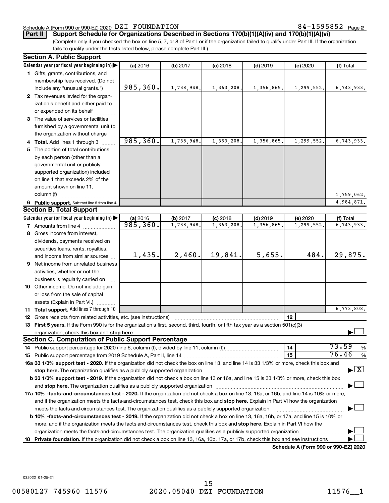#### Schedule A (Form 990 or 990-EZ) 2020  $\rm DZI$   $\rm FOUNDATION$  84  $-1595852$   $\rm Page$

84-1595852 Page 2

**Part II Support Schedule for Organizations Described in Sections 170(b)(1)(A)(iv) and 170(b)(1)(A)(vi)**

(Complete only if you checked the box on line 5, 7, or 8 of Part I or if the organization failed to qualify under Part III. If the organization fails to qualify under the tests listed below, please complete Part III.)

| Calendar year (or fiscal year beginning in)<br>(a) 2016<br>$(d)$ 2019<br>(f) Total<br>(b) 2017<br>$(c)$ 2018<br>(e) 2020<br>1 Gifts, grants, contributions, and<br>membership fees received. (Do not<br>985,360.<br>1,738,948.<br>1,363,208.<br>1,356,865.<br>1,299,552.<br>6,743,933.<br>include any "unusual grants.")<br>2 Tax revenues levied for the organ-<br>ization's benefit and either paid to<br>or expended on its behalf<br>3 The value of services or facilities<br>furnished by a governmental unit to<br>the organization without charge<br>985, 360.<br>1,738,948<br>1,363,208.<br>1,356,865<br>1,299,552<br>6,743,933.<br>4 Total. Add lines 1 through 3<br>5 The portion of total contributions<br>by each person (other than a<br>governmental unit or publicly<br>supported organization) included<br>on line 1 that exceeds 2% of the<br>amount shown on line 11,<br>column (f)<br>1,759,062.<br>4,984,871.<br>6 Public support. Subtract line 5 from line 4.<br><b>Section B. Total Support</b><br>Calendar year (or fiscal year beginning in)<br>(a) 2016<br>(b) 2017<br>$(c)$ 2018<br>$(d)$ 2019<br>(e) 2020<br>(f) Total<br>985,360.<br>1,738,948<br>1,363,208<br>1,356,865<br>1,299,552<br>6,743,933.<br><b>7</b> Amounts from line 4<br>8 Gross income from interest,<br>dividends, payments received on<br>securities loans, rents, royalties,<br>19,841.<br>5,655.<br>29,875.<br>2,460.<br>484.<br>1,435.<br>and income from similar sources<br>9 Net income from unrelated business<br>activities, whether or not the<br>business is regularly carried on<br>10 Other income. Do not include gain<br>or loss from the sale of capital<br>assets (Explain in Part VI.)<br>6,773,808.<br>11 Total support. Add lines 7 through 10<br>12<br><b>12</b> Gross receipts from related activities, etc. (see instructions)<br>13 First 5 years. If the Form 990 is for the organization's first, second, third, fourth, or fifth tax year as a section 501(c)(3)<br><b>Section C. Computation of Public Support Percentage</b><br>73.59<br>%<br>14<br>76.46<br>15<br>%<br>16a 33 1/3% support test - 2020. If the organization did not check the box on line 13, and line 14 is 33 1/3% or more, check this box and<br>$\blacktriangleright$ $\mathbf{X}$<br>stop here. The organization qualifies as a publicly supported organization manufactured content and the content of the state of the state of the state of the state of the state of the state of the state of the state of the<br>b 33 1/3% support test - 2019. If the organization did not check a box on line 13 or 16a, and line 15 is 33 1/3% or more, check this box<br>17a 10% -facts-and-circumstances test - 2020. If the organization did not check a box on line 13, 16a, or 16b, and line 14 is 10% or more,<br>and if the organization meets the facts-and-circumstances test, check this box and stop here. Explain in Part VI how the organization<br>meets the facts-and-circumstances test. The organization qualifies as a publicly supported organization<br><b>b 10%</b> -facts-and-circumstances test - 2019. If the organization did not check a box on line 13, 16a, 16b, or 17a, and line 15 is 10% or<br>more, and if the organization meets the facts-and-circumstances test, check this box and stop here. Explain in Part VI how the<br>organization meets the facts-and-circumstances test. The organization qualifies as a publicly supported organization<br>18 Private foundation. If the organization did not check a box on line 13, 16a, 16b, 17a, or 17b, check this box and see instructions<br>Schedule A (Form 990 or 990-F7) 2020 | <b>Section A. Public Support</b> |  |  |  |  |  |  |  |  |
|---------------------------------------------------------------------------------------------------------------------------------------------------------------------------------------------------------------------------------------------------------------------------------------------------------------------------------------------------------------------------------------------------------------------------------------------------------------------------------------------------------------------------------------------------------------------------------------------------------------------------------------------------------------------------------------------------------------------------------------------------------------------------------------------------------------------------------------------------------------------------------------------------------------------------------------------------------------------------------------------------------------------------------------------------------------------------------------------------------------------------------------------------------------------------------------------------------------------------------------------------------------------------------------------------------------------------------------------------------------------------------------------------------------------------------------------------------------------------------------------------------------------------------------------------------------------------------------------------------------------------------------------------------------------------------------------------------------------------------------------------------------------------------------------------------------------------------------------------------------------------------------------------------------------------------------------------------------------------------------------------------------------------------------------------------------------------------------------------------------------------------------------------------------------------------------------------------------------------------------------------------------------------------------------------------------------------------------------------------------------------------------------------------------------------------------------------------------------------------------------------------------------------------------------------------------------------------------------------------------------------------------------------------------------------------------------------------------------------------------------------------------------------------------------------------------------------------------------------------------------------------------------------------------------------------------------------------------------------------------------------------------------------------------------------------------------------------------------------------------------------------------------------------------------------------------------------------------------------------------------------------------------------------------------------------------------------------------------------------------------------------------------------------------------------------------------------------------------------------------------------------------------------------------------------------------------------------------------------------------------------------------------------------------|----------------------------------|--|--|--|--|--|--|--|--|
|                                                                                                                                                                                                                                                                                                                                                                                                                                                                                                                                                                                                                                                                                                                                                                                                                                                                                                                                                                                                                                                                                                                                                                                                                                                                                                                                                                                                                                                                                                                                                                                                                                                                                                                                                                                                                                                                                                                                                                                                                                                                                                                                                                                                                                                                                                                                                                                                                                                                                                                                                                                                                                                                                                                                                                                                                                                                                                                                                                                                                                                                                                                                                                                                                                                                                                                                                                                                                                                                                                                                                                                                                                                               |                                  |  |  |  |  |  |  |  |  |
|                                                                                                                                                                                                                                                                                                                                                                                                                                                                                                                                                                                                                                                                                                                                                                                                                                                                                                                                                                                                                                                                                                                                                                                                                                                                                                                                                                                                                                                                                                                                                                                                                                                                                                                                                                                                                                                                                                                                                                                                                                                                                                                                                                                                                                                                                                                                                                                                                                                                                                                                                                                                                                                                                                                                                                                                                                                                                                                                                                                                                                                                                                                                                                                                                                                                                                                                                                                                                                                                                                                                                                                                                                                               |                                  |  |  |  |  |  |  |  |  |
|                                                                                                                                                                                                                                                                                                                                                                                                                                                                                                                                                                                                                                                                                                                                                                                                                                                                                                                                                                                                                                                                                                                                                                                                                                                                                                                                                                                                                                                                                                                                                                                                                                                                                                                                                                                                                                                                                                                                                                                                                                                                                                                                                                                                                                                                                                                                                                                                                                                                                                                                                                                                                                                                                                                                                                                                                                                                                                                                                                                                                                                                                                                                                                                                                                                                                                                                                                                                                                                                                                                                                                                                                                                               |                                  |  |  |  |  |  |  |  |  |
|                                                                                                                                                                                                                                                                                                                                                                                                                                                                                                                                                                                                                                                                                                                                                                                                                                                                                                                                                                                                                                                                                                                                                                                                                                                                                                                                                                                                                                                                                                                                                                                                                                                                                                                                                                                                                                                                                                                                                                                                                                                                                                                                                                                                                                                                                                                                                                                                                                                                                                                                                                                                                                                                                                                                                                                                                                                                                                                                                                                                                                                                                                                                                                                                                                                                                                                                                                                                                                                                                                                                                                                                                                                               |                                  |  |  |  |  |  |  |  |  |
|                                                                                                                                                                                                                                                                                                                                                                                                                                                                                                                                                                                                                                                                                                                                                                                                                                                                                                                                                                                                                                                                                                                                                                                                                                                                                                                                                                                                                                                                                                                                                                                                                                                                                                                                                                                                                                                                                                                                                                                                                                                                                                                                                                                                                                                                                                                                                                                                                                                                                                                                                                                                                                                                                                                                                                                                                                                                                                                                                                                                                                                                                                                                                                                                                                                                                                                                                                                                                                                                                                                                                                                                                                                               |                                  |  |  |  |  |  |  |  |  |
|                                                                                                                                                                                                                                                                                                                                                                                                                                                                                                                                                                                                                                                                                                                                                                                                                                                                                                                                                                                                                                                                                                                                                                                                                                                                                                                                                                                                                                                                                                                                                                                                                                                                                                                                                                                                                                                                                                                                                                                                                                                                                                                                                                                                                                                                                                                                                                                                                                                                                                                                                                                                                                                                                                                                                                                                                                                                                                                                                                                                                                                                                                                                                                                                                                                                                                                                                                                                                                                                                                                                                                                                                                                               |                                  |  |  |  |  |  |  |  |  |
|                                                                                                                                                                                                                                                                                                                                                                                                                                                                                                                                                                                                                                                                                                                                                                                                                                                                                                                                                                                                                                                                                                                                                                                                                                                                                                                                                                                                                                                                                                                                                                                                                                                                                                                                                                                                                                                                                                                                                                                                                                                                                                                                                                                                                                                                                                                                                                                                                                                                                                                                                                                                                                                                                                                                                                                                                                                                                                                                                                                                                                                                                                                                                                                                                                                                                                                                                                                                                                                                                                                                                                                                                                                               |                                  |  |  |  |  |  |  |  |  |
|                                                                                                                                                                                                                                                                                                                                                                                                                                                                                                                                                                                                                                                                                                                                                                                                                                                                                                                                                                                                                                                                                                                                                                                                                                                                                                                                                                                                                                                                                                                                                                                                                                                                                                                                                                                                                                                                                                                                                                                                                                                                                                                                                                                                                                                                                                                                                                                                                                                                                                                                                                                                                                                                                                                                                                                                                                                                                                                                                                                                                                                                                                                                                                                                                                                                                                                                                                                                                                                                                                                                                                                                                                                               |                                  |  |  |  |  |  |  |  |  |
|                                                                                                                                                                                                                                                                                                                                                                                                                                                                                                                                                                                                                                                                                                                                                                                                                                                                                                                                                                                                                                                                                                                                                                                                                                                                                                                                                                                                                                                                                                                                                                                                                                                                                                                                                                                                                                                                                                                                                                                                                                                                                                                                                                                                                                                                                                                                                                                                                                                                                                                                                                                                                                                                                                                                                                                                                                                                                                                                                                                                                                                                                                                                                                                                                                                                                                                                                                                                                                                                                                                                                                                                                                                               |                                  |  |  |  |  |  |  |  |  |
|                                                                                                                                                                                                                                                                                                                                                                                                                                                                                                                                                                                                                                                                                                                                                                                                                                                                                                                                                                                                                                                                                                                                                                                                                                                                                                                                                                                                                                                                                                                                                                                                                                                                                                                                                                                                                                                                                                                                                                                                                                                                                                                                                                                                                                                                                                                                                                                                                                                                                                                                                                                                                                                                                                                                                                                                                                                                                                                                                                                                                                                                                                                                                                                                                                                                                                                                                                                                                                                                                                                                                                                                                                                               |                                  |  |  |  |  |  |  |  |  |
|                                                                                                                                                                                                                                                                                                                                                                                                                                                                                                                                                                                                                                                                                                                                                                                                                                                                                                                                                                                                                                                                                                                                                                                                                                                                                                                                                                                                                                                                                                                                                                                                                                                                                                                                                                                                                                                                                                                                                                                                                                                                                                                                                                                                                                                                                                                                                                                                                                                                                                                                                                                                                                                                                                                                                                                                                                                                                                                                                                                                                                                                                                                                                                                                                                                                                                                                                                                                                                                                                                                                                                                                                                                               |                                  |  |  |  |  |  |  |  |  |
|                                                                                                                                                                                                                                                                                                                                                                                                                                                                                                                                                                                                                                                                                                                                                                                                                                                                                                                                                                                                                                                                                                                                                                                                                                                                                                                                                                                                                                                                                                                                                                                                                                                                                                                                                                                                                                                                                                                                                                                                                                                                                                                                                                                                                                                                                                                                                                                                                                                                                                                                                                                                                                                                                                                                                                                                                                                                                                                                                                                                                                                                                                                                                                                                                                                                                                                                                                                                                                                                                                                                                                                                                                                               |                                  |  |  |  |  |  |  |  |  |
|                                                                                                                                                                                                                                                                                                                                                                                                                                                                                                                                                                                                                                                                                                                                                                                                                                                                                                                                                                                                                                                                                                                                                                                                                                                                                                                                                                                                                                                                                                                                                                                                                                                                                                                                                                                                                                                                                                                                                                                                                                                                                                                                                                                                                                                                                                                                                                                                                                                                                                                                                                                                                                                                                                                                                                                                                                                                                                                                                                                                                                                                                                                                                                                                                                                                                                                                                                                                                                                                                                                                                                                                                                                               |                                  |  |  |  |  |  |  |  |  |
|                                                                                                                                                                                                                                                                                                                                                                                                                                                                                                                                                                                                                                                                                                                                                                                                                                                                                                                                                                                                                                                                                                                                                                                                                                                                                                                                                                                                                                                                                                                                                                                                                                                                                                                                                                                                                                                                                                                                                                                                                                                                                                                                                                                                                                                                                                                                                                                                                                                                                                                                                                                                                                                                                                                                                                                                                                                                                                                                                                                                                                                                                                                                                                                                                                                                                                                                                                                                                                                                                                                                                                                                                                                               |                                  |  |  |  |  |  |  |  |  |
|                                                                                                                                                                                                                                                                                                                                                                                                                                                                                                                                                                                                                                                                                                                                                                                                                                                                                                                                                                                                                                                                                                                                                                                                                                                                                                                                                                                                                                                                                                                                                                                                                                                                                                                                                                                                                                                                                                                                                                                                                                                                                                                                                                                                                                                                                                                                                                                                                                                                                                                                                                                                                                                                                                                                                                                                                                                                                                                                                                                                                                                                                                                                                                                                                                                                                                                                                                                                                                                                                                                                                                                                                                                               |                                  |  |  |  |  |  |  |  |  |
|                                                                                                                                                                                                                                                                                                                                                                                                                                                                                                                                                                                                                                                                                                                                                                                                                                                                                                                                                                                                                                                                                                                                                                                                                                                                                                                                                                                                                                                                                                                                                                                                                                                                                                                                                                                                                                                                                                                                                                                                                                                                                                                                                                                                                                                                                                                                                                                                                                                                                                                                                                                                                                                                                                                                                                                                                                                                                                                                                                                                                                                                                                                                                                                                                                                                                                                                                                                                                                                                                                                                                                                                                                                               |                                  |  |  |  |  |  |  |  |  |
|                                                                                                                                                                                                                                                                                                                                                                                                                                                                                                                                                                                                                                                                                                                                                                                                                                                                                                                                                                                                                                                                                                                                                                                                                                                                                                                                                                                                                                                                                                                                                                                                                                                                                                                                                                                                                                                                                                                                                                                                                                                                                                                                                                                                                                                                                                                                                                                                                                                                                                                                                                                                                                                                                                                                                                                                                                                                                                                                                                                                                                                                                                                                                                                                                                                                                                                                                                                                                                                                                                                                                                                                                                                               |                                  |  |  |  |  |  |  |  |  |
|                                                                                                                                                                                                                                                                                                                                                                                                                                                                                                                                                                                                                                                                                                                                                                                                                                                                                                                                                                                                                                                                                                                                                                                                                                                                                                                                                                                                                                                                                                                                                                                                                                                                                                                                                                                                                                                                                                                                                                                                                                                                                                                                                                                                                                                                                                                                                                                                                                                                                                                                                                                                                                                                                                                                                                                                                                                                                                                                                                                                                                                                                                                                                                                                                                                                                                                                                                                                                                                                                                                                                                                                                                                               |                                  |  |  |  |  |  |  |  |  |
|                                                                                                                                                                                                                                                                                                                                                                                                                                                                                                                                                                                                                                                                                                                                                                                                                                                                                                                                                                                                                                                                                                                                                                                                                                                                                                                                                                                                                                                                                                                                                                                                                                                                                                                                                                                                                                                                                                                                                                                                                                                                                                                                                                                                                                                                                                                                                                                                                                                                                                                                                                                                                                                                                                                                                                                                                                                                                                                                                                                                                                                                                                                                                                                                                                                                                                                                                                                                                                                                                                                                                                                                                                                               |                                  |  |  |  |  |  |  |  |  |
|                                                                                                                                                                                                                                                                                                                                                                                                                                                                                                                                                                                                                                                                                                                                                                                                                                                                                                                                                                                                                                                                                                                                                                                                                                                                                                                                                                                                                                                                                                                                                                                                                                                                                                                                                                                                                                                                                                                                                                                                                                                                                                                                                                                                                                                                                                                                                                                                                                                                                                                                                                                                                                                                                                                                                                                                                                                                                                                                                                                                                                                                                                                                                                                                                                                                                                                                                                                                                                                                                                                                                                                                                                                               |                                  |  |  |  |  |  |  |  |  |
|                                                                                                                                                                                                                                                                                                                                                                                                                                                                                                                                                                                                                                                                                                                                                                                                                                                                                                                                                                                                                                                                                                                                                                                                                                                                                                                                                                                                                                                                                                                                                                                                                                                                                                                                                                                                                                                                                                                                                                                                                                                                                                                                                                                                                                                                                                                                                                                                                                                                                                                                                                                                                                                                                                                                                                                                                                                                                                                                                                                                                                                                                                                                                                                                                                                                                                                                                                                                                                                                                                                                                                                                                                                               |                                  |  |  |  |  |  |  |  |  |
|                                                                                                                                                                                                                                                                                                                                                                                                                                                                                                                                                                                                                                                                                                                                                                                                                                                                                                                                                                                                                                                                                                                                                                                                                                                                                                                                                                                                                                                                                                                                                                                                                                                                                                                                                                                                                                                                                                                                                                                                                                                                                                                                                                                                                                                                                                                                                                                                                                                                                                                                                                                                                                                                                                                                                                                                                                                                                                                                                                                                                                                                                                                                                                                                                                                                                                                                                                                                                                                                                                                                                                                                                                                               |                                  |  |  |  |  |  |  |  |  |
|                                                                                                                                                                                                                                                                                                                                                                                                                                                                                                                                                                                                                                                                                                                                                                                                                                                                                                                                                                                                                                                                                                                                                                                                                                                                                                                                                                                                                                                                                                                                                                                                                                                                                                                                                                                                                                                                                                                                                                                                                                                                                                                                                                                                                                                                                                                                                                                                                                                                                                                                                                                                                                                                                                                                                                                                                                                                                                                                                                                                                                                                                                                                                                                                                                                                                                                                                                                                                                                                                                                                                                                                                                                               |                                  |  |  |  |  |  |  |  |  |
|                                                                                                                                                                                                                                                                                                                                                                                                                                                                                                                                                                                                                                                                                                                                                                                                                                                                                                                                                                                                                                                                                                                                                                                                                                                                                                                                                                                                                                                                                                                                                                                                                                                                                                                                                                                                                                                                                                                                                                                                                                                                                                                                                                                                                                                                                                                                                                                                                                                                                                                                                                                                                                                                                                                                                                                                                                                                                                                                                                                                                                                                                                                                                                                                                                                                                                                                                                                                                                                                                                                                                                                                                                                               |                                  |  |  |  |  |  |  |  |  |
|                                                                                                                                                                                                                                                                                                                                                                                                                                                                                                                                                                                                                                                                                                                                                                                                                                                                                                                                                                                                                                                                                                                                                                                                                                                                                                                                                                                                                                                                                                                                                                                                                                                                                                                                                                                                                                                                                                                                                                                                                                                                                                                                                                                                                                                                                                                                                                                                                                                                                                                                                                                                                                                                                                                                                                                                                                                                                                                                                                                                                                                                                                                                                                                                                                                                                                                                                                                                                                                                                                                                                                                                                                                               |                                  |  |  |  |  |  |  |  |  |
|                                                                                                                                                                                                                                                                                                                                                                                                                                                                                                                                                                                                                                                                                                                                                                                                                                                                                                                                                                                                                                                                                                                                                                                                                                                                                                                                                                                                                                                                                                                                                                                                                                                                                                                                                                                                                                                                                                                                                                                                                                                                                                                                                                                                                                                                                                                                                                                                                                                                                                                                                                                                                                                                                                                                                                                                                                                                                                                                                                                                                                                                                                                                                                                                                                                                                                                                                                                                                                                                                                                                                                                                                                                               |                                  |  |  |  |  |  |  |  |  |
|                                                                                                                                                                                                                                                                                                                                                                                                                                                                                                                                                                                                                                                                                                                                                                                                                                                                                                                                                                                                                                                                                                                                                                                                                                                                                                                                                                                                                                                                                                                                                                                                                                                                                                                                                                                                                                                                                                                                                                                                                                                                                                                                                                                                                                                                                                                                                                                                                                                                                                                                                                                                                                                                                                                                                                                                                                                                                                                                                                                                                                                                                                                                                                                                                                                                                                                                                                                                                                                                                                                                                                                                                                                               |                                  |  |  |  |  |  |  |  |  |
|                                                                                                                                                                                                                                                                                                                                                                                                                                                                                                                                                                                                                                                                                                                                                                                                                                                                                                                                                                                                                                                                                                                                                                                                                                                                                                                                                                                                                                                                                                                                                                                                                                                                                                                                                                                                                                                                                                                                                                                                                                                                                                                                                                                                                                                                                                                                                                                                                                                                                                                                                                                                                                                                                                                                                                                                                                                                                                                                                                                                                                                                                                                                                                                                                                                                                                                                                                                                                                                                                                                                                                                                                                                               |                                  |  |  |  |  |  |  |  |  |
|                                                                                                                                                                                                                                                                                                                                                                                                                                                                                                                                                                                                                                                                                                                                                                                                                                                                                                                                                                                                                                                                                                                                                                                                                                                                                                                                                                                                                                                                                                                                                                                                                                                                                                                                                                                                                                                                                                                                                                                                                                                                                                                                                                                                                                                                                                                                                                                                                                                                                                                                                                                                                                                                                                                                                                                                                                                                                                                                                                                                                                                                                                                                                                                                                                                                                                                                                                                                                                                                                                                                                                                                                                                               |                                  |  |  |  |  |  |  |  |  |
|                                                                                                                                                                                                                                                                                                                                                                                                                                                                                                                                                                                                                                                                                                                                                                                                                                                                                                                                                                                                                                                                                                                                                                                                                                                                                                                                                                                                                                                                                                                                                                                                                                                                                                                                                                                                                                                                                                                                                                                                                                                                                                                                                                                                                                                                                                                                                                                                                                                                                                                                                                                                                                                                                                                                                                                                                                                                                                                                                                                                                                                                                                                                                                                                                                                                                                                                                                                                                                                                                                                                                                                                                                                               |                                  |  |  |  |  |  |  |  |  |
|                                                                                                                                                                                                                                                                                                                                                                                                                                                                                                                                                                                                                                                                                                                                                                                                                                                                                                                                                                                                                                                                                                                                                                                                                                                                                                                                                                                                                                                                                                                                                                                                                                                                                                                                                                                                                                                                                                                                                                                                                                                                                                                                                                                                                                                                                                                                                                                                                                                                                                                                                                                                                                                                                                                                                                                                                                                                                                                                                                                                                                                                                                                                                                                                                                                                                                                                                                                                                                                                                                                                                                                                                                                               |                                  |  |  |  |  |  |  |  |  |
|                                                                                                                                                                                                                                                                                                                                                                                                                                                                                                                                                                                                                                                                                                                                                                                                                                                                                                                                                                                                                                                                                                                                                                                                                                                                                                                                                                                                                                                                                                                                                                                                                                                                                                                                                                                                                                                                                                                                                                                                                                                                                                                                                                                                                                                                                                                                                                                                                                                                                                                                                                                                                                                                                                                                                                                                                                                                                                                                                                                                                                                                                                                                                                                                                                                                                                                                                                                                                                                                                                                                                                                                                                                               |                                  |  |  |  |  |  |  |  |  |
|                                                                                                                                                                                                                                                                                                                                                                                                                                                                                                                                                                                                                                                                                                                                                                                                                                                                                                                                                                                                                                                                                                                                                                                                                                                                                                                                                                                                                                                                                                                                                                                                                                                                                                                                                                                                                                                                                                                                                                                                                                                                                                                                                                                                                                                                                                                                                                                                                                                                                                                                                                                                                                                                                                                                                                                                                                                                                                                                                                                                                                                                                                                                                                                                                                                                                                                                                                                                                                                                                                                                                                                                                                                               |                                  |  |  |  |  |  |  |  |  |
|                                                                                                                                                                                                                                                                                                                                                                                                                                                                                                                                                                                                                                                                                                                                                                                                                                                                                                                                                                                                                                                                                                                                                                                                                                                                                                                                                                                                                                                                                                                                                                                                                                                                                                                                                                                                                                                                                                                                                                                                                                                                                                                                                                                                                                                                                                                                                                                                                                                                                                                                                                                                                                                                                                                                                                                                                                                                                                                                                                                                                                                                                                                                                                                                                                                                                                                                                                                                                                                                                                                                                                                                                                                               |                                  |  |  |  |  |  |  |  |  |
|                                                                                                                                                                                                                                                                                                                                                                                                                                                                                                                                                                                                                                                                                                                                                                                                                                                                                                                                                                                                                                                                                                                                                                                                                                                                                                                                                                                                                                                                                                                                                                                                                                                                                                                                                                                                                                                                                                                                                                                                                                                                                                                                                                                                                                                                                                                                                                                                                                                                                                                                                                                                                                                                                                                                                                                                                                                                                                                                                                                                                                                                                                                                                                                                                                                                                                                                                                                                                                                                                                                                                                                                                                                               |                                  |  |  |  |  |  |  |  |  |
|                                                                                                                                                                                                                                                                                                                                                                                                                                                                                                                                                                                                                                                                                                                                                                                                                                                                                                                                                                                                                                                                                                                                                                                                                                                                                                                                                                                                                                                                                                                                                                                                                                                                                                                                                                                                                                                                                                                                                                                                                                                                                                                                                                                                                                                                                                                                                                                                                                                                                                                                                                                                                                                                                                                                                                                                                                                                                                                                                                                                                                                                                                                                                                                                                                                                                                                                                                                                                                                                                                                                                                                                                                                               |                                  |  |  |  |  |  |  |  |  |
|                                                                                                                                                                                                                                                                                                                                                                                                                                                                                                                                                                                                                                                                                                                                                                                                                                                                                                                                                                                                                                                                                                                                                                                                                                                                                                                                                                                                                                                                                                                                                                                                                                                                                                                                                                                                                                                                                                                                                                                                                                                                                                                                                                                                                                                                                                                                                                                                                                                                                                                                                                                                                                                                                                                                                                                                                                                                                                                                                                                                                                                                                                                                                                                                                                                                                                                                                                                                                                                                                                                                                                                                                                                               |                                  |  |  |  |  |  |  |  |  |
|                                                                                                                                                                                                                                                                                                                                                                                                                                                                                                                                                                                                                                                                                                                                                                                                                                                                                                                                                                                                                                                                                                                                                                                                                                                                                                                                                                                                                                                                                                                                                                                                                                                                                                                                                                                                                                                                                                                                                                                                                                                                                                                                                                                                                                                                                                                                                                                                                                                                                                                                                                                                                                                                                                                                                                                                                                                                                                                                                                                                                                                                                                                                                                                                                                                                                                                                                                                                                                                                                                                                                                                                                                                               |                                  |  |  |  |  |  |  |  |  |
|                                                                                                                                                                                                                                                                                                                                                                                                                                                                                                                                                                                                                                                                                                                                                                                                                                                                                                                                                                                                                                                                                                                                                                                                                                                                                                                                                                                                                                                                                                                                                                                                                                                                                                                                                                                                                                                                                                                                                                                                                                                                                                                                                                                                                                                                                                                                                                                                                                                                                                                                                                                                                                                                                                                                                                                                                                                                                                                                                                                                                                                                                                                                                                                                                                                                                                                                                                                                                                                                                                                                                                                                                                                               |                                  |  |  |  |  |  |  |  |  |
|                                                                                                                                                                                                                                                                                                                                                                                                                                                                                                                                                                                                                                                                                                                                                                                                                                                                                                                                                                                                                                                                                                                                                                                                                                                                                                                                                                                                                                                                                                                                                                                                                                                                                                                                                                                                                                                                                                                                                                                                                                                                                                                                                                                                                                                                                                                                                                                                                                                                                                                                                                                                                                                                                                                                                                                                                                                                                                                                                                                                                                                                                                                                                                                                                                                                                                                                                                                                                                                                                                                                                                                                                                                               |                                  |  |  |  |  |  |  |  |  |
|                                                                                                                                                                                                                                                                                                                                                                                                                                                                                                                                                                                                                                                                                                                                                                                                                                                                                                                                                                                                                                                                                                                                                                                                                                                                                                                                                                                                                                                                                                                                                                                                                                                                                                                                                                                                                                                                                                                                                                                                                                                                                                                                                                                                                                                                                                                                                                                                                                                                                                                                                                                                                                                                                                                                                                                                                                                                                                                                                                                                                                                                                                                                                                                                                                                                                                                                                                                                                                                                                                                                                                                                                                                               |                                  |  |  |  |  |  |  |  |  |
|                                                                                                                                                                                                                                                                                                                                                                                                                                                                                                                                                                                                                                                                                                                                                                                                                                                                                                                                                                                                                                                                                                                                                                                                                                                                                                                                                                                                                                                                                                                                                                                                                                                                                                                                                                                                                                                                                                                                                                                                                                                                                                                                                                                                                                                                                                                                                                                                                                                                                                                                                                                                                                                                                                                                                                                                                                                                                                                                                                                                                                                                                                                                                                                                                                                                                                                                                                                                                                                                                                                                                                                                                                                               |                                  |  |  |  |  |  |  |  |  |
|                                                                                                                                                                                                                                                                                                                                                                                                                                                                                                                                                                                                                                                                                                                                                                                                                                                                                                                                                                                                                                                                                                                                                                                                                                                                                                                                                                                                                                                                                                                                                                                                                                                                                                                                                                                                                                                                                                                                                                                                                                                                                                                                                                                                                                                                                                                                                                                                                                                                                                                                                                                                                                                                                                                                                                                                                                                                                                                                                                                                                                                                                                                                                                                                                                                                                                                                                                                                                                                                                                                                                                                                                                                               |                                  |  |  |  |  |  |  |  |  |
|                                                                                                                                                                                                                                                                                                                                                                                                                                                                                                                                                                                                                                                                                                                                                                                                                                                                                                                                                                                                                                                                                                                                                                                                                                                                                                                                                                                                                                                                                                                                                                                                                                                                                                                                                                                                                                                                                                                                                                                                                                                                                                                                                                                                                                                                                                                                                                                                                                                                                                                                                                                                                                                                                                                                                                                                                                                                                                                                                                                                                                                                                                                                                                                                                                                                                                                                                                                                                                                                                                                                                                                                                                                               |                                  |  |  |  |  |  |  |  |  |
|                                                                                                                                                                                                                                                                                                                                                                                                                                                                                                                                                                                                                                                                                                                                                                                                                                                                                                                                                                                                                                                                                                                                                                                                                                                                                                                                                                                                                                                                                                                                                                                                                                                                                                                                                                                                                                                                                                                                                                                                                                                                                                                                                                                                                                                                                                                                                                                                                                                                                                                                                                                                                                                                                                                                                                                                                                                                                                                                                                                                                                                                                                                                                                                                                                                                                                                                                                                                                                                                                                                                                                                                                                                               |                                  |  |  |  |  |  |  |  |  |
|                                                                                                                                                                                                                                                                                                                                                                                                                                                                                                                                                                                                                                                                                                                                                                                                                                                                                                                                                                                                                                                                                                                                                                                                                                                                                                                                                                                                                                                                                                                                                                                                                                                                                                                                                                                                                                                                                                                                                                                                                                                                                                                                                                                                                                                                                                                                                                                                                                                                                                                                                                                                                                                                                                                                                                                                                                                                                                                                                                                                                                                                                                                                                                                                                                                                                                                                                                                                                                                                                                                                                                                                                                                               |                                  |  |  |  |  |  |  |  |  |
|                                                                                                                                                                                                                                                                                                                                                                                                                                                                                                                                                                                                                                                                                                                                                                                                                                                                                                                                                                                                                                                                                                                                                                                                                                                                                                                                                                                                                                                                                                                                                                                                                                                                                                                                                                                                                                                                                                                                                                                                                                                                                                                                                                                                                                                                                                                                                                                                                                                                                                                                                                                                                                                                                                                                                                                                                                                                                                                                                                                                                                                                                                                                                                                                                                                                                                                                                                                                                                                                                                                                                                                                                                                               |                                  |  |  |  |  |  |  |  |  |
|                                                                                                                                                                                                                                                                                                                                                                                                                                                                                                                                                                                                                                                                                                                                                                                                                                                                                                                                                                                                                                                                                                                                                                                                                                                                                                                                                                                                                                                                                                                                                                                                                                                                                                                                                                                                                                                                                                                                                                                                                                                                                                                                                                                                                                                                                                                                                                                                                                                                                                                                                                                                                                                                                                                                                                                                                                                                                                                                                                                                                                                                                                                                                                                                                                                                                                                                                                                                                                                                                                                                                                                                                                                               |                                  |  |  |  |  |  |  |  |  |
|                                                                                                                                                                                                                                                                                                                                                                                                                                                                                                                                                                                                                                                                                                                                                                                                                                                                                                                                                                                                                                                                                                                                                                                                                                                                                                                                                                                                                                                                                                                                                                                                                                                                                                                                                                                                                                                                                                                                                                                                                                                                                                                                                                                                                                                                                                                                                                                                                                                                                                                                                                                                                                                                                                                                                                                                                                                                                                                                                                                                                                                                                                                                                                                                                                                                                                                                                                                                                                                                                                                                                                                                                                                               |                                  |  |  |  |  |  |  |  |  |
|                                                                                                                                                                                                                                                                                                                                                                                                                                                                                                                                                                                                                                                                                                                                                                                                                                                                                                                                                                                                                                                                                                                                                                                                                                                                                                                                                                                                                                                                                                                                                                                                                                                                                                                                                                                                                                                                                                                                                                                                                                                                                                                                                                                                                                                                                                                                                                                                                                                                                                                                                                                                                                                                                                                                                                                                                                                                                                                                                                                                                                                                                                                                                                                                                                                                                                                                                                                                                                                                                                                                                                                                                                                               |                                  |  |  |  |  |  |  |  |  |

**Schedule A (Form 990 or 990-EZ) 2020**

032022 01-25-21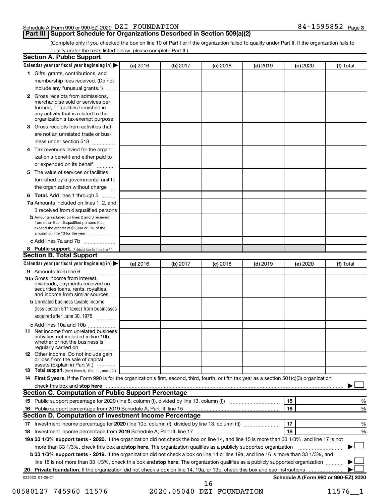#### Schedule A (Form 990 or 990-EZ) 2020  $\rm DZI$   $\rm FOUNDATION$  84  $-1595852$   $\rm Page$

#### **Part III Support Schedule for Organizations Described in Section 509(a)(2)**

(Complete only if you checked the box on line 10 of Part I or if the organization failed to qualify under Part II. If the organization fails to qualify under the tests listed below, please complete Part II.)

| <b>Section A. Public Support</b>                                                                                                                                                                |          |          |            |            |          |                                      |
|-------------------------------------------------------------------------------------------------------------------------------------------------------------------------------------------------|----------|----------|------------|------------|----------|--------------------------------------|
| Calendar year (or fiscal year beginning in)                                                                                                                                                     | (a) 2016 | (b) 2017 | $(c)$ 2018 | $(d)$ 2019 | (e) 2020 | (f) Total                            |
| 1 Gifts, grants, contributions, and                                                                                                                                                             |          |          |            |            |          |                                      |
| membership fees received. (Do not                                                                                                                                                               |          |          |            |            |          |                                      |
| include any "unusual grants.")                                                                                                                                                                  |          |          |            |            |          |                                      |
| <b>2</b> Gross receipts from admissions,<br>merchandise sold or services per-<br>formed, or facilities furnished in<br>any activity that is related to the<br>organization's tax-exempt purpose |          |          |            |            |          |                                      |
| 3 Gross receipts from activities that                                                                                                                                                           |          |          |            |            |          |                                      |
| are not an unrelated trade or bus-                                                                                                                                                              |          |          |            |            |          |                                      |
|                                                                                                                                                                                                 |          |          |            |            |          |                                      |
| iness under section 513                                                                                                                                                                         |          |          |            |            |          |                                      |
| 4 Tax revenues levied for the organ-                                                                                                                                                            |          |          |            |            |          |                                      |
| ization's benefit and either paid to                                                                                                                                                            |          |          |            |            |          |                                      |
| or expended on its behalf                                                                                                                                                                       |          |          |            |            |          |                                      |
| 5 The value of services or facilities                                                                                                                                                           |          |          |            |            |          |                                      |
| furnished by a governmental unit to                                                                                                                                                             |          |          |            |            |          |                                      |
| the organization without charge                                                                                                                                                                 |          |          |            |            |          |                                      |
| 6 Total. Add lines 1 through 5                                                                                                                                                                  |          |          |            |            |          |                                      |
| 7a Amounts included on lines 1, 2, and                                                                                                                                                          |          |          |            |            |          |                                      |
| 3 received from disqualified persons                                                                                                                                                            |          |          |            |            |          |                                      |
| <b>b</b> Amounts included on lines 2 and 3 received<br>from other than disqualified persons that<br>exceed the greater of \$5,000 or 1% of the<br>amount on line 13 for the year                |          |          |            |            |          |                                      |
| c Add lines 7a and 7b                                                                                                                                                                           |          |          |            |            |          |                                      |
| 8 Public support. (Subtract line 7c from line 6.)                                                                                                                                               |          |          |            |            |          |                                      |
| <b>Section B. Total Support</b>                                                                                                                                                                 |          |          |            |            |          |                                      |
| Calendar year (or fiscal year beginning in)                                                                                                                                                     | (a) 2016 | (b) 2017 | $(c)$ 2018 | $(d)$ 2019 | (e) 2020 | (f) Total                            |
| 9 Amounts from line 6                                                                                                                                                                           |          |          |            |            |          |                                      |
| <b>10a</b> Gross income from interest,<br>dividends, payments received on<br>securities loans, rents, royalties,<br>and income from similar sources                                             |          |          |            |            |          |                                      |
| <b>b</b> Unrelated business taxable income                                                                                                                                                      |          |          |            |            |          |                                      |
| (less section 511 taxes) from businesses<br>acquired after June 30, 1975                                                                                                                        |          |          |            |            |          |                                      |
| c Add lines 10a and 10b                                                                                                                                                                         |          |          |            |            |          |                                      |
| <b>11</b> Net income from unrelated business<br>activities not included in line 10b.<br>whether or not the business is<br>regularly carried on                                                  |          |          |            |            |          |                                      |
| <b>12</b> Other income. Do not include gain<br>or loss from the sale of capital<br>assets (Explain in Part VI.)                                                                                 |          |          |            |            |          |                                      |
| <b>13</b> Total support. (Add lines 9, 10c, 11, and 12.)                                                                                                                                        |          |          |            |            |          |                                      |
| 14 First 5 years. If the Form 990 is for the organization's first, second, third, fourth, or fifth tax year as a section 501(c)(3) organization,                                                |          |          |            |            |          |                                      |
| check this box and stop here <b>contained and the contained and starting and stop here</b> check this box and stop here                                                                         |          |          |            |            |          |                                      |
| Section C. Computation of Public Support Percentage                                                                                                                                             |          |          |            |            |          |                                      |
| 15 Public support percentage for 2020 (line 8, column (f), divided by line 13, column (f) <i></i>                                                                                               |          |          |            |            | 15       | ℅                                    |
|                                                                                                                                                                                                 |          |          |            |            | 16       | %                                    |
| Section D. Computation of Investment Income Percentage                                                                                                                                          |          |          |            |            |          |                                      |
|                                                                                                                                                                                                 |          |          |            |            | 17       | %                                    |
| 18 Investment income percentage from 2019 Schedule A, Part III, line 17                                                                                                                         |          |          |            |            | 18       | %                                    |
| 19a 33 1/3% support tests - 2020. If the organization did not check the box on line 14, and line 15 is more than 33 1/3%, and line 17 is not                                                    |          |          |            |            |          |                                      |
| more than 33 1/3%, check this box and stop here. The organization qualifies as a publicly supported organization                                                                                |          |          |            |            |          |                                      |
|                                                                                                                                                                                                 |          |          |            |            |          |                                      |
| b 33 1/3% support tests - 2019. If the organization did not check a box on line 14 or line 19a, and line 16 is more than 33 1/3%, and                                                           |          |          |            |            |          |                                      |
| line 18 is not more than 33 1/3%, check this box and stop here. The organization qualifies as a publicly supported organization                                                                 |          |          |            |            |          |                                      |
|                                                                                                                                                                                                 |          |          |            |            |          |                                      |
| 032023 01-25-21                                                                                                                                                                                 |          |          | 16         |            |          | Schedule A (Form 990 or 990-EZ) 2020 |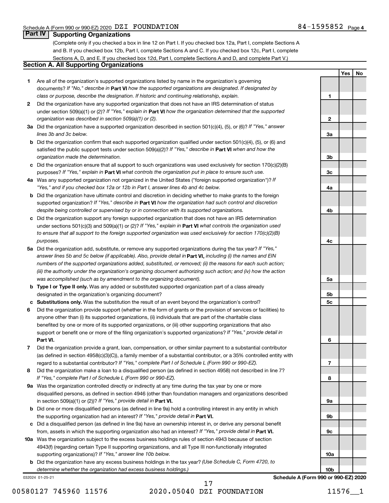**1**

**2**

**3a**

**3b**

**3c**

**4a**

**4b**

**4c**

**5a**

**5b 5c**

**6**

**7**

**8**

**9a**

**9b**

**9c**

**10a**

**Yes No**

#### **Part IV Supporting Organizations**

(Complete only if you checked a box in line 12 on Part I. If you checked box 12a, Part I, complete Sections A and B. If you checked box 12b, Part I, complete Sections A and C. If you checked box 12c, Part I, complete Sections A, D, and E. If you checked box 12d, Part I, complete Sections A and D, and complete Part V.)

#### **Section A. All Supporting Organizations**

- **1** Are all of the organization's supported organizations listed by name in the organization's governing documents? If "No," describe in Part VI how the supported organizations are designated. If designated by *class or purpose, describe the designation. If historic and continuing relationship, explain.*
- **2** Did the organization have any supported organization that does not have an IRS determination of status under section 509(a)(1) or (2)? If "Yes," explain in Part **VI** how the organization determined that the supported *organization was described in section 509(a)(1) or (2).*
- **3a** Did the organization have a supported organization described in section 501(c)(4), (5), or (6)? If "Yes," answer *lines 3b and 3c below.*
- **b** Did the organization confirm that each supported organization qualified under section 501(c)(4), (5), or (6) and satisfied the public support tests under section 509(a)(2)? If "Yes," describe in Part VI when and how the *organization made the determination.*
- **c** Did the organization ensure that all support to such organizations was used exclusively for section 170(c)(2)(B) purposes? If "Yes," explain in Part VI what controls the organization put in place to ensure such use.
- **4 a** *If* Was any supported organization not organized in the United States ("foreign supported organization")? *"Yes," and if you checked box 12a or 12b in Part I, answer lines 4b and 4c below.*
- **b** Did the organization have ultimate control and discretion in deciding whether to make grants to the foreign supported organization? If "Yes," describe in Part VI how the organization had such control and discretion *despite being controlled or supervised by or in connection with its supported organizations.*
- **c** Did the organization support any foreign supported organization that does not have an IRS determination under sections 501(c)(3) and 509(a)(1) or (2)? If "Yes," explain in Part VI what controls the organization used *to ensure that all support to the foreign supported organization was used exclusively for section 170(c)(2)(B) purposes.*
- **5a** Did the organization add, substitute, or remove any supported organizations during the tax year? If "Yes," answer lines 5b and 5c below (if applicable). Also, provide detail in **Part VI,** including (i) the names and EIN *numbers of the supported organizations added, substituted, or removed; (ii) the reasons for each such action; (iii) the authority under the organization's organizing document authorizing such action; and (iv) how the action was accomplished (such as by amendment to the organizing document).*
- **b Type I or Type II only.** Was any added or substituted supported organization part of a class already designated in the organization's organizing document?
- **c Substitutions only.**  Was the substitution the result of an event beyond the organization's control?
- **6** Did the organization provide support (whether in the form of grants or the provision of services or facilities) to **Part VI.** support or benefit one or more of the filing organization's supported organizations? If "Yes," provide detail in anyone other than (i) its supported organizations, (ii) individuals that are part of the charitable class benefited by one or more of its supported organizations, or (iii) other supporting organizations that also
- **7** Did the organization provide a grant, loan, compensation, or other similar payment to a substantial contributor regard to a substantial contributor? If "Yes," complete Part I of Schedule L (Form 990 or 990-EZ). (as defined in section 4958(c)(3)(C)), a family member of a substantial contributor, or a 35% controlled entity with
- **8** Did the organization make a loan to a disqualified person (as defined in section 4958) not described in line 7? *If "Yes," complete Part I of Schedule L (Form 990 or 990-EZ).*
- **9 a** Was the organization controlled directly or indirectly at any time during the tax year by one or more in section 509(a)(1) or (2))? If "Yes," provide detail in **Part VI.** disqualified persons, as defined in section 4946 (other than foundation managers and organizations described
- **b** Did one or more disqualified persons (as defined in line 9a) hold a controlling interest in any entity in which the supporting organization had an interest? If "Yes," provide detail in Part VI.
- **c** Did a disqualified person (as defined in line 9a) have an ownership interest in, or derive any personal benefit from, assets in which the supporting organization also had an interest? If "Yes," provide detail in Part VI.
- **10 a** Was the organization subject to the excess business holdings rules of section 4943 because of section supporting organizations)? If "Yes," answer line 10b below. 4943(f) (regarding certain Type II supporting organizations, and all Type III non-functionally integrated
	- **b** Did the organization have any excess business holdings in the tax year? (Use Schedule C, Form 4720, to *determine whether the organization had excess business holdings.)*

032024 01-25-21

00580127 745960 11576 2020.05040 DZI FOUNDATION 11576\_\_1 17

**10b Schedule A (Form 990 or 990-EZ) 2020**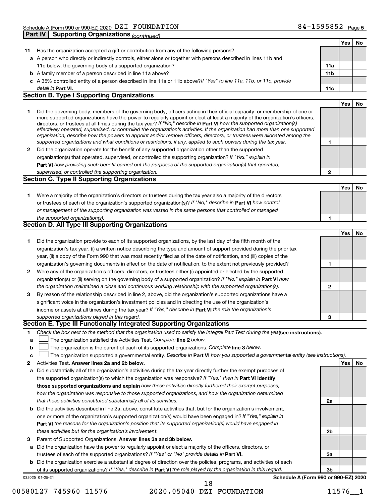|    | <b>Supporting Organizations (continued)</b><br>Part IV                                                                                                                                                                                                                                                                                                                                                                                                                                                                                                                                                                                                                                                                                                                   |              |     |    |
|----|--------------------------------------------------------------------------------------------------------------------------------------------------------------------------------------------------------------------------------------------------------------------------------------------------------------------------------------------------------------------------------------------------------------------------------------------------------------------------------------------------------------------------------------------------------------------------------------------------------------------------------------------------------------------------------------------------------------------------------------------------------------------------|--------------|-----|----|
|    |                                                                                                                                                                                                                                                                                                                                                                                                                                                                                                                                                                                                                                                                                                                                                                          |              | Yes | No |
| 11 | Has the organization accepted a gift or contribution from any of the following persons?                                                                                                                                                                                                                                                                                                                                                                                                                                                                                                                                                                                                                                                                                  |              |     |    |
|    | a A person who directly or indirectly controls, either alone or together with persons described in lines 11b and                                                                                                                                                                                                                                                                                                                                                                                                                                                                                                                                                                                                                                                         |              |     |    |
|    | 11c below, the governing body of a supported organization?                                                                                                                                                                                                                                                                                                                                                                                                                                                                                                                                                                                                                                                                                                               | 11a          |     |    |
|    | <b>b</b> A family member of a person described in line 11a above?                                                                                                                                                                                                                                                                                                                                                                                                                                                                                                                                                                                                                                                                                                        | 11b          |     |    |
|    | c A 35% controlled entity of a person described in line 11a or 11b above?If "Yes" to line 11a, 11b, or 11c, provide                                                                                                                                                                                                                                                                                                                                                                                                                                                                                                                                                                                                                                                      |              |     |    |
|    | detail in Part VI.                                                                                                                                                                                                                                                                                                                                                                                                                                                                                                                                                                                                                                                                                                                                                       | 11c          |     |    |
|    | <b>Section B. Type I Supporting Organizations</b>                                                                                                                                                                                                                                                                                                                                                                                                                                                                                                                                                                                                                                                                                                                        |              |     |    |
|    |                                                                                                                                                                                                                                                                                                                                                                                                                                                                                                                                                                                                                                                                                                                                                                          |              | Yes | No |
| 1  | Did the governing body, members of the governing body, officers acting in their official capacity, or membership of one or<br>more supported organizations have the power to regularly appoint or elect at least a majority of the organization's officers,<br>directors, or trustees at all times during the tax year? If "No," describe in Part VI how the supported organization(s)<br>effectively operated, supervised, or controlled the organization's activities. If the organization had more than one supported<br>organization, describe how the powers to appoint and/or remove officers, directors, or trustees were allocated among the<br>supported organizations and what conditions or restrictions, if any, applied to such powers during the tax year. | 1            |     |    |
| 2  | Did the organization operate for the benefit of any supported organization other than the supported                                                                                                                                                                                                                                                                                                                                                                                                                                                                                                                                                                                                                                                                      |              |     |    |
|    | organization(s) that operated, supervised, or controlled the supporting organization? If "Yes," explain in                                                                                                                                                                                                                                                                                                                                                                                                                                                                                                                                                                                                                                                               |              |     |    |
|    | Part VI how providing such benefit carried out the purposes of the supported organization(s) that operated,                                                                                                                                                                                                                                                                                                                                                                                                                                                                                                                                                                                                                                                              |              |     |    |
|    | supervised, or controlled the supporting organization.                                                                                                                                                                                                                                                                                                                                                                                                                                                                                                                                                                                                                                                                                                                   | $\mathbf{2}$ |     |    |
|    | <b>Section C. Type II Supporting Organizations</b>                                                                                                                                                                                                                                                                                                                                                                                                                                                                                                                                                                                                                                                                                                                       |              |     |    |
|    |                                                                                                                                                                                                                                                                                                                                                                                                                                                                                                                                                                                                                                                                                                                                                                          |              | Yes | No |
| 1. | Were a majority of the organization's directors or trustees during the tax year also a majority of the directors<br>or trustees of each of the organization's supported organization(s)? If "No," describe in Part VI how control<br>or management of the supporting organization was vested in the same persons that controlled or managed                                                                                                                                                                                                                                                                                                                                                                                                                              |              |     |    |
|    | the supported organization(s).                                                                                                                                                                                                                                                                                                                                                                                                                                                                                                                                                                                                                                                                                                                                           | 1            |     |    |
|    | <b>Section D. All Type III Supporting Organizations</b>                                                                                                                                                                                                                                                                                                                                                                                                                                                                                                                                                                                                                                                                                                                  |              |     |    |
|    |                                                                                                                                                                                                                                                                                                                                                                                                                                                                                                                                                                                                                                                                                                                                                                          |              | Yes | No |
| 1  | Did the organization provide to each of its supported organizations, by the last day of the fifth month of the                                                                                                                                                                                                                                                                                                                                                                                                                                                                                                                                                                                                                                                           |              |     |    |
|    | organization's tax year, (i) a written notice describing the type and amount of support provided during the prior tax                                                                                                                                                                                                                                                                                                                                                                                                                                                                                                                                                                                                                                                    |              |     |    |
|    | year, (ii) a copy of the Form 990 that was most recently filed as of the date of notification, and (iii) copies of the                                                                                                                                                                                                                                                                                                                                                                                                                                                                                                                                                                                                                                                   |              |     |    |
|    | organization's governing documents in effect on the date of notification, to the extent not previously provided?                                                                                                                                                                                                                                                                                                                                                                                                                                                                                                                                                                                                                                                         | 1            |     |    |
| 2  | Were any of the organization's officers, directors, or trustees either (i) appointed or elected by the supported                                                                                                                                                                                                                                                                                                                                                                                                                                                                                                                                                                                                                                                         |              |     |    |
|    | organization(s) or (ii) serving on the governing body of a supported organization? If "No," explain in Part VI how                                                                                                                                                                                                                                                                                                                                                                                                                                                                                                                                                                                                                                                       |              |     |    |
|    | the organization maintained a close and continuous working relationship with the supported organization(s).                                                                                                                                                                                                                                                                                                                                                                                                                                                                                                                                                                                                                                                              | $\mathbf{2}$ |     |    |
| 3  | By reason of the relationship described in line 2, above, did the organization's supported organizations have a                                                                                                                                                                                                                                                                                                                                                                                                                                                                                                                                                                                                                                                          |              |     |    |
|    | significant voice in the organization's investment policies and in directing the use of the organization's                                                                                                                                                                                                                                                                                                                                                                                                                                                                                                                                                                                                                                                               |              |     |    |
|    | income or assets at all times during the tax year? If "Yes," describe in Part VI the role the organization's                                                                                                                                                                                                                                                                                                                                                                                                                                                                                                                                                                                                                                                             |              |     |    |
|    | supported organizations played in this regard.                                                                                                                                                                                                                                                                                                                                                                                                                                                                                                                                                                                                                                                                                                                           | 3            |     |    |
|    | Section E. Type III Functionally Integrated Supporting Organizations                                                                                                                                                                                                                                                                                                                                                                                                                                                                                                                                                                                                                                                                                                     |              |     |    |
| 1  | Check the box next to the method that the organization used to satisfy the Integral Part Test during the yealsee instructions).                                                                                                                                                                                                                                                                                                                                                                                                                                                                                                                                                                                                                                          |              |     |    |
| a  | The organization satisfied the Activities Test. Complete line 2 below.                                                                                                                                                                                                                                                                                                                                                                                                                                                                                                                                                                                                                                                                                                   |              |     |    |
| b  | The organization is the parent of each of its supported organizations. Complete line 3 below.                                                                                                                                                                                                                                                                                                                                                                                                                                                                                                                                                                                                                                                                            |              |     |    |
| c  | The organization supported a governmental entity. Describe in Part VI how you supported a governmental entity (see instructions).                                                                                                                                                                                                                                                                                                                                                                                                                                                                                                                                                                                                                                        |              |     |    |
| 2  | Activities Test. Answer lines 2a and 2b below.                                                                                                                                                                                                                                                                                                                                                                                                                                                                                                                                                                                                                                                                                                                           |              | Yes | No |
| а  | Did substantially all of the organization's activities during the tax year directly further the exempt purposes of                                                                                                                                                                                                                                                                                                                                                                                                                                                                                                                                                                                                                                                       |              |     |    |
|    | the supported organization(s) to which the organization was responsive? If "Yes," then in Part VI identify                                                                                                                                                                                                                                                                                                                                                                                                                                                                                                                                                                                                                                                               |              |     |    |
|    | those supported organizations and explain how these activities directly furthered their exempt purposes,                                                                                                                                                                                                                                                                                                                                                                                                                                                                                                                                                                                                                                                                 |              |     |    |
|    | how the organization was responsive to those supported organizations, and how the organization determined                                                                                                                                                                                                                                                                                                                                                                                                                                                                                                                                                                                                                                                                |              |     |    |
|    | that these activities constituted substantially all of its activities.                                                                                                                                                                                                                                                                                                                                                                                                                                                                                                                                                                                                                                                                                                   | 2a           |     |    |
| b  | Did the activities described in line 2a, above, constitute activities that, but for the organization's involvement,                                                                                                                                                                                                                                                                                                                                                                                                                                                                                                                                                                                                                                                      |              |     |    |
|    | one or more of the organization's supported organization(s) would have been engaged in? If "Yes," explain in                                                                                                                                                                                                                                                                                                                                                                                                                                                                                                                                                                                                                                                             |              |     |    |
|    | Part VI the reasons for the organization's position that its supported organization(s) would have engaged in                                                                                                                                                                                                                                                                                                                                                                                                                                                                                                                                                                                                                                                             |              |     |    |
|    | these activities but for the organization's involvement.                                                                                                                                                                                                                                                                                                                                                                                                                                                                                                                                                                                                                                                                                                                 | 2b           |     |    |
| 3  | Parent of Supported Organizations. Answer lines 3a and 3b below.                                                                                                                                                                                                                                                                                                                                                                                                                                                                                                                                                                                                                                                                                                         |              |     |    |
| а  | Did the organization have the power to regularly appoint or elect a majority of the officers, directors, or                                                                                                                                                                                                                                                                                                                                                                                                                                                                                                                                                                                                                                                              |              |     |    |
|    | trustees of each of the supported organizations? If "Yes" or "No" provide details in Part VI.                                                                                                                                                                                                                                                                                                                                                                                                                                                                                                                                                                                                                                                                            | За           |     |    |
| b  | Did the organization exercise a substantial degree of direction over the policies, programs, and activities of each                                                                                                                                                                                                                                                                                                                                                                                                                                                                                                                                                                                                                                                      |              |     |    |
|    | of its supported organizations? If "Yes," describe in Part VI the role played by the organization in this regard.                                                                                                                                                                                                                                                                                                                                                                                                                                                                                                                                                                                                                                                        | Зb           |     |    |

032025 01-25-21

#### 00580127 745960 11576 2020.05040 DZI FOUNDATION 11576\_\_1 18

**Schedule A (Form 990 or 990-EZ) 2020**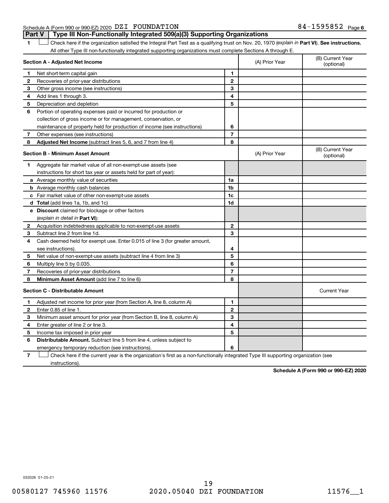#### Schedule A (Form 990 or 990-EZ) 2020  $\rm DZI$   $\rm FOUNDATION$  84  $-1595852$   $\rm Page$ **Part V Type III Non-Functionally Integrated 509(a)(3) Supporting Organizations**

1 **Letter See instructions.** Check here if the organization satisfied the Integral Part Test as a qualifying trust on Nov. 20, 1970 (*explain in* Part **VI**). See instructions. All other Type III non-functionally integrated supporting organizations must complete Sections A through E.

|    | Section A - Adjusted Net Income                                                                                                   |                | (A) Prior Year | (B) Current Year<br>(optional) |  |  |  |  |  |
|----|-----------------------------------------------------------------------------------------------------------------------------------|----------------|----------------|--------------------------------|--|--|--|--|--|
| 1. | Net short-term capital gain                                                                                                       | 1              |                |                                |  |  |  |  |  |
| 2  | Recoveries of prior-year distributions                                                                                            | $\mathbf{2}$   |                |                                |  |  |  |  |  |
| 3  | Other gross income (see instructions)                                                                                             | 3              |                |                                |  |  |  |  |  |
| 4  | Add lines 1 through 3.                                                                                                            | 4              |                |                                |  |  |  |  |  |
| 5  | Depreciation and depletion                                                                                                        | 5              |                |                                |  |  |  |  |  |
| 6  | Portion of operating expenses paid or incurred for production or                                                                  |                |                |                                |  |  |  |  |  |
|    | collection of gross income or for management, conservation, or                                                                    |                |                |                                |  |  |  |  |  |
|    | maintenance of property held for production of income (see instructions)                                                          | 6              |                |                                |  |  |  |  |  |
| 7  | Other expenses (see instructions)                                                                                                 | $\overline{7}$ |                |                                |  |  |  |  |  |
| 8  | Adjusted Net Income (subtract lines 5, 6, and 7 from line 4)                                                                      | 8              |                |                                |  |  |  |  |  |
|    | <b>Section B - Minimum Asset Amount</b>                                                                                           |                | (A) Prior Year | (B) Current Year<br>(optional) |  |  |  |  |  |
| 1  | Aggregate fair market value of all non-exempt-use assets (see                                                                     |                |                |                                |  |  |  |  |  |
|    | instructions for short tax year or assets held for part of year):                                                                 |                |                |                                |  |  |  |  |  |
|    | <b>a</b> Average monthly value of securities                                                                                      | 1a             |                |                                |  |  |  |  |  |
|    | <b>b</b> Average monthly cash balances                                                                                            | 1b             |                |                                |  |  |  |  |  |
|    | <b>c</b> Fair market value of other non-exempt-use assets                                                                         | 1c             |                |                                |  |  |  |  |  |
|    | <b>d</b> Total (add lines 1a, 1b, and 1c)                                                                                         | 1d             |                |                                |  |  |  |  |  |
|    | e Discount claimed for blockage or other factors                                                                                  |                |                |                                |  |  |  |  |  |
|    | (explain in detail in <b>Part VI</b> ):                                                                                           |                |                |                                |  |  |  |  |  |
| 2  | Acquisition indebtedness applicable to non-exempt-use assets                                                                      | 2              |                |                                |  |  |  |  |  |
| 3  | Subtract line 2 from line 1d.                                                                                                     | 3              |                |                                |  |  |  |  |  |
| 4  | Cash deemed held for exempt use. Enter 0.015 of line 3 (for greater amount,                                                       |                |                |                                |  |  |  |  |  |
|    | see instructions).                                                                                                                | 4              |                |                                |  |  |  |  |  |
| 5  | Net value of non-exempt-use assets (subtract line 4 from line 3)                                                                  | 5              |                |                                |  |  |  |  |  |
| 6  | Multiply line 5 by 0.035.                                                                                                         | 6              |                |                                |  |  |  |  |  |
| 7  | Recoveries of prior-year distributions                                                                                            | $\overline{7}$ |                |                                |  |  |  |  |  |
| 8  | Minimum Asset Amount (add line 7 to line 6)                                                                                       | 8              |                |                                |  |  |  |  |  |
|    | <b>Section C - Distributable Amount</b>                                                                                           |                |                | <b>Current Year</b>            |  |  |  |  |  |
| 1. | Adjusted net income for prior year (from Section A, line 8, column A)                                                             | 1              |                |                                |  |  |  |  |  |
| 2  | Enter 0.85 of line 1.                                                                                                             | $\mathbf{2}$   |                |                                |  |  |  |  |  |
| 3  | Minimum asset amount for prior year (from Section B, line 8, column A)                                                            | 3              |                |                                |  |  |  |  |  |
| 4  | Enter greater of line 2 or line 3.                                                                                                | 4              |                |                                |  |  |  |  |  |
| 5  | Income tax imposed in prior year                                                                                                  | 5              |                |                                |  |  |  |  |  |
| 6  | <b>Distributable Amount.</b> Subtract line 5 from line 4, unless subject to                                                       |                |                |                                |  |  |  |  |  |
|    | emergency temporary reduction (see instructions).                                                                                 | 6              |                |                                |  |  |  |  |  |
| 7  | Check here if the current year is the organization's first as a non-functionally integrated Type III supporting organization (see |                |                |                                |  |  |  |  |  |

instructions).

**Schedule A (Form 990 or 990-EZ) 2020**

032026 01-25-21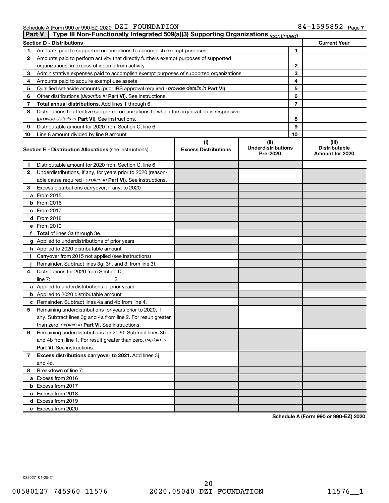| <b>Part V</b> | Type III Non-Functionally Integrated 509(a)(3) Supporting Organizations (continued)        |                                    |                                               |    |                                                  |
|---------------|--------------------------------------------------------------------------------------------|------------------------------------|-----------------------------------------------|----|--------------------------------------------------|
|               | <b>Section D - Distributions</b>                                                           |                                    |                                               |    | <b>Current Year</b>                              |
| 1             | Amounts paid to supported organizations to accomplish exempt purposes                      |                                    |                                               | 1  |                                                  |
| 2             | Amounts paid to perform activity that directly furthers exempt purposes of supported       |                                    |                                               |    |                                                  |
|               | organizations, in excess of income from activity                                           |                                    |                                               | 2  |                                                  |
| 3             | Administrative expenses paid to accomplish exempt purposes of supported organizations      |                                    |                                               | 3  |                                                  |
| 4             | Amounts paid to acquire exempt-use assets                                                  |                                    |                                               | 4  |                                                  |
| 5             | Qualified set-aside amounts (prior IRS approval required - provide details in Part VI)     |                                    |                                               | 5  |                                                  |
| 6             | Other distributions ( <i>describe in Part VI</i> ). See instructions.                      |                                    |                                               | 6  |                                                  |
| 7             | Total annual distributions. Add lines 1 through 6.                                         |                                    |                                               | 7  |                                                  |
| 8             | Distributions to attentive supported organizations to which the organization is responsive |                                    |                                               |    |                                                  |
|               | (provide details in Part VI). See instructions.                                            |                                    |                                               | 8  |                                                  |
| 9             | Distributable amount for 2020 from Section C, line 6                                       |                                    |                                               | 9  |                                                  |
| 10            | Line 8 amount divided by line 9 amount                                                     |                                    |                                               | 10 |                                                  |
|               | <b>Section E - Distribution Allocations (see instructions)</b>                             | (i)<br><b>Excess Distributions</b> | (ii)<br><b>Underdistributions</b><br>Pre-2020 |    | (iii)<br><b>Distributable</b><br>Amount for 2020 |
| 1             | Distributable amount for 2020 from Section C, line 6                                       |                                    |                                               |    |                                                  |
| 2             | Underdistributions, if any, for years prior to 2020 (reason-                               |                                    |                                               |    |                                                  |
|               | able cause required - explain in Part VI). See instructions.                               |                                    |                                               |    |                                                  |
| 3             | Excess distributions carryover, if any, to 2020                                            |                                    |                                               |    |                                                  |
|               | a From 2015                                                                                |                                    |                                               |    |                                                  |
|               | <b>b</b> From 2016                                                                         |                                    |                                               |    |                                                  |
|               | c From 2017                                                                                |                                    |                                               |    |                                                  |
|               | d From 2018                                                                                |                                    |                                               |    |                                                  |
|               | e From 2019                                                                                |                                    |                                               |    |                                                  |
|               | f Total of lines 3a through 3e                                                             |                                    |                                               |    |                                                  |
|               | g Applied to underdistributions of prior years                                             |                                    |                                               |    |                                                  |
|               | <b>h</b> Applied to 2020 distributable amount                                              |                                    |                                               |    |                                                  |
| Ť.            | Carryover from 2015 not applied (see instructions)                                         |                                    |                                               |    |                                                  |
|               | Remainder. Subtract lines 3g, 3h, and 3i from line 3f.                                     |                                    |                                               |    |                                                  |
| 4             | Distributions for 2020 from Section D,                                                     |                                    |                                               |    |                                                  |
|               | line $7:$                                                                                  |                                    |                                               |    |                                                  |
|               | a Applied to underdistributions of prior years                                             |                                    |                                               |    |                                                  |
|               | <b>b</b> Applied to 2020 distributable amount                                              |                                    |                                               |    |                                                  |
|               | c Remainder. Subtract lines 4a and 4b from line 4.                                         |                                    |                                               |    |                                                  |
| 5             | Remaining underdistributions for years prior to 2020, if                                   |                                    |                                               |    |                                                  |
|               | any. Subtract lines 3g and 4a from line 2. For result greater                              |                                    |                                               |    |                                                  |
|               | than zero, explain in Part VI. See instructions.                                           |                                    |                                               |    |                                                  |
| 6             | Remaining underdistributions for 2020. Subtract lines 3h                                   |                                    |                                               |    |                                                  |
|               | and 4b from line 1. For result greater than zero, explain in                               |                                    |                                               |    |                                                  |
|               | <b>Part VI.</b> See instructions.                                                          |                                    |                                               |    |                                                  |
| 7             | Excess distributions carryover to 2021. Add lines 3j                                       |                                    |                                               |    |                                                  |
|               | and 4c.                                                                                    |                                    |                                               |    |                                                  |
| 8             | Breakdown of line 7:                                                                       |                                    |                                               |    |                                                  |
|               | a Excess from 2016                                                                         |                                    |                                               |    |                                                  |
|               | <b>b</b> Excess from 2017                                                                  |                                    |                                               |    |                                                  |
|               | c Excess from 2018                                                                         |                                    |                                               |    |                                                  |
|               | d Excess from 2019                                                                         |                                    |                                               |    |                                                  |
|               | e Excess from 2020                                                                         |                                    |                                               |    |                                                  |

**Schedule A (Form 990 or 990-EZ) 2020**

032027 01-25-21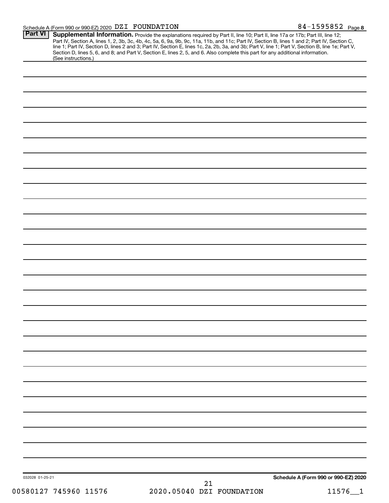#### Schedule A (Form 990 or 990-EZ) 2020 DZI FOUNDATION NORTH CONTROL NAMES AND Regently Made to the SAGE Page DZI FOUNDATION 84-1595852

| <b>Part VI</b>        |    |                           | <b>Supplemental Information.</b> Provide the explanations required by Part II, line 10; Part II, line 17a or 17b; Part III, line 12; Part IV, Section A, lines 1, 2, 3b, 3c, 4b, 4c, 5a, 6, 9a, 9b, 9c, 11a, 11b, and 11c; Part IV, |
|-----------------------|----|---------------------------|-------------------------------------------------------------------------------------------------------------------------------------------------------------------------------------------------------------------------------------|
| (See instructions.)   |    |                           |                                                                                                                                                                                                                                     |
|                       |    |                           |                                                                                                                                                                                                                                     |
|                       |    |                           |                                                                                                                                                                                                                                     |
|                       |    |                           |                                                                                                                                                                                                                                     |
|                       |    |                           |                                                                                                                                                                                                                                     |
|                       |    |                           |                                                                                                                                                                                                                                     |
|                       |    |                           |                                                                                                                                                                                                                                     |
|                       |    |                           |                                                                                                                                                                                                                                     |
|                       |    |                           |                                                                                                                                                                                                                                     |
|                       |    |                           |                                                                                                                                                                                                                                     |
|                       |    |                           |                                                                                                                                                                                                                                     |
|                       |    |                           |                                                                                                                                                                                                                                     |
|                       |    |                           |                                                                                                                                                                                                                                     |
|                       |    |                           |                                                                                                                                                                                                                                     |
|                       |    |                           |                                                                                                                                                                                                                                     |
|                       |    |                           |                                                                                                                                                                                                                                     |
|                       |    |                           |                                                                                                                                                                                                                                     |
|                       |    |                           |                                                                                                                                                                                                                                     |
|                       |    |                           |                                                                                                                                                                                                                                     |
|                       |    |                           |                                                                                                                                                                                                                                     |
|                       |    |                           |                                                                                                                                                                                                                                     |
|                       |    |                           |                                                                                                                                                                                                                                     |
|                       |    |                           |                                                                                                                                                                                                                                     |
|                       |    |                           |                                                                                                                                                                                                                                     |
|                       |    |                           |                                                                                                                                                                                                                                     |
|                       |    |                           |                                                                                                                                                                                                                                     |
|                       |    |                           |                                                                                                                                                                                                                                     |
|                       |    |                           |                                                                                                                                                                                                                                     |
|                       |    |                           |                                                                                                                                                                                                                                     |
| 032028 01-25-21       |    |                           | Schedule A (Form 990 or 990-EZ) 2020                                                                                                                                                                                                |
| 00580127 745960 11576 | 21 | 2020.05040 DZI FOUNDATION | 11576<br>$\mathbf{1}$                                                                                                                                                                                                               |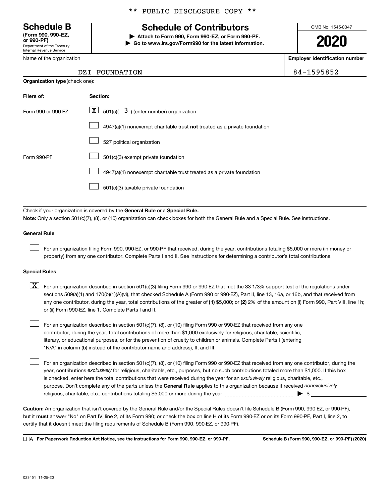Department of the Treasury Internal Revenue Service **(Form 990, 990-EZ,**

Name of the organization

**Organization type** (check one):

#### \*\* PUBLIC DISCLOSURE COPY \*\*

## **Schedule B Schedule of Contributors**

**or 990-PF) | Attach to Form 990, Form 990-EZ, or Form 990-PF. | Go to www.irs.gov/Form990 for the latest information.** OMB No. 1545-0047

**2020**

**Employer identification number**

| $4 - 1595852$ |  |
|---------------|--|
|---------------|--|

| DZI FOUNDATION | 84-1595852 |
|----------------|------------|
|                |            |

| Filers of:         | Section:                                                                           |
|--------------------|------------------------------------------------------------------------------------|
| Form 990 or 990-FZ | $\underline{\mathbf{X}}$ 501(c)( $3$ ) (enter number) organization                 |
|                    | $4947(a)(1)$ nonexempt charitable trust <b>not</b> treated as a private foundation |
|                    | 527 political organization                                                         |
| Form 990-PF        | 501(c)(3) exempt private foundation                                                |
|                    | 4947(a)(1) nonexempt charitable trust treated as a private foundation              |
|                    | 501(c)(3) taxable private foundation                                               |

Check if your organization is covered by the General Rule or a Special Rule.

**Note:**  Only a section 501(c)(7), (8), or (10) organization can check boxes for both the General Rule and a Special Rule. See instructions.

#### **General Rule**

 $\Box$ 

 $\Box$ 

For an organization filing Form 990, 990-EZ, or 990-PF that received, during the year, contributions totaling \$5,000 or more (in money or property) from any one contributor. Complete Parts I and II. See instructions for determining a contributor's total contributions.

#### **Special Rules**

any one contributor, during the year, total contributions of the greater of (1) \$5,000; or (2) 2% of the amount on (i) Form 990, Part VIII, line 1h;  $\boxed{\text{X}}$  For an organization described in section 501(c)(3) filing Form 990 or 990-EZ that met the 33 1/3% support test of the regulations under sections 509(a)(1) and 170(b)(1)(A)(vi), that checked Schedule A (Form 990 or 990-EZ), Part II, line 13, 16a, or 16b, and that received from or (ii) Form 990-EZ, line 1. Complete Parts I and II.

For an organization described in section 501(c)(7), (8), or (10) filing Form 990 or 990-EZ that received from any one contributor, during the year, total contributions of more than \$1,000 exclusively for religious, charitable, scientific, literary, or educational purposes, or for the prevention of cruelty to children or animals. Complete Parts I (entering "N/A" in column (b) instead of the contributor name and address), II, and III.  $\Box$ 

purpose. Don't complete any of the parts unless the General Rule applies to this organization because it received nonexclusively year, contributions exclusively for religious, charitable, etc., purposes, but no such contributions totaled more than \$1,000. If this box is checked, enter here the total contributions that were received during the year for an exclusively religious, charitable, etc., For an organization described in section 501(c)(7), (8), or (10) filing Form 990 or 990-EZ that received from any one contributor, during the religious, charitable, etc., contributions totaling \$5,000 or more during the year  $\ldots$  $\ldots$  $\ldots$  $\ldots$  $\ldots$  $\ldots$ 

**Caution:**  An organization that isn't covered by the General Rule and/or the Special Rules doesn't file Schedule B (Form 990, 990-EZ, or 990-PF),  **must** but it answer "No" on Part IV, line 2, of its Form 990; or check the box on line H of its Form 990-EZ or on its Form 990-PF, Part I, line 2, to certify that it doesn't meet the filing requirements of Schedule B (Form 990, 990-EZ, or 990-PF).

**For Paperwork Reduction Act Notice, see the instructions for Form 990, 990-EZ, or 990-PF. Schedule B (Form 990, 990-EZ, or 990-PF) (2020)** LHA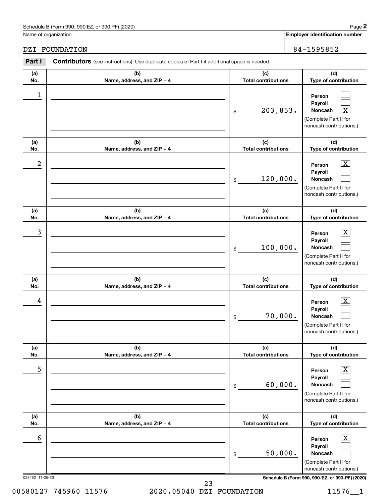#### Schedule B (Form 990, 990-EZ, or 990-PF) (2020)

**(b) Name, address, and ZIP + 4**

**Part I** Contributors (see instructions). Use duplicate copies of Part I if additional space is needed.

**(b)**

Name of organization

**(a) No.**

1

**(a)**

**(d) Type of contribution**

> $\Box$  $\Box$  $\boxed{\textbf{X}}$

**Person Payroll Noncash**

(Complete Part II for noncash contributions.)

#### DZI FOUNDATION 84-1595852

**Name, address, and ZIP + 4 (c) Total contributions (d) Type of contribution Person Payroll**  $\lfloor x \rfloor$  $\Box$ 

\$

**(c) Total contributions**

203,853. X

| No.            | Name, address, and ZIP + 4        | <b>Total contributions</b>        | Type of contribution                                                                   |
|----------------|-----------------------------------|-----------------------------------|----------------------------------------------------------------------------------------|
| $\overline{a}$ |                                   | 120,000.<br>\$                    | x<br>Person<br>Payroll<br>Noncash<br>(Complete Part II for<br>noncash contributions.)  |
| (a)<br>No.     | (b)<br>Name, address, and ZIP + 4 | (c)<br><b>Total contributions</b> | (d)<br>Type of contribution                                                            |
| 3              |                                   | 100,000.<br>\$                    | x.<br>Person<br>Payroll<br>Noncash<br>(Complete Part II for<br>noncash contributions.) |
| (a)<br>No.     | (b)<br>Name, address, and ZIP + 4 | (c)<br><b>Total contributions</b> | (d)<br>Type of contribution                                                            |
| 4              |                                   | 70,000.<br>\$                     | x<br>Person<br>Payroll<br>Noncash<br>(Complete Part II for<br>noncash contributions.)  |
| (a)<br>No.     | (b)<br>Name, address, and ZIP + 4 | (c)<br><b>Total contributions</b> | (d)<br>Type of contribution                                                            |
| $\overline{5}$ |                                   |                                   | $\overline{\textbf{x}}$<br>Person<br>Pavroll                                           |

|     |                              | 60,000.<br>\$              | Payroll<br><b>Noncash</b><br>(Complete Part II for<br>noncash contributions.)                                      |
|-----|------------------------------|----------------------------|--------------------------------------------------------------------------------------------------------------------|
| (a) | (b)                          | (c)                        | (d)                                                                                                                |
| No. | Name, address, and $ZIP + 4$ | <b>Total contributions</b> | Type of contribution                                                                                               |
| 6   |                              | 50,000.<br>\$              | $\overline{\mathbf{X}}$<br>Person<br>Payroll<br><b>Noncash</b><br>(Complete Part II for<br>noncash contributions.) |

023452 11-25-20 **Schedule B (Form 990, 990-EZ, or 990-PF) (2020)**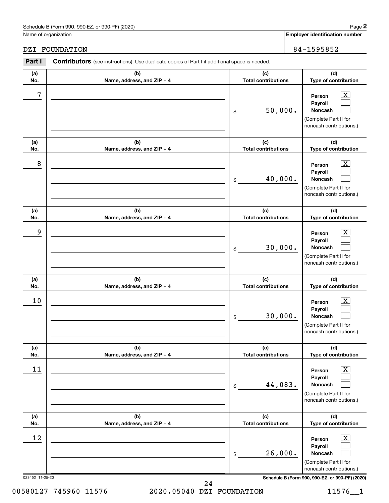#### Schedule B (Form 990, 990-EZ, or 990-PF) (2020)

Name of organization

### DZI FOUNDATION 84-1595852

| Part I                | Contributors (see instructions). Use duplicate copies of Part I if additional space is needed. |                                               |                                                                                                                                                              |
|-----------------------|------------------------------------------------------------------------------------------------|-----------------------------------------------|--------------------------------------------------------------------------------------------------------------------------------------------------------------|
| (a)                   | (b)                                                                                            | (c)                                           | (d)                                                                                                                                                          |
| No.<br>7              | Name, address, and ZIP + 4                                                                     | <b>Total contributions</b><br>50,000.<br>$\$$ | Type of contribution<br>$\overline{\mathbf{X}}$<br>Person<br>Payroll<br>Noncash<br>(Complete Part II for<br>noncash contributions.)                          |
| (a)<br>No.            | (b)<br>Name, address, and ZIP + 4                                                              | (c)<br><b>Total contributions</b>             | (d)<br>Type of contribution                                                                                                                                  |
| 8                     |                                                                                                | 40,000.<br>$\$$                               | $\overline{\mathbf{X}}$<br>Person<br>Payroll<br>Noncash<br>(Complete Part II for<br>noncash contributions.)                                                  |
| (a)<br>No.            | (b)<br>Name, address, and ZIP + 4                                                              | (c)<br><b>Total contributions</b>             | (d)<br>Type of contribution                                                                                                                                  |
| 9                     |                                                                                                | 30,000.<br>$\$$                               | $\overline{\mathbf{X}}$<br>Person<br>Payroll<br>Noncash<br>(Complete Part II for<br>noncash contributions.)                                                  |
| (a)<br>No.            | (b)<br>Name, address, and ZIP + 4                                                              | (c)<br><b>Total contributions</b>             | (d)<br>Type of contribution                                                                                                                                  |
| 10                    |                                                                                                | 30,000.<br>\$                                 | $\overline{\mathbf{X}}$<br>Person<br>Payroll<br>Noncash<br>(Complete Part II for<br>noncash contributions.)                                                  |
| (a)<br>No.            | (b)<br>Name, address, and ZIP + 4                                                              | (c)<br><b>Total contributions</b>             | (d)<br>Type of contribution                                                                                                                                  |
| 11                    |                                                                                                | 44,083.<br>$\$$                               | $\overline{\textbf{x}}$<br>Person<br>Payroll<br>Noncash<br>(Complete Part II for<br>noncash contributions.)                                                  |
| (a)<br>No.            | (b)<br>Name, address, and ZIP + 4                                                              | (c)<br><b>Total contributions</b>             | (d)<br>Type of contribution                                                                                                                                  |
| 12<br>023452 11-25-20 |                                                                                                | 26,000.<br>$\,$                               | $\overline{\text{X}}$<br>Person<br>Payroll<br>Noncash<br>(Complete Part II for<br>noncash contributions.)<br>Schedule B (Form 990, 990-EZ, or 990-PF) (2020) |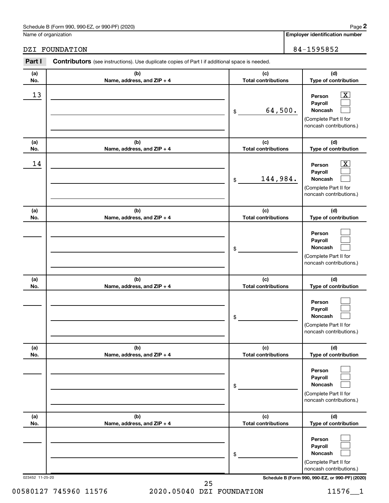#### Schedule B (Form 990, 990-EZ, or 990-PF) (2020)

Name of organization

### DZI FOUNDATION 84-1595852

| Part I          | <b>Contributors</b> (see instructions). Use duplicate copies of Part I if additional space is needed. |                                             |                                                                                                                                            |
|-----------------|-------------------------------------------------------------------------------------------------------|---------------------------------------------|--------------------------------------------------------------------------------------------------------------------------------------------|
| (a)             | (b)                                                                                                   | (c)                                         | (d)                                                                                                                                        |
| No.<br>13       | Name, address, and ZIP + 4                                                                            | <b>Total contributions</b><br>64,500.<br>\$ | Type of contribution<br>$\overline{\mathbf{X}}$<br>Person<br>Payroll<br><b>Noncash</b><br>(Complete Part II for<br>noncash contributions.) |
| (a)<br>No.      | (b)<br>Name, address, and ZIP + 4                                                                     | (c)<br><b>Total contributions</b>           | (d)<br>Type of contribution                                                                                                                |
| 14              |                                                                                                       | 144,984.<br>\$                              | $\overline{\mathbf{X}}$<br>Person<br>Payroll<br><b>Noncash</b><br>(Complete Part II for<br>noncash contributions.)                         |
| (a)<br>No.      | (b)<br>Name, address, and ZIP + 4                                                                     | (c)<br><b>Total contributions</b>           | (d)<br>Type of contribution                                                                                                                |
|                 |                                                                                                       | \$                                          | Person<br>Payroll<br>Noncash<br>(Complete Part II for<br>noncash contributions.)                                                           |
| (a)<br>No.      | (b)<br>Name, address, and ZIP + 4                                                                     | (c)<br><b>Total contributions</b>           | (d)<br>Type of contribution                                                                                                                |
|                 |                                                                                                       | \$                                          | Person<br>Payroll<br>Noncash<br>(Complete Part II for<br>noncash contributions.)                                                           |
| (a)<br>No.      | (b)<br>Name, address, and ZIP + 4                                                                     | (c)<br><b>Total contributions</b>           | (d)<br>Type of contribution                                                                                                                |
|                 |                                                                                                       | \$                                          | Person<br>Payroll<br>Noncash<br>(Complete Part II for<br>noncash contributions.)                                                           |
| (a)<br>No.      | (b)<br>Name, address, and ZIP + 4                                                                     | (c)<br><b>Total contributions</b>           | (d)<br>Type of contribution                                                                                                                |
| 023452 11-25-20 |                                                                                                       | \$                                          | Person<br>Payroll<br>Noncash<br>(Complete Part II for<br>noncash contributions.)<br>Schedule B (Form 990, 990-EZ, or 990-PF) (2020)        |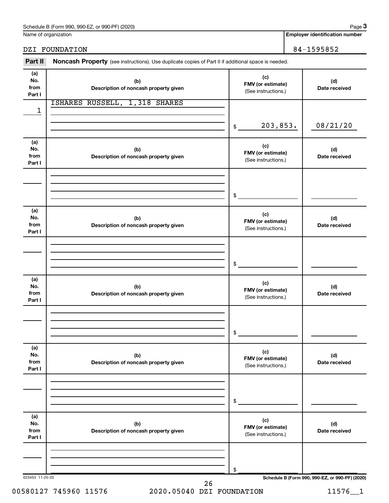Name of organization

#### DZI FOUNDATION 84-1595852

Part II Noncash Property (see instructions). Use duplicate copies of Part II if additional space is needed.

| (a)<br>No.<br>from<br>Part I | (b)<br>Description of noncash property given | (c)<br>FMV (or estimate)<br>(See instructions.) | (d)<br>Date received                            |
|------------------------------|----------------------------------------------|-------------------------------------------------|-------------------------------------------------|
| 1                            | ISHARES RUSSELL, 1,318 SHARES                |                                                 |                                                 |
|                              |                                              | 203,853.<br>\$                                  | 08/21/20                                        |
| (a)<br>No.<br>from<br>Part I | (b)<br>Description of noncash property given | (c)<br>FMV (or estimate)<br>(See instructions.) | (d)<br>Date received                            |
|                              |                                              | \$                                              |                                                 |
| (a)<br>No.<br>from<br>Part I | (b)<br>Description of noncash property given | (c)<br>FMV (or estimate)<br>(See instructions.) | (d)<br>Date received                            |
|                              |                                              | \$                                              |                                                 |
| (a)<br>No.<br>from<br>Part I | (b)<br>Description of noncash property given | (c)<br>FMV (or estimate)<br>(See instructions.) | (d)<br>Date received                            |
|                              |                                              | \$                                              |                                                 |
| (a)<br>No.<br>from<br>Part I | (b)<br>Description of noncash property given | (c)<br>FMV (or estimate)<br>(See instructions.) | (d)<br>Date received                            |
|                              |                                              | \$                                              |                                                 |
| (a)<br>No.<br>from<br>Part I | (b)<br>Description of noncash property given | (c)<br>FMV (or estimate)<br>(See instructions.) | (d)<br>Date received                            |
|                              |                                              | \$                                              |                                                 |
| 023453 11-25-20              | 26                                           |                                                 | Schedule B (Form 990, 990-EZ, or 990-PF) (2020) |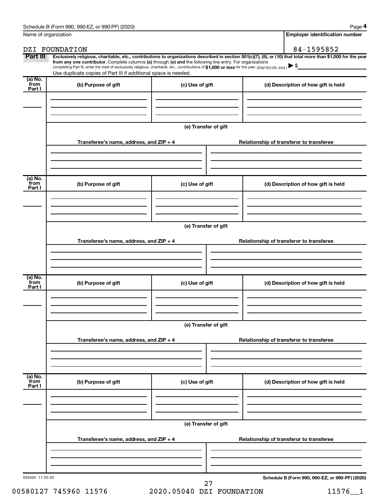|                             | Name of organization                                                                                                                                                                                                                                                                                                                      |                      | <b>Employer identification number</b>                                                                                                                          |
|-----------------------------|-------------------------------------------------------------------------------------------------------------------------------------------------------------------------------------------------------------------------------------------------------------------------------------------------------------------------------------------|----------------------|----------------------------------------------------------------------------------------------------------------------------------------------------------------|
|                             | DZI FOUNDATION                                                                                                                                                                                                                                                                                                                            |                      | 84-1595852                                                                                                                                                     |
| Part III                    | from any one contributor. Complete columns (a) through (e) and the following line entry. For organizations<br>completing Part III, enter the total of exclusively religious, charitable, etc., contributions of \$1,000 or less for the year. (Enter this info. once.)<br>Use duplicate copies of Part III if additional space is needed. |                      | Exclusively religious, charitable, etc., contributions to organizations described in section 501(c)(7), (8), or (10) that total more than \$1,000 for the year |
| $(a)$ No.<br>from<br>Part I | (b) Purpose of gift                                                                                                                                                                                                                                                                                                                       | (c) Use of gift      | (d) Description of how gift is held                                                                                                                            |
|                             |                                                                                                                                                                                                                                                                                                                                           |                      |                                                                                                                                                                |
|                             |                                                                                                                                                                                                                                                                                                                                           | (e) Transfer of gift |                                                                                                                                                                |
|                             | Transferee's name, address, and $ZIP + 4$                                                                                                                                                                                                                                                                                                 |                      | Relationship of transferor to transferee                                                                                                                       |
| (a) No.<br>from             |                                                                                                                                                                                                                                                                                                                                           |                      |                                                                                                                                                                |
| Part I                      | (b) Purpose of gift                                                                                                                                                                                                                                                                                                                       | (c) Use of gift      | (d) Description of how gift is held                                                                                                                            |
|                             |                                                                                                                                                                                                                                                                                                                                           | (e) Transfer of gift |                                                                                                                                                                |
|                             | Transferee's name, address, and $ZIP + 4$                                                                                                                                                                                                                                                                                                 |                      | Relationship of transferor to transferee                                                                                                                       |
| $\overline{a}$ ) No.        |                                                                                                                                                                                                                                                                                                                                           |                      |                                                                                                                                                                |
| from<br>Part I              | (b) Purpose of gift                                                                                                                                                                                                                                                                                                                       | (c) Use of gift      | (d) Description of how gift is held                                                                                                                            |
|                             |                                                                                                                                                                                                                                                                                                                                           | (e) Transfer of gift |                                                                                                                                                                |
|                             | Transferee's name, address, and ZIP + 4                                                                                                                                                                                                                                                                                                   |                      | Relationship of transferor to transferee                                                                                                                       |
| (a) No.<br>from<br>Part I   | (b) Purpose of gift                                                                                                                                                                                                                                                                                                                       | (c) Use of gift      | (d) Description of how gift is held                                                                                                                            |
|                             |                                                                                                                                                                                                                                                                                                                                           |                      |                                                                                                                                                                |
|                             |                                                                                                                                                                                                                                                                                                                                           | (e) Transfer of gift |                                                                                                                                                                |
|                             | Transferee's name, address, and ZIP + 4                                                                                                                                                                                                                                                                                                   |                      | Relationship of transferor to transferee                                                                                                                       |
|                             |                                                                                                                                                                                                                                                                                                                                           |                      |                                                                                                                                                                |
| 023454 11-25-20             |                                                                                                                                                                                                                                                                                                                                           | 27                   | Schedule B (Form 990, 990-EZ, or 990-PF) (2020)                                                                                                                |

00580127 745960 11576 2020.05040 DZI FOUNDATION 11576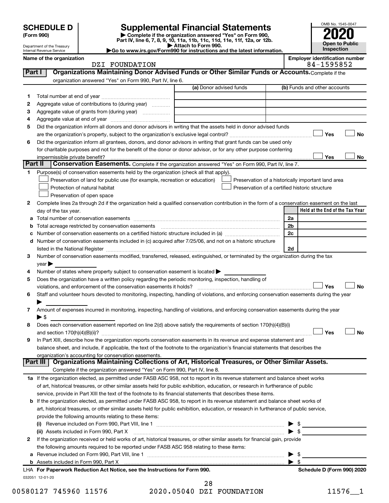| <b>SCHEDULE D</b> |  |
|-------------------|--|
|-------------------|--|

# **SCHEDULE D Supplemental Financial Statements**<br> **Form 990 2020**<br> **Part IV** line 6.7.8.9.10, 11a, 11b, 11d, 11d, 11d, 11d, 11d, 12a, 0r, 12b

**(Form 990) | Complete if the organization answered "Yes" on Form 990, Part IV, line 6, 7, 8, 9, 10, 11a, 11b, 11c, 11d, 11e, 11f, 12a, or 12b.**

**| Attach to Form 990. |Go to www.irs.gov/Form990 for instructions and the latest information.**



Department of the Treasury Internal Revenue Service

|  | . FOUNDATION<br>DZI | 1595852 |
|--|---------------------|---------|
|--|---------------------|---------|

**Name of the organization Employer identification number**

| Part I  | Organizations Maintaining Donor Advised Funds or Other Similar Funds or Accounts. Complete if the                                                                        |                         |                                                    |
|---------|--------------------------------------------------------------------------------------------------------------------------------------------------------------------------|-------------------------|----------------------------------------------------|
|         | organization answered "Yes" on Form 990, Part IV, line 6.                                                                                                                |                         |                                                    |
|         |                                                                                                                                                                          | (a) Donor advised funds | (b) Funds and other accounts                       |
| 1       |                                                                                                                                                                          |                         |                                                    |
| 2       | Aggregate value of contributions to (during year)                                                                                                                        |                         |                                                    |
| з       | Aggregate value of grants from (during year)                                                                                                                             |                         |                                                    |
| 4       |                                                                                                                                                                          |                         |                                                    |
| 5       | Did the organization inform all donors and donor advisors in writing that the assets held in donor advised funds                                                         |                         |                                                    |
|         |                                                                                                                                                                          |                         | Yes<br>No                                          |
| 6       | Did the organization inform all grantees, donors, and donor advisors in writing that grant funds can be used only                                                        |                         |                                                    |
|         | for charitable purposes and not for the benefit of the donor or donor advisor, or for any other purpose conferring                                                       |                         |                                                    |
|         | impermissible private benefit?                                                                                                                                           |                         | Yes<br>No                                          |
| Part II | Conservation Easements. Complete if the organization answered "Yes" on Form 990, Part IV, line 7.                                                                        |                         |                                                    |
| 1.      | Purpose(s) of conservation easements held by the organization (check all that apply).                                                                                    |                         |                                                    |
|         | Preservation of land for public use (for example, recreation or education)                                                                                               |                         | Preservation of a historically important land area |
|         | Protection of natural habitat                                                                                                                                            |                         | Preservation of a certified historic structure     |
|         | Preservation of open space                                                                                                                                               |                         |                                                    |
| 2       | Complete lines 2a through 2d if the organization held a qualified conservation contribution in the form of a conservation easement on the last                           |                         |                                                    |
|         | day of the tax year.                                                                                                                                                     |                         | Held at the End of the Tax Year                    |
|         |                                                                                                                                                                          |                         | 2a                                                 |
| b       | Total acreage restricted by conservation easements                                                                                                                       |                         | 2 <sub>b</sub>                                     |
| с       |                                                                                                                                                                          |                         | 2c                                                 |
| d       | Number of conservation easements included in (c) acquired after 7/25/06, and not on a historic structure                                                                 |                         |                                                    |
|         |                                                                                                                                                                          |                         | 2d                                                 |
| 3       | Number of conservation easements modified, transferred, released, extinguished, or terminated by the organization during the tax                                         |                         |                                                    |
|         | year                                                                                                                                                                     |                         |                                                    |
| 4       | Number of states where property subject to conservation easement is located >                                                                                            |                         |                                                    |
| 5       | Does the organization have a written policy regarding the periodic monitoring, inspection, handling of                                                                   |                         |                                                    |
|         | violations, and enforcement of the conservation easements it holds?                                                                                                      |                         | Yes<br>No                                          |
| 6       | Staff and volunteer hours devoted to monitoring, inspecting, handling of violations, and enforcing conservation easements during the year                                |                         |                                                    |
|         |                                                                                                                                                                          |                         |                                                    |
| 7       | Amount of expenses incurred in monitoring, inspecting, handling of violations, and enforcing conservation easements during the year                                      |                         |                                                    |
|         | $\blacktriangleright$ \$                                                                                                                                                 |                         |                                                    |
| 8       | Does each conservation easement reported on line 2(d) above satisfy the requirements of section 170(h)(4)(B)(i)                                                          |                         |                                                    |
|         |                                                                                                                                                                          |                         | Yes<br>No                                          |
| 9       | In Part XIII, describe how the organization reports conservation easements in its revenue and expense statement and                                                      |                         |                                                    |
|         | balance sheet, and include, if applicable, the text of the footnote to the organization's financial statements that describes the                                        |                         |                                                    |
|         | organization's accounting for conservation easements.<br>Organizations Maintaining Collections of Art, Historical Treasures, or Other Similar Assets.<br><b>Part III</b> |                         |                                                    |
|         | Complete if the organization answered "Yes" on Form 990, Part IV, line 8.                                                                                                |                         |                                                    |
|         | 1a If the organization elected, as permitted under FASB ASC 958, not to report in its revenue statement and balance sheet works                                          |                         |                                                    |
|         | of art, historical treasures, or other similar assets held for public exhibition, education, or research in furtherance of public                                        |                         |                                                    |
|         | service, provide in Part XIII the text of the footnote to its financial statements that describes these items.                                                           |                         |                                                    |
|         | <b>b</b> If the organization elected, as permitted under FASB ASC 958, to report in its revenue statement and balance sheet works of                                     |                         |                                                    |
|         | art, historical treasures, or other similar assets held for public exhibition, education, or research in furtherance of public service,                                  |                         |                                                    |
|         | provide the following amounts relating to these items:                                                                                                                   |                         |                                                    |
|         |                                                                                                                                                                          |                         | \$                                                 |
|         | (ii) Assets included in Form 990, Part X [11] Marson Marson Marson Marson Marson Marson Marson Marson Marson M                                                           |                         | $\blacktriangleright$ s                            |
| 2       | If the organization received or held works of art, historical treasures, or other similar assets for financial gain, provide                                             |                         |                                                    |
|         | the following amounts required to be reported under FASB ASC 958 relating to these items:                                                                                |                         |                                                    |
| а       |                                                                                                                                                                          |                         | \$                                                 |
|         |                                                                                                                                                                          |                         | $\blacktriangleright$ s                            |
|         | LHA For Paperwork Reduction Act Notice, see the Instructions for Form 990.                                                                                               |                         | Schedule D (Form 990) 2020                         |

032051 12-01-20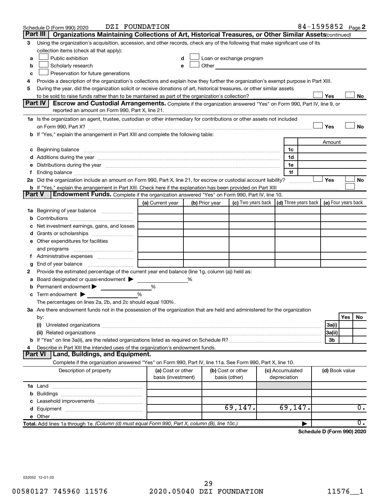|               | DZI FOUNDATION<br>Schedule D (Form 990) 2020                                                                                                                                                                                                                                                                                                         |                                         |   |                |                                                                             |  |                                 | 84-1595852 Page 2 |                |     |                  |  |
|---------------|------------------------------------------------------------------------------------------------------------------------------------------------------------------------------------------------------------------------------------------------------------------------------------------------------------------------------------------------------|-----------------------------------------|---|----------------|-----------------------------------------------------------------------------|--|---------------------------------|-------------------|----------------|-----|------------------|--|
|               | Part III  <br>Organizations Maintaining Collections of Art, Historical Treasures, or Other Similar Assets (continued)                                                                                                                                                                                                                                |                                         |   |                |                                                                             |  |                                 |                   |                |     |                  |  |
| 3             | Using the organization's acquisition, accession, and other records, check any of the following that make significant use of its                                                                                                                                                                                                                      |                                         |   |                |                                                                             |  |                                 |                   |                |     |                  |  |
|               | collection items (check all that apply):                                                                                                                                                                                                                                                                                                             |                                         |   |                |                                                                             |  |                                 |                   |                |     |                  |  |
| a             | Public exhibition                                                                                                                                                                                                                                                                                                                                    |                                         |   |                | Loan or exchange program                                                    |  |                                 |                   |                |     |                  |  |
| b             | Scholarly research                                                                                                                                                                                                                                                                                                                                   |                                         |   |                | <b>Other Community</b>                                                      |  |                                 |                   |                |     |                  |  |
| с             | Preservation for future generations                                                                                                                                                                                                                                                                                                                  |                                         |   |                |                                                                             |  |                                 |                   |                |     |                  |  |
| 4             | Provide a description of the organization's collections and explain how they further the organization's exempt purpose in Part XIII.                                                                                                                                                                                                                 |                                         |   |                |                                                                             |  |                                 |                   |                |     |                  |  |
| 5             | During the year, did the organization solicit or receive donations of art, historical treasures, or other similar assets                                                                                                                                                                                                                             |                                         |   |                |                                                                             |  |                                 |                   |                |     |                  |  |
|               | Yes<br>No                                                                                                                                                                                                                                                                                                                                            |                                         |   |                |                                                                             |  |                                 |                   |                |     |                  |  |
|               | Part IV<br><b>Escrow and Custodial Arrangements.</b> Complete if the organization answered "Yes" on Form 990, Part IV, line 9, or                                                                                                                                                                                                                    |                                         |   |                |                                                                             |  |                                 |                   |                |     |                  |  |
|               | reported an amount on Form 990, Part X, line 21.                                                                                                                                                                                                                                                                                                     |                                         |   |                |                                                                             |  |                                 |                   |                |     |                  |  |
|               | 1a Is the organization an agent, trustee, custodian or other intermediary for contributions or other assets not included                                                                                                                                                                                                                             |                                         |   |                |                                                                             |  |                                 |                   |                |     |                  |  |
|               | on Form 990, Part X? [11] matter contracts and contracts and contracts are contracted and contracts are contracted and contract and contract of the contract of the contract of the contract of the contract of the contract o                                                                                                                       |                                         |   |                |                                                                             |  |                                 |                   | Yes            |     | No               |  |
|               | b If "Yes," explain the arrangement in Part XIII and complete the following table:                                                                                                                                                                                                                                                                   |                                         |   |                |                                                                             |  |                                 |                   |                |     |                  |  |
|               |                                                                                                                                                                                                                                                                                                                                                      |                                         |   |                |                                                                             |  |                                 |                   | Amount         |     |                  |  |
|               | c Beginning balance <b>communications</b> and the contract of the contract of the contract of the contract of the contract of the contract of the contract of the contract of the contract of the contract of the contract of the c                                                                                                                  |                                         |   |                |                                                                             |  | 1c                              |                   |                |     |                  |  |
|               | d Additions during the year measurement contains and a final state of the year measurement of the year measurement of the state of the state of the state of the state of the state of the state of the state of the state of                                                                                                                        |                                         |   |                |                                                                             |  | 1d                              |                   |                |     |                  |  |
|               | e Distributions during the year manufactured and continuum and continuum and continuum and continuum and continuum and continuum and continuum and continuum and continuum and continuum and continuum and continuum and conti                                                                                                                       |                                         |   |                |                                                                             |  | 1e                              |                   |                |     |                  |  |
|               | f Ending balance measurements and the contract of the contract of the contract of the contract of the contract of the contract of the contract of the contract of the contract of the contract of the contract of the contract<br>2a Did the organization include an amount on Form 990, Part X, line 21, for escrow or custodial account liability? |                                         |   |                |                                                                             |  | 1f                              |                   | ∣ Yes          |     | No               |  |
|               |                                                                                                                                                                                                                                                                                                                                                      |                                         |   |                |                                                                             |  |                                 |                   |                |     |                  |  |
| <b>Part V</b> | Endowment Funds. Complete if the organization answered "Yes" on Form 990, Part IV, line 10.                                                                                                                                                                                                                                                          |                                         |   |                |                                                                             |  |                                 |                   |                |     |                  |  |
|               |                                                                                                                                                                                                                                                                                                                                                      | (a) Current year                        |   | (b) Prior year | (c) Two years back $\vert$ (d) Three years back $\vert$ (e) Four years back |  |                                 |                   |                |     |                  |  |
|               | 1a Beginning of year balance                                                                                                                                                                                                                                                                                                                         |                                         |   |                |                                                                             |  |                                 |                   |                |     |                  |  |
| b             |                                                                                                                                                                                                                                                                                                                                                      |                                         |   |                |                                                                             |  |                                 |                   |                |     |                  |  |
|               | Net investment earnings, gains, and losses                                                                                                                                                                                                                                                                                                           |                                         |   |                |                                                                             |  |                                 |                   |                |     |                  |  |
|               |                                                                                                                                                                                                                                                                                                                                                      |                                         |   |                |                                                                             |  |                                 |                   |                |     |                  |  |
|               | e Other expenditures for facilities                                                                                                                                                                                                                                                                                                                  |                                         |   |                |                                                                             |  |                                 |                   |                |     |                  |  |
|               |                                                                                                                                                                                                                                                                                                                                                      |                                         |   |                |                                                                             |  |                                 |                   |                |     |                  |  |
|               | f Administrative expenses                                                                                                                                                                                                                                                                                                                            |                                         |   |                |                                                                             |  |                                 |                   |                |     |                  |  |
| g             |                                                                                                                                                                                                                                                                                                                                                      |                                         |   |                |                                                                             |  |                                 |                   |                |     |                  |  |
| 2             | Provide the estimated percentage of the current year end balance (line 1g, column (a)) held as:                                                                                                                                                                                                                                                      |                                         |   |                |                                                                             |  |                                 |                   |                |     |                  |  |
| а             | Board designated or quasi-endowment                                                                                                                                                                                                                                                                                                                  |                                         | % |                |                                                                             |  |                                 |                   |                |     |                  |  |
|               | <b>b</b> Permanent endowment $\blacktriangleright$                                                                                                                                                                                                                                                                                                   | %                                       |   |                |                                                                             |  |                                 |                   |                |     |                  |  |
|               | $\mathbf c$ Term endowment $\blacktriangleright$                                                                                                                                                                                                                                                                                                     | $\frac{0}{0}$                           |   |                |                                                                             |  |                                 |                   |                |     |                  |  |
|               | The percentages on lines 2a, 2b, and 2c should equal 100%.                                                                                                                                                                                                                                                                                           |                                         |   |                |                                                                             |  |                                 |                   |                |     |                  |  |
|               | 3a Are there endowment funds not in the possession of the organization that are held and administered for the organization                                                                                                                                                                                                                           |                                         |   |                |                                                                             |  |                                 |                   |                |     |                  |  |
|               | by:                                                                                                                                                                                                                                                                                                                                                  |                                         |   |                |                                                                             |  |                                 |                   |                | Yes | No               |  |
|               | (i)                                                                                                                                                                                                                                                                                                                                                  |                                         |   |                |                                                                             |  |                                 |                   | 3a(i)          |     |                  |  |
|               |                                                                                                                                                                                                                                                                                                                                                      |                                         |   |                |                                                                             |  |                                 |                   | 3a(ii)         |     |                  |  |
|               |                                                                                                                                                                                                                                                                                                                                                      |                                         |   |                |                                                                             |  |                                 |                   | 3b             |     |                  |  |
| 4             | Describe in Part XIII the intended uses of the organization's endowment funds.                                                                                                                                                                                                                                                                       |                                         |   |                |                                                                             |  |                                 |                   |                |     |                  |  |
|               | Land, Buildings, and Equipment.<br><b>Part VI</b>                                                                                                                                                                                                                                                                                                    |                                         |   |                |                                                                             |  |                                 |                   |                |     |                  |  |
|               | Complete if the organization answered "Yes" on Form 990, Part IV, line 11a. See Form 990, Part X, line 10.                                                                                                                                                                                                                                           |                                         |   |                |                                                                             |  |                                 |                   |                |     |                  |  |
|               | Description of property                                                                                                                                                                                                                                                                                                                              | (a) Cost or other<br>basis (investment) |   |                | (b) Cost or other<br>basis (other)                                          |  | (c) Accumulated<br>depreciation |                   | (d) Book value |     |                  |  |
|               |                                                                                                                                                                                                                                                                                                                                                      |                                         |   |                |                                                                             |  |                                 |                   |                |     |                  |  |
| b             |                                                                                                                                                                                                                                                                                                                                                      |                                         |   |                |                                                                             |  |                                 |                   |                |     |                  |  |
|               |                                                                                                                                                                                                                                                                                                                                                      |                                         |   |                |                                                                             |  |                                 |                   |                |     |                  |  |
|               |                                                                                                                                                                                                                                                                                                                                                      |                                         |   |                | 69, 147.                                                                    |  | 69, 147.                        |                   |                |     | 0.               |  |
|               |                                                                                                                                                                                                                                                                                                                                                      |                                         |   |                |                                                                             |  |                                 |                   |                |     |                  |  |
|               | Total. Add lines 1a through 1e. (Column (d) must equal Form 990, Part X, column (B), line 10c.)                                                                                                                                                                                                                                                      |                                         |   |                |                                                                             |  |                                 |                   |                |     | $\overline{0}$ . |  |

**Schedule D (Form 990) 2020**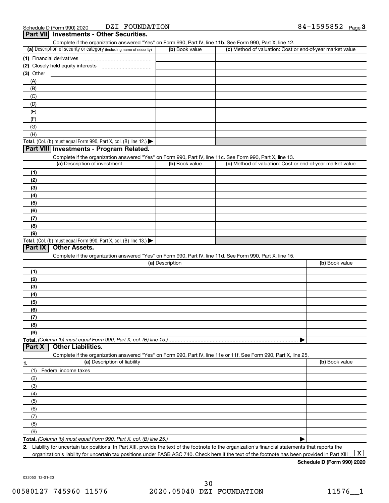| (A)<br>(B)<br>(C)<br>(D)<br>(E)<br>(F)<br>(G)<br>(H)<br>Part VIII Investments - Program Related.<br>Complete if the organization answered "Yes" on Form 990, Part IV, line 11c. See Form 990, Part X, line 13.<br>(a) Description of investment<br>(b) Book value<br>(c) Method of valuation: Cost or end-of-year market value<br>(1)<br>(2)<br>(3)<br>(4)<br>(5)<br>(6)<br>(7)<br>(8)<br>(9)<br>Part IX<br><b>Other Assets.</b><br>Complete if the organization answered "Yes" on Form 990, Part IV, line 11d. See Form 990, Part X, line 15.<br>(a) Description<br>(b) Book value<br>(1)<br>(2)<br>(3)<br>(4)<br>(5)<br>(6)<br>(7)<br>(8)<br>(9)<br><b>Other Liabilities.</b><br>Part X<br>Complete if the organization answered "Yes" on Form 990, Part IV, line 11e or 11f. See Form 990, Part X, line 25.<br>(a) Description of liability<br>(b) Book value<br>1.<br>(1)<br>Federal income taxes<br>(2)<br>(3)<br>(4)<br>(5)<br>(6)<br>(7)<br>(8)<br>(9)<br>Total. (Column (b) must equal Form 990, Part X, col. (B) line 25.) |  |  |
|-------------------------------------------------------------------------------------------------------------------------------------------------------------------------------------------------------------------------------------------------------------------------------------------------------------------------------------------------------------------------------------------------------------------------------------------------------------------------------------------------------------------------------------------------------------------------------------------------------------------------------------------------------------------------------------------------------------------------------------------------------------------------------------------------------------------------------------------------------------------------------------------------------------------------------------------------------------------------------------------------------------------------------------|--|--|
| (1) Financial derivatives<br>(2) Closely held equity interests<br>(3) Other<br>Total. (Col. (b) must equal Form 990, Part X, col. (B) line 12.) $\blacktriangleright$<br>Total. (Col. (b) must equal Form 990, Part X, col. (B) line 13.) $\blacktriangleright$                                                                                                                                                                                                                                                                                                                                                                                                                                                                                                                                                                                                                                                                                                                                                                     |  |  |
|                                                                                                                                                                                                                                                                                                                                                                                                                                                                                                                                                                                                                                                                                                                                                                                                                                                                                                                                                                                                                                     |  |  |
|                                                                                                                                                                                                                                                                                                                                                                                                                                                                                                                                                                                                                                                                                                                                                                                                                                                                                                                                                                                                                                     |  |  |
|                                                                                                                                                                                                                                                                                                                                                                                                                                                                                                                                                                                                                                                                                                                                                                                                                                                                                                                                                                                                                                     |  |  |
|                                                                                                                                                                                                                                                                                                                                                                                                                                                                                                                                                                                                                                                                                                                                                                                                                                                                                                                                                                                                                                     |  |  |
|                                                                                                                                                                                                                                                                                                                                                                                                                                                                                                                                                                                                                                                                                                                                                                                                                                                                                                                                                                                                                                     |  |  |
|                                                                                                                                                                                                                                                                                                                                                                                                                                                                                                                                                                                                                                                                                                                                                                                                                                                                                                                                                                                                                                     |  |  |
|                                                                                                                                                                                                                                                                                                                                                                                                                                                                                                                                                                                                                                                                                                                                                                                                                                                                                                                                                                                                                                     |  |  |
|                                                                                                                                                                                                                                                                                                                                                                                                                                                                                                                                                                                                                                                                                                                                                                                                                                                                                                                                                                                                                                     |  |  |
|                                                                                                                                                                                                                                                                                                                                                                                                                                                                                                                                                                                                                                                                                                                                                                                                                                                                                                                                                                                                                                     |  |  |
|                                                                                                                                                                                                                                                                                                                                                                                                                                                                                                                                                                                                                                                                                                                                                                                                                                                                                                                                                                                                                                     |  |  |
|                                                                                                                                                                                                                                                                                                                                                                                                                                                                                                                                                                                                                                                                                                                                                                                                                                                                                                                                                                                                                                     |  |  |
|                                                                                                                                                                                                                                                                                                                                                                                                                                                                                                                                                                                                                                                                                                                                                                                                                                                                                                                                                                                                                                     |  |  |
|                                                                                                                                                                                                                                                                                                                                                                                                                                                                                                                                                                                                                                                                                                                                                                                                                                                                                                                                                                                                                                     |  |  |
|                                                                                                                                                                                                                                                                                                                                                                                                                                                                                                                                                                                                                                                                                                                                                                                                                                                                                                                                                                                                                                     |  |  |
|                                                                                                                                                                                                                                                                                                                                                                                                                                                                                                                                                                                                                                                                                                                                                                                                                                                                                                                                                                                                                                     |  |  |
|                                                                                                                                                                                                                                                                                                                                                                                                                                                                                                                                                                                                                                                                                                                                                                                                                                                                                                                                                                                                                                     |  |  |
|                                                                                                                                                                                                                                                                                                                                                                                                                                                                                                                                                                                                                                                                                                                                                                                                                                                                                                                                                                                                                                     |  |  |
|                                                                                                                                                                                                                                                                                                                                                                                                                                                                                                                                                                                                                                                                                                                                                                                                                                                                                                                                                                                                                                     |  |  |
|                                                                                                                                                                                                                                                                                                                                                                                                                                                                                                                                                                                                                                                                                                                                                                                                                                                                                                                                                                                                                                     |  |  |
|                                                                                                                                                                                                                                                                                                                                                                                                                                                                                                                                                                                                                                                                                                                                                                                                                                                                                                                                                                                                                                     |  |  |
|                                                                                                                                                                                                                                                                                                                                                                                                                                                                                                                                                                                                                                                                                                                                                                                                                                                                                                                                                                                                                                     |  |  |
|                                                                                                                                                                                                                                                                                                                                                                                                                                                                                                                                                                                                                                                                                                                                                                                                                                                                                                                                                                                                                                     |  |  |
|                                                                                                                                                                                                                                                                                                                                                                                                                                                                                                                                                                                                                                                                                                                                                                                                                                                                                                                                                                                                                                     |  |  |
|                                                                                                                                                                                                                                                                                                                                                                                                                                                                                                                                                                                                                                                                                                                                                                                                                                                                                                                                                                                                                                     |  |  |
|                                                                                                                                                                                                                                                                                                                                                                                                                                                                                                                                                                                                                                                                                                                                                                                                                                                                                                                                                                                                                                     |  |  |
|                                                                                                                                                                                                                                                                                                                                                                                                                                                                                                                                                                                                                                                                                                                                                                                                                                                                                                                                                                                                                                     |  |  |
|                                                                                                                                                                                                                                                                                                                                                                                                                                                                                                                                                                                                                                                                                                                                                                                                                                                                                                                                                                                                                                     |  |  |
|                                                                                                                                                                                                                                                                                                                                                                                                                                                                                                                                                                                                                                                                                                                                                                                                                                                                                                                                                                                                                                     |  |  |
|                                                                                                                                                                                                                                                                                                                                                                                                                                                                                                                                                                                                                                                                                                                                                                                                                                                                                                                                                                                                                                     |  |  |
|                                                                                                                                                                                                                                                                                                                                                                                                                                                                                                                                                                                                                                                                                                                                                                                                                                                                                                                                                                                                                                     |  |  |
|                                                                                                                                                                                                                                                                                                                                                                                                                                                                                                                                                                                                                                                                                                                                                                                                                                                                                                                                                                                                                                     |  |  |
|                                                                                                                                                                                                                                                                                                                                                                                                                                                                                                                                                                                                                                                                                                                                                                                                                                                                                                                                                                                                                                     |  |  |
|                                                                                                                                                                                                                                                                                                                                                                                                                                                                                                                                                                                                                                                                                                                                                                                                                                                                                                                                                                                                                                     |  |  |
|                                                                                                                                                                                                                                                                                                                                                                                                                                                                                                                                                                                                                                                                                                                                                                                                                                                                                                                                                                                                                                     |  |  |
|                                                                                                                                                                                                                                                                                                                                                                                                                                                                                                                                                                                                                                                                                                                                                                                                                                                                                                                                                                                                                                     |  |  |
|                                                                                                                                                                                                                                                                                                                                                                                                                                                                                                                                                                                                                                                                                                                                                                                                                                                                                                                                                                                                                                     |  |  |
|                                                                                                                                                                                                                                                                                                                                                                                                                                                                                                                                                                                                                                                                                                                                                                                                                                                                                                                                                                                                                                     |  |  |
|                                                                                                                                                                                                                                                                                                                                                                                                                                                                                                                                                                                                                                                                                                                                                                                                                                                                                                                                                                                                                                     |  |  |
|                                                                                                                                                                                                                                                                                                                                                                                                                                                                                                                                                                                                                                                                                                                                                                                                                                                                                                                                                                                                                                     |  |  |
|                                                                                                                                                                                                                                                                                                                                                                                                                                                                                                                                                                                                                                                                                                                                                                                                                                                                                                                                                                                                                                     |  |  |
|                                                                                                                                                                                                                                                                                                                                                                                                                                                                                                                                                                                                                                                                                                                                                                                                                                                                                                                                                                                                                                     |  |  |
|                                                                                                                                                                                                                                                                                                                                                                                                                                                                                                                                                                                                                                                                                                                                                                                                                                                                                                                                                                                                                                     |  |  |
|                                                                                                                                                                                                                                                                                                                                                                                                                                                                                                                                                                                                                                                                                                                                                                                                                                                                                                                                                                                                                                     |  |  |
|                                                                                                                                                                                                                                                                                                                                                                                                                                                                                                                                                                                                                                                                                                                                                                                                                                                                                                                                                                                                                                     |  |  |
|                                                                                                                                                                                                                                                                                                                                                                                                                                                                                                                                                                                                                                                                                                                                                                                                                                                                                                                                                                                                                                     |  |  |
|                                                                                                                                                                                                                                                                                                                                                                                                                                                                                                                                                                                                                                                                                                                                                                                                                                                                                                                                                                                                                                     |  |  |
|                                                                                                                                                                                                                                                                                                                                                                                                                                                                                                                                                                                                                                                                                                                                                                                                                                                                                                                                                                                                                                     |  |  |
|                                                                                                                                                                                                                                                                                                                                                                                                                                                                                                                                                                                                                                                                                                                                                                                                                                                                                                                                                                                                                                     |  |  |
| Complete if the organization answered "Yes" on Form 990, Part IV, line 11b. See Form 990, Part X, line 12.<br>(c) Method of valuation: Cost or end-of-year market value<br>(a) Description of security or category (including name of security)<br>(b) Book value                                                                                                                                                                                                                                                                                                                                                                                                                                                                                                                                                                                                                                                                                                                                                                   |  |  |

**2.** Liability for uncertain tax positions. In Part XIII, provide the text of the footnote to the organization's financial statements that reports the organization's liability for uncertain tax positions under FASB ASC 740. Check here if the text of the footnote has been provided in Part XIII ...  $\fbox{\bf X}$ 

**Schedule D (Form 990) 2020**

032053 12-01-20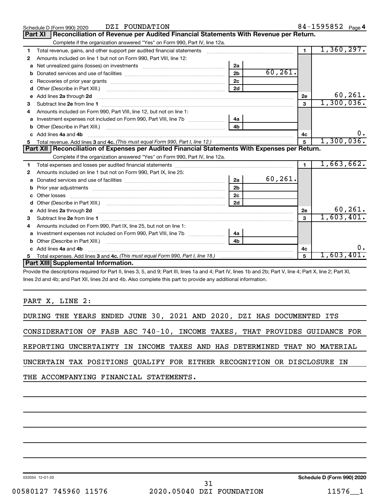|              | DZI FOUNDATION<br>Schedule D (Form 990) 2020                                                                                                                                                                                        |                |            |                | 84-1595852 Page 4 |
|--------------|-------------------------------------------------------------------------------------------------------------------------------------------------------------------------------------------------------------------------------------|----------------|------------|----------------|-------------------|
|              | Reconciliation of Revenue per Audited Financial Statements With Revenue per Return.<br>Part XI                                                                                                                                      |                |            |                |                   |
|              | Complete if the organization answered "Yes" on Form 990, Part IV, line 12a.                                                                                                                                                         |                |            |                |                   |
| 1            | Total revenue, gains, and other support per audited financial statements [111] [11] Total revenue, gains, and other support per audited financial statements                                                                        |                |            | $\overline{1}$ | 1,360,297.        |
| 2            | Amounts included on line 1 but not on Form 990, Part VIII, line 12:                                                                                                                                                                 |                |            |                |                   |
| a            | Net unrealized gains (losses) on investments [111] [12] matter was uncontracted by the unrealized gains (losses) on investments                                                                                                     | 2a             |            |                |                   |
| b            |                                                                                                                                                                                                                                     | 2 <sub>b</sub> | 60, 261.   |                |                   |
| c            |                                                                                                                                                                                                                                     | 2c             |            |                |                   |
| d            |                                                                                                                                                                                                                                     | 2d             |            |                |                   |
|              | e Add lines 2a through 2d 20 20 20 20 20 20 20 20 30 31 32 33 34 35 36 37 38 38 39 39 30 31 32 33 34 35 36 37 37 38 39 39 30 31 32 33 4 34 35 36 37 38 39 39 30 31 32 33 43 59 30 31 32 33 43 59 30 31 32 33 43 59 30 31 32 33      |                |            | 2e             | 60, 261.          |
| 3            |                                                                                                                                                                                                                                     |                |            | 3              | 1,300,036.        |
|              | Amounts included on Form 990, Part VIII, line 12, but not on line 1:                                                                                                                                                                |                |            |                |                   |
|              |                                                                                                                                                                                                                                     | 4а             |            |                |                   |
|              |                                                                                                                                                                                                                                     | 4 <sub>h</sub> |            |                |                   |
| $\mathbf{c}$ | Add lines 4a and 4b                                                                                                                                                                                                                 |                |            | 4c             | υ.                |
|              |                                                                                                                                                                                                                                     | $\overline{5}$ | 1,300,036. |                |                   |
|              |                                                                                                                                                                                                                                     |                |            |                |                   |
|              | Part XII   Reconciliation of Expenses per Audited Financial Statements With Expenses per Return.                                                                                                                                    |                |            |                |                   |
|              | Complete if the organization answered "Yes" on Form 990, Part IV, line 12a.                                                                                                                                                         |                |            |                |                   |
| 1            |                                                                                                                                                                                                                                     |                |            | $\blacksquare$ | 1,663,662.        |
| 2            | Amounts included on line 1 but not on Form 990, Part IX, line 25:                                                                                                                                                                   |                |            |                |                   |
| a            |                                                                                                                                                                                                                                     | 2a             | 60, 261.   |                |                   |
| b            |                                                                                                                                                                                                                                     | 2 <sub>b</sub> |            |                |                   |
| c            |                                                                                                                                                                                                                                     | 2 <sub>c</sub> |            |                |                   |
| d            |                                                                                                                                                                                                                                     | 2d             |            |                |                   |
| е            | Add lines 2a through 2d <b>contained a contained a contained a contained a</b> contained a contained a contained a contained a contained a contained a contained a contained a contained a contained a contained a contained a cont |                |            | 2e             | 60,261.           |
| З            |                                                                                                                                                                                                                                     |                |            | 3              | 1,603,401.        |
| 4            | Amounts included on Form 990, Part IX, line 25, but not on line 1:                                                                                                                                                                  |                |            |                |                   |
| a            |                                                                                                                                                                                                                                     | 4a             |            |                |                   |
|              |                                                                                                                                                                                                                                     | 4b             |            |                |                   |
|              | c Add lines 4a and 4b                                                                                                                                                                                                               |                |            | 4c             |                   |
|              | Part XIII Supplemental Information.                                                                                                                                                                                                 |                |            | 5              | 1,603,401         |

Provide the descriptions required for Part II, lines 3, 5, and 9; Part III, lines 1a and 4; Part IV, lines 1b and 2b; Part V, line 4; Part X, line 2; Part XI, lines 2d and 4b; and Part XII, lines 2d and 4b. Also complete this part to provide any additional information.

PART X, LINE 2:

|                                                                         |  |  |  |  |  |  |  |  |  |  | DURING THE YEARS ENDED JUNE 30, 2021 AND 2020, DZI HAS DOCUMENTED ITS      |  |
|-------------------------------------------------------------------------|--|--|--|--|--|--|--|--|--|--|----------------------------------------------------------------------------|--|
|                                                                         |  |  |  |  |  |  |  |  |  |  | CONSIDERATION OF FASB ASC 740-10, INCOME TAXES, THAT PROVIDES GUIDANCE FOR |  |
|                                                                         |  |  |  |  |  |  |  |  |  |  | REPORTING UNCERTAINTY IN INCOME TAXES AND HAS DETERMINED THAT NO MATERIAL  |  |
| UNCERTAIN TAX POSITIONS QUALIFY FOR EITHER RECOGNITION OR DISCLOSURE IN |  |  |  |  |  |  |  |  |  |  |                                                                            |  |
| THE ACCOMPANYING FINANCIAL STATEMENTS.                                  |  |  |  |  |  |  |  |  |  |  |                                                                            |  |

032054 12-01-20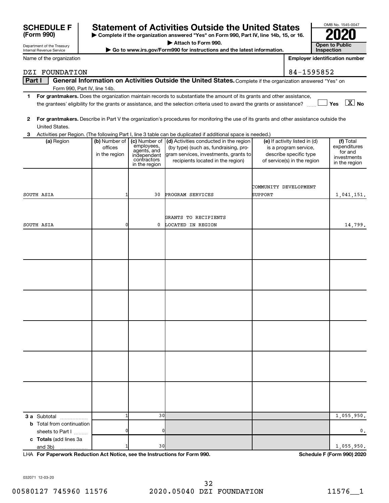| 032071-12-03-20      |  |
|----------------------|--|
| 00580127 745960 1157 |  |

# **SCHEDULE F Statement of Activities Outside the United States 2020**

**Part I** | General Information on Activities Outside the United States. Complete if the organization answered "Yes" on

DZI FOUNDATION 84-1595852

**| Complete if the organization answered "Yes" on Form 990, Part IV, line 14b, 15, or 16. | Attach to Form 990.**

▶ Go to www.irs.gov/Form990 for instructions and the latest information.

|              |                                                      |                                                           |                                                         | the grantees' eligibility for the grants or assistance, and the selection criteria used to award the grants or assistance?                                    |                                                                                                                 | $\sqrt{}$ Yes $\sqrt{X}$ No                                          |
|--------------|------------------------------------------------------|-----------------------------------------------------------|---------------------------------------------------------|---------------------------------------------------------------------------------------------------------------------------------------------------------------|-----------------------------------------------------------------------------------------------------------------|----------------------------------------------------------------------|
| $\mathbf{2}$ |                                                      |                                                           |                                                         | For grantmakers. Describe in Part V the organization's procedures for monitoring the use of its grants and other assistance outside the                       |                                                                                                                 |                                                                      |
|              | United States.                                       |                                                           |                                                         |                                                                                                                                                               |                                                                                                                 |                                                                      |
| 3            |                                                      |                                                           |                                                         | Activities per Region. (The following Part I, line 3 table can be duplicated if additional space is needed.)                                                  |                                                                                                                 |                                                                      |
|              | (a) Region                                           | (b) Number of   (c) Number of<br>offices<br>in the region | employees,<br>agents, and<br>independent<br>contractors | (d) Activities conducted in the region<br>(by type) (such as, fundraising, pro-<br>gram services, investments, grants to<br>recipients located in the region) | (e) If activity listed in (d)<br>is a program service,<br>describe specific type<br>of service(s) in the region | (f) Total<br>expenditures<br>for and<br>investments<br>in the region |
|              |                                                      |                                                           | in the region                                           |                                                                                                                                                               |                                                                                                                 |                                                                      |
|              | SOUTH ASIA                                           |                                                           | 30                                                      | PROGRAM SERVICES                                                                                                                                              | COMMUNITY DEVELOPMENT<br><b>SUPPORT</b>                                                                         | 1,041,151.                                                           |
|              | SOUTH ASIA                                           | 0                                                         | 0                                                       | GRANTS TO RECIPIENTS<br>LOCATED IN REGION                                                                                                                     |                                                                                                                 |                                                                      |
|              |                                                      |                                                           |                                                         |                                                                                                                                                               |                                                                                                                 | 14,799.                                                              |
|              |                                                      |                                                           |                                                         |                                                                                                                                                               |                                                                                                                 |                                                                      |
|              |                                                      |                                                           |                                                         |                                                                                                                                                               |                                                                                                                 |                                                                      |
|              |                                                      |                                                           |                                                         |                                                                                                                                                               |                                                                                                                 |                                                                      |
|              |                                                      |                                                           |                                                         |                                                                                                                                                               |                                                                                                                 |                                                                      |
|              |                                                      |                                                           |                                                         |                                                                                                                                                               |                                                                                                                 |                                                                      |
|              |                                                      |                                                           |                                                         |                                                                                                                                                               |                                                                                                                 |                                                                      |
|              |                                                      |                                                           |                                                         |                                                                                                                                                               |                                                                                                                 |                                                                      |
|              |                                                      |                                                           |                                                         |                                                                                                                                                               |                                                                                                                 |                                                                      |
|              |                                                      |                                                           |                                                         |                                                                                                                                                               |                                                                                                                 |                                                                      |
|              |                                                      |                                                           |                                                         |                                                                                                                                                               |                                                                                                                 |                                                                      |
|              |                                                      |                                                           |                                                         |                                                                                                                                                               |                                                                                                                 |                                                                      |
|              |                                                      |                                                           |                                                         |                                                                                                                                                               |                                                                                                                 |                                                                      |
|              |                                                      |                                                           |                                                         |                                                                                                                                                               |                                                                                                                 |                                                                      |
|              |                                                      |                                                           |                                                         |                                                                                                                                                               |                                                                                                                 |                                                                      |
|              |                                                      |                                                           |                                                         |                                                                                                                                                               |                                                                                                                 |                                                                      |
|              |                                                      |                                                           |                                                         |                                                                                                                                                               |                                                                                                                 |                                                                      |
|              | 3 a Subtotal                                         | 1                                                         | 30                                                      |                                                                                                                                                               |                                                                                                                 | 1,055,950.                                                           |
|              | <b>b</b> Total from continuation<br>sheets to Part I | n                                                         | 0                                                       |                                                                                                                                                               |                                                                                                                 | 0.                                                                   |
|              | c Totals (add lines 3a                               |                                                           |                                                         |                                                                                                                                                               |                                                                                                                 |                                                                      |
|              | and 3b)<br>.                                         |                                                           | 30                                                      |                                                                                                                                                               |                                                                                                                 | 1,055,950.                                                           |

## **3**

**1 For grantmakers.**  Does the organization maintain records to substantiate the amount of its grants and other assistance,

Department of the Treasury Internal Revenue Service Name of the organization

**(Form 990)**

Form 990, Part IV, line 14b.

| OMB No. 1545-0047            |
|------------------------------|
| 02                           |
| Open to Public<br>Inspection |

**Employer identification number**

**For Paperwork Reduction Act Notice, see the Instructions for Form 990. Schedule F (Form 990) 2020** LHA

032071 12-03-20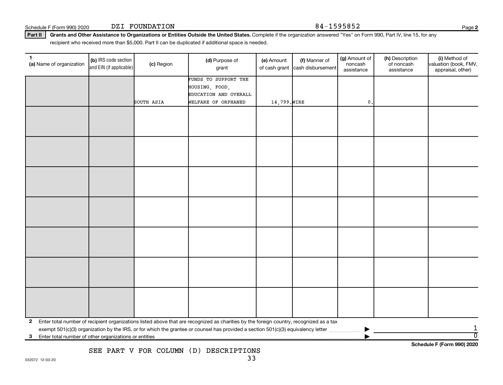Schedule F (Form 990) 2020 DZI FOUNDATION  $84-1595852$ DZI FOUNDATION

**2**

Part II | Grants and Other Assistance to Organizations or Entities Outside the United States. Complete if the organization answered "Yes" on Form 990, Part IV, line 15, for any recipient who received more than \$5,000. Part II can be duplicated if additional space is needed.

| 1.<br>(a) Name of organization | (b) IRS code section<br>and EIN (if applicable) | (c) Region | (d) Purpose of<br>grant                                                                                                                 | (e) Amount<br>of cash grant | (f) Manner of<br>cash disbursement | (g) Amount of<br>noncash<br>assistance | (h) Description<br>of noncash<br>assistance | (i) Method of<br>valuation (book, FMV,<br>appraisal, other) |
|--------------------------------|-------------------------------------------------|------------|-----------------------------------------------------------------------------------------------------------------------------------------|-----------------------------|------------------------------------|----------------------------------------|---------------------------------------------|-------------------------------------------------------------|
|                                |                                                 |            | FUNDS TO SUPPORT THE                                                                                                                    |                             |                                    |                                        |                                             |                                                             |
|                                |                                                 |            | HOUSING, FOOD,                                                                                                                          |                             |                                    |                                        |                                             |                                                             |
|                                |                                                 | SOUTH ASIA | EDUCATION AND OVERALL<br>WELFARE OF ORPHANED                                                                                            | 14,799. WIRE                |                                    | $\mathbf{0}$                           |                                             |                                                             |
|                                |                                                 |            |                                                                                                                                         |                             |                                    |                                        |                                             |                                                             |
|                                |                                                 |            |                                                                                                                                         |                             |                                    |                                        |                                             |                                                             |
|                                |                                                 |            |                                                                                                                                         |                             |                                    |                                        |                                             |                                                             |
|                                |                                                 |            |                                                                                                                                         |                             |                                    |                                        |                                             |                                                             |
|                                |                                                 |            |                                                                                                                                         |                             |                                    |                                        |                                             |                                                             |
|                                |                                                 |            |                                                                                                                                         |                             |                                    |                                        |                                             |                                                             |
|                                |                                                 |            |                                                                                                                                         |                             |                                    |                                        |                                             |                                                             |
|                                |                                                 |            |                                                                                                                                         |                             |                                    |                                        |                                             |                                                             |
|                                |                                                 |            |                                                                                                                                         |                             |                                    |                                        |                                             |                                                             |
|                                |                                                 |            |                                                                                                                                         |                             |                                    |                                        |                                             |                                                             |
|                                |                                                 |            |                                                                                                                                         |                             |                                    |                                        |                                             |                                                             |
|                                |                                                 |            |                                                                                                                                         |                             |                                    |                                        |                                             |                                                             |
|                                |                                                 |            |                                                                                                                                         |                             |                                    |                                        |                                             |                                                             |
|                                |                                                 |            |                                                                                                                                         |                             |                                    |                                        |                                             |                                                             |
|                                |                                                 |            |                                                                                                                                         |                             |                                    |                                        |                                             |                                                             |
|                                |                                                 |            |                                                                                                                                         |                             |                                    |                                        |                                             |                                                             |
|                                |                                                 |            |                                                                                                                                         |                             |                                    |                                        |                                             |                                                             |
|                                |                                                 |            |                                                                                                                                         |                             |                                    |                                        |                                             |                                                             |
|                                |                                                 |            |                                                                                                                                         |                             |                                    |                                        |                                             |                                                             |
|                                |                                                 |            |                                                                                                                                         |                             |                                    |                                        |                                             |                                                             |
|                                |                                                 |            |                                                                                                                                         |                             |                                    |                                        |                                             |                                                             |
|                                |                                                 |            |                                                                                                                                         |                             |                                    |                                        |                                             |                                                             |
|                                |                                                 |            |                                                                                                                                         |                             |                                    |                                        |                                             |                                                             |
|                                |                                                 |            |                                                                                                                                         |                             |                                    |                                        |                                             |                                                             |
| $\mathbf{2}$                   |                                                 |            | Enter total number of recipient organizations listed above that are recognized as charities by the foreign country, recognized as a tax |                             |                                    |                                        |                                             |                                                             |
|                                |                                                 |            |                                                                                                                                         |                             |                                    |                                        |                                             | 1                                                           |
| 3                              |                                                 |            |                                                                                                                                         |                             |                                    |                                        |                                             | $\overline{0}$<br>Schedule F (Form 990) 2020                |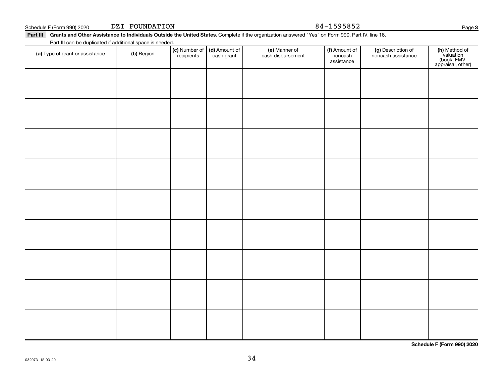| Part III Grants and Other Assistance to Individuals Outside the United States. Complete if the organization answered "Yes" on Form 990, Part IV, line 16. |
|-----------------------------------------------------------------------------------------------------------------------------------------------------------|

Part III can be duplicated if additional space is needed.

DZI FOUNDATION

| T are in barried adplicated in additional opace is necessar.<br>(a) Type of grant or assistance | (b) Region | (c) Number of (d) Amount of<br>recipients cash grant | (e) Manner of<br>cash disbursement | (f) Amount of<br>noncash<br>assistance | (g) Description of<br>noncash assistance | (h) Method of<br>valuation<br>(book, FMV,<br>appraisal, other) |
|-------------------------------------------------------------------------------------------------|------------|------------------------------------------------------|------------------------------------|----------------------------------------|------------------------------------------|----------------------------------------------------------------|
|                                                                                                 |            |                                                      |                                    |                                        |                                          |                                                                |
|                                                                                                 |            |                                                      |                                    |                                        |                                          |                                                                |
|                                                                                                 |            |                                                      |                                    |                                        |                                          |                                                                |
|                                                                                                 |            |                                                      |                                    |                                        |                                          |                                                                |
|                                                                                                 |            |                                                      |                                    |                                        |                                          |                                                                |
|                                                                                                 |            |                                                      |                                    |                                        |                                          |                                                                |
|                                                                                                 |            |                                                      |                                    |                                        |                                          |                                                                |
|                                                                                                 |            |                                                      |                                    |                                        |                                          |                                                                |
|                                                                                                 |            |                                                      |                                    |                                        |                                          |                                                                |
|                                                                                                 |            |                                                      |                                    |                                        |                                          |                                                                |
|                                                                                                 |            |                                                      |                                    |                                        |                                          |                                                                |
|                                                                                                 |            |                                                      |                                    |                                        |                                          |                                                                |
|                                                                                                 |            |                                                      |                                    |                                        |                                          |                                                                |
|                                                                                                 |            |                                                      |                                    |                                        |                                          |                                                                |

34

**Schedule F (Form 990) 2020**

Schedule F (Form 990) 2020 DZI FOUNDATION 84-1595852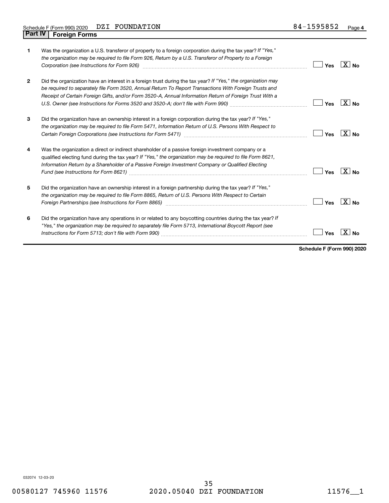| 1              | Was the organization a U.S. transferor of property to a foreign corporation during the tax year? If "Yes,"<br>the organization may be required to file Form 926, Return by a U.S. Transferor of Property to a Foreign<br>Corporation (see Instructions for Form 926) [11] Corporation (See Instruction of the Instruction of Toronton I                                                                                                               | Yes | $X _{N_{\Omega}}$ |
|----------------|-------------------------------------------------------------------------------------------------------------------------------------------------------------------------------------------------------------------------------------------------------------------------------------------------------------------------------------------------------------------------------------------------------------------------------------------------------|-----|-------------------|
| $\overline{2}$ | Did the organization have an interest in a foreign trust during the tax year? If "Yes," the organization may<br>be required to separately file Form 3520, Annual Return To Report Transactions With Foreign Trusts and<br>Receipt of Certain Foreign Gifts, and/or Form 3520-A, Annual Information Return of Foreign Trust With a<br>U.S. Owner (see Instructions for Forms 3520 and 3520-A; don't file with Form 990) manual content content content | Yes | $X_{\text{No}}$   |
| 3              | Did the organization have an ownership interest in a foreign corporation during the tax year? If "Yes,"<br>the organization may be required to file Form 5471, Information Return of U.S. Persons With Respect to                                                                                                                                                                                                                                     | Yes | $X _{N_{\Omega}}$ |
| 4              | Was the organization a direct or indirect shareholder of a passive foreign investment company or a<br>qualified electing fund during the tax year? If "Yes," the organization may be required to file Form 8621,<br>Information Return by a Shareholder of a Passive Foreign Investment Company or Qualified Electing                                                                                                                                 | Yes | $\overline{X}$ No |
| 5              | Did the organization have an ownership interest in a foreign partnership during the tax year? If "Yes,"<br>the organization may be required to file Form 8865, Return of U.S. Persons With Respect to Certain<br>Foreign Partnerships (see Instructions for Form 8865) manufactured content to the manufactured content of the                                                                                                                        | Yes | $X _{N_{\Omega}}$ |
| 6              | Did the organization have any operations in or related to any boycotting countries during the tax year? If<br>"Yes," the organization may be required to separately file Form 5713, International Boycott Report (see                                                                                                                                                                                                                                 | Yes |                   |

**Schedule F (Form 990) 2020**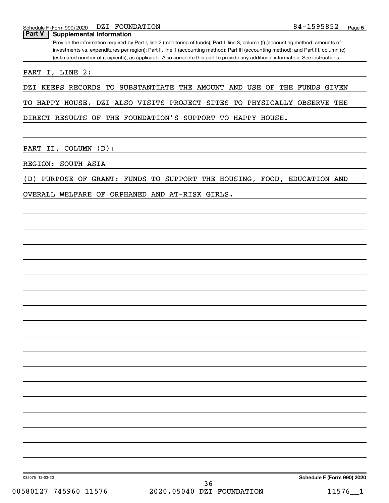**Part V Supplemental Information**

Provide the information required by Part I, line 2 (monitoring of funds); Part I, line 3, column (f) (accounting method; amounts of investments vs. expenditures per region); Part II, line 1 (accounting method); Part III (accounting method); and Part III, column (c) (estimated number of recipients), as applicable. Also complete this part to provide any additional information. See instructions.

PART I, LINE 2:

DZI KEEPS RECORDS TO SUBSTANTIATE THE AMOUNT AND USE OF THE FUNDS GIVEN

TO HAPPY HOUSE. DZI ALSO VISITS PROJECT SITES TO PHYSICALLY OBSERVE THE

DIRECT RESULTS OF THE FOUNDATION'S SUPPORT TO HAPPY HOUSE.

PART II, COLUMN (D):

REGION: SOUTH ASIA

(D) PURPOSE OF GRANT: FUNDS TO SUPPORT THE HOUSING, FOOD, EDUCATION AND

OVERALL WELFARE OF ORPHANED AND AT-RISK GIRLS.

032075 12-03-20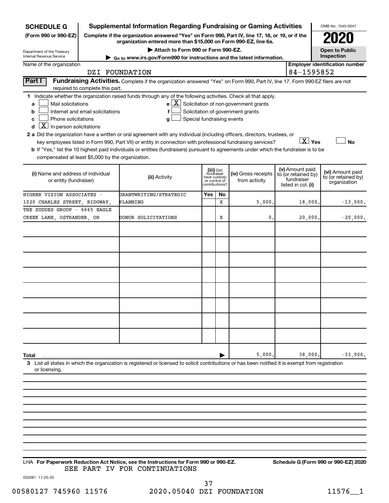| <b>SCHEDULE G</b>                                                                                               |                                  | <b>Supplemental Information Regarding Fundraising or Gaming Activities</b>                                                                                          |     |                                         |                                                       |  |                                  | OMB No. 1545-0047                       |
|-----------------------------------------------------------------------------------------------------------------|----------------------------------|---------------------------------------------------------------------------------------------------------------------------------------------------------------------|-----|-----------------------------------------|-------------------------------------------------------|--|----------------------------------|-----------------------------------------|
| (Form 990 or 990-EZ)                                                                                            |                                  | Complete if the organization answered "Yes" on Form 990, Part IV, line 17, 18, or 19, or if the<br>organization entered more than \$15,000 on Form 990-EZ, line 6a. |     |                                         |                                                       |  |                                  |                                         |
| Department of the Treasury<br>Internal Revenue Service                                                          |                                  | Attach to Form 990 or Form 990-EZ.                                                                                                                                  |     |                                         |                                                       |  |                                  | <b>Open to Public</b><br>Inspection     |
| Go to www.irs.gov/Form990 for instructions and the latest information.<br>Name of the organization              |                                  |                                                                                                                                                                     |     |                                         |                                                       |  |                                  | <b>Employer identification number</b>   |
| DZI FOUNDATION                                                                                                  |                                  |                                                                                                                                                                     |     |                                         |                                                       |  | 84-1595852                       |                                         |
| Part I                                                                                                          |                                  | Fundraising Activities. Complete if the organization answered "Yes" on Form 990, Part IV, line 17. Form 990-EZ filers are not                                       |     |                                         |                                                       |  |                                  |                                         |
|                                                                                                                 | required to complete this part.  |                                                                                                                                                                     |     |                                         |                                                       |  |                                  |                                         |
| 1 Indicate whether the organization raised funds through any of the following activities. Check all that apply. |                                  |                                                                                                                                                                     |     |                                         |                                                       |  |                                  |                                         |
| Mail solicitations<br>a                                                                                         |                                  |                                                                                                                                                                     |     |                                         | $e$ $\boxed{X}$ Solicitation of non-government grants |  |                                  |                                         |
| b                                                                                                               | Internet and email solicitations |                                                                                                                                                                     |     |                                         | Solicitation of government grants                     |  |                                  |                                         |
| Phone solicitations<br>c<br>$\mathbf{X}$<br>In-person solicitations                                             |                                  | Special fundraising events<br>g                                                                                                                                     |     |                                         |                                                       |  |                                  |                                         |
| d                                                                                                               |                                  | 2 a Did the organization have a written or oral agreement with any individual (including officers, directors, trustees, or                                          |     |                                         |                                                       |  |                                  |                                         |
|                                                                                                                 |                                  | key employees listed in Form 990, Part VII) or entity in connection with professional fundraising services?                                                         |     |                                         |                                                       |  | $\boxed{\text{X}}$ Yes           | <b>No</b>                               |
|                                                                                                                 |                                  | b If "Yes," list the 10 highest paid individuals or entities (fundraisers) pursuant to agreements under which the fundraiser is to be                               |     |                                         |                                                       |  |                                  |                                         |
| compensated at least \$5,000 by the organization.                                                               |                                  |                                                                                                                                                                     |     |                                         |                                                       |  |                                  |                                         |
|                                                                                                                 |                                  |                                                                                                                                                                     |     |                                         |                                                       |  | (v) Amount paid                  |                                         |
| (i) Name and address of individual                                                                              |                                  | (ii) Activity                                                                                                                                                       |     | (iii) Did<br>fundraiser<br>have custody | (iv) Gross receipts                                   |  | to (or retained by)              | (vi) Amount paid<br>to (or retained by) |
| or entity (fundraiser)                                                                                          |                                  |                                                                                                                                                                     |     | or control of<br>contributions?         | from activity                                         |  | fundraiser<br>listed in col. (i) | organization                            |
| HIGHER VISION ASSOCIATES -                                                                                      |                                  | <b>GRANTWRITING/STRATEGIC</b>                                                                                                                                       | Yes | No                                      |                                                       |  |                                  |                                         |
| 1020 CHARLES STREET, RIDGWAY,                                                                                   |                                  | PLANNING                                                                                                                                                            |     | X                                       | 5,000                                                 |  | 18,000                           | $-13,000.$                              |
| THE SUDDES GROUP - 6665 EAGLE                                                                                   |                                  |                                                                                                                                                                     |     |                                         |                                                       |  |                                  |                                         |
| CREEK LANE, OSTRANDER, OH                                                                                       |                                  | DONOR SOLICITATIONS                                                                                                                                                 |     | х                                       | 0                                                     |  | 20,000                           | $-20,000.$                              |
|                                                                                                                 |                                  |                                                                                                                                                                     |     |                                         |                                                       |  |                                  |                                         |
|                                                                                                                 |                                  |                                                                                                                                                                     |     |                                         |                                                       |  |                                  |                                         |
|                                                                                                                 |                                  |                                                                                                                                                                     |     |                                         |                                                       |  |                                  |                                         |
|                                                                                                                 |                                  |                                                                                                                                                                     |     |                                         |                                                       |  |                                  |                                         |
|                                                                                                                 |                                  |                                                                                                                                                                     |     |                                         |                                                       |  |                                  |                                         |
|                                                                                                                 |                                  |                                                                                                                                                                     |     |                                         |                                                       |  |                                  |                                         |
|                                                                                                                 |                                  |                                                                                                                                                                     |     |                                         |                                                       |  |                                  |                                         |
|                                                                                                                 |                                  |                                                                                                                                                                     |     |                                         |                                                       |  |                                  |                                         |
|                                                                                                                 |                                  |                                                                                                                                                                     |     |                                         |                                                       |  |                                  |                                         |
|                                                                                                                 |                                  |                                                                                                                                                                     |     |                                         |                                                       |  |                                  |                                         |
|                                                                                                                 |                                  |                                                                                                                                                                     |     |                                         |                                                       |  |                                  |                                         |
|                                                                                                                 |                                  |                                                                                                                                                                     |     |                                         |                                                       |  |                                  |                                         |
|                                                                                                                 |                                  |                                                                                                                                                                     |     |                                         |                                                       |  |                                  |                                         |
|                                                                                                                 |                                  |                                                                                                                                                                     |     |                                         |                                                       |  |                                  |                                         |
|                                                                                                                 |                                  |                                                                                                                                                                     |     |                                         |                                                       |  |                                  |                                         |
| Total                                                                                                           |                                  |                                                                                                                                                                     |     |                                         | 5,000                                                 |  | 38,000                           | $-33,000.$                              |
| or licensing.                                                                                                   |                                  | 3 List all states in which the organization is registered or licensed to solicit contributions or has been notified it is exempt from registration                  |     |                                         |                                                       |  |                                  |                                         |
|                                                                                                                 |                                  |                                                                                                                                                                     |     |                                         |                                                       |  |                                  |                                         |
|                                                                                                                 |                                  |                                                                                                                                                                     |     |                                         |                                                       |  |                                  |                                         |
|                                                                                                                 |                                  |                                                                                                                                                                     |     |                                         |                                                       |  |                                  |                                         |
|                                                                                                                 |                                  |                                                                                                                                                                     |     |                                         |                                                       |  |                                  |                                         |

**For Paperwork Reduction Act Notice, see the Instructions for Form 990 or 990-EZ. Schedule G (Form 990 or 990-EZ) 2020** LHA SEE PART IV FOR CONTINUATIONS

032081 11-25-20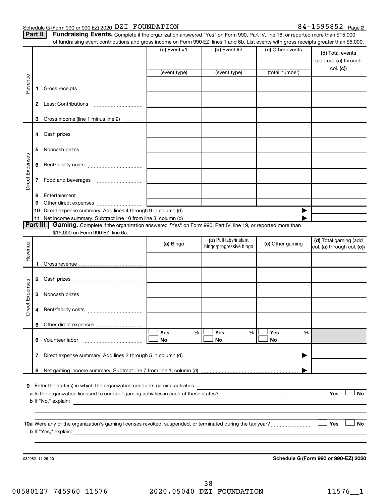#### Schedule G (Form 990 or 990-EZ) 2020  $\overline{\text{DZI}}$  FOUNDATION  $84-1595852$  Page

**Part** 

| <b>II   Fundraising Events.</b> Complete if the organization answered "Yes" on Form 990, Part IV, line 18, or reported more than \$15,000 |
|-------------------------------------------------------------------------------------------------------------------------------------------|
| of fundraising event contributions and gross income on Form 990-EZ, lines 1 and 6b. List events with gross receipts greater than \$5,000. |

|                 |                | or fundraising event contributions and gross income on Form 990-EZ, lines T and 6D. List events with gross receipts greater than \$5,000.           | (a) Event $#1$    | $(b)$ Event #2                                   | (c) Other events | (d) Total events<br>(add col. (a) through           |
|-----------------|----------------|-----------------------------------------------------------------------------------------------------------------------------------------------------|-------------------|--------------------------------------------------|------------------|-----------------------------------------------------|
|                 |                |                                                                                                                                                     | (event type)      | (event type)                                     | (total number)   | col. (c)                                            |
| Revenue         | 1.             |                                                                                                                                                     |                   |                                                  |                  |                                                     |
|                 |                |                                                                                                                                                     |                   |                                                  |                  |                                                     |
|                 | 3              | Gross income (line 1 minus line 2)                                                                                                                  |                   |                                                  |                  |                                                     |
|                 | 4              |                                                                                                                                                     |                   |                                                  |                  |                                                     |
|                 | 5              |                                                                                                                                                     |                   |                                                  |                  |                                                     |
| Direct Expenses | 6              |                                                                                                                                                     |                   |                                                  |                  |                                                     |
|                 | 7              |                                                                                                                                                     |                   |                                                  |                  |                                                     |
|                 | 8<br>9         |                                                                                                                                                     |                   |                                                  |                  |                                                     |
|                 | 10             |                                                                                                                                                     |                   |                                                  |                  |                                                     |
|                 | 11<br>Part III | Gaming. Complete if the organization answered "Yes" on Form 990, Part IV, line 19, or reported more than                                            |                   |                                                  |                  |                                                     |
|                 |                | \$15,000 on Form 990-EZ, line 6a.                                                                                                                   |                   |                                                  |                  |                                                     |
| Revenue         |                |                                                                                                                                                     | (a) Bingo         | (b) Pull tabs/instant<br>bingo/progressive bingo | (c) Other gaming | (d) Total gaming (add<br>col. (a) through col. (c)) |
|                 | 1              |                                                                                                                                                     |                   |                                                  |                  |                                                     |
|                 | 2              |                                                                                                                                                     |                   |                                                  |                  |                                                     |
|                 | 3              |                                                                                                                                                     |                   |                                                  |                  |                                                     |
| Direct Expenses | 4              |                                                                                                                                                     |                   |                                                  |                  |                                                     |
|                 | 5              |                                                                                                                                                     |                   |                                                  |                  |                                                     |
|                 |                |                                                                                                                                                     | Yes<br>$\%$<br>No | Yes<br>%<br>No                                   | Yes<br>%<br>No   |                                                     |
|                 | 7              | Direct expense summary. Add lines 2 through 5 in column (d)                                                                                         |                   |                                                  | ▶                |                                                     |
|                 | 8              |                                                                                                                                                     |                   |                                                  |                  |                                                     |
|                 |                |                                                                                                                                                     |                   |                                                  |                  |                                                     |
|                 |                | 9 Enter the state(s) in which the organization conducts gaming activities:<br><b>b</b> If "No," explain:                                            |                   |                                                  |                  | Yes<br>No                                           |
|                 |                |                                                                                                                                                     |                   |                                                  |                  |                                                     |
|                 |                | <b>b</b> If "Yes," explain:<br><u> 1980 - John Stein, mars and de final and de final and de final and de final and de final and de final and de</u> |                   |                                                  |                  | Yes<br>No                                           |
|                 |                |                                                                                                                                                     |                   |                                                  |                  |                                                     |
|                 |                | 032082 11-25-20                                                                                                                                     |                   |                                                  |                  | Schedule G (Form 990 or 990-EZ) 2020                |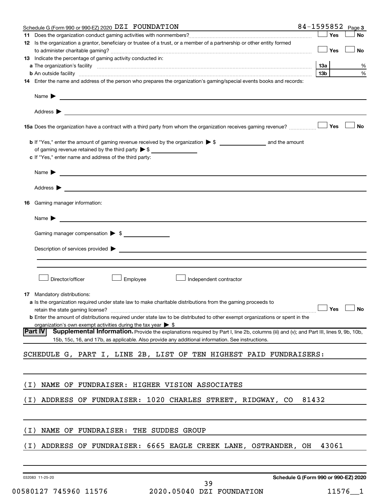|       | Schedule G (Form 990 or 990-EZ) 2020 DZI FOUNDATION                                                                                                                                                                                  |       |       | 84-1595852 Page 3 |
|-------|--------------------------------------------------------------------------------------------------------------------------------------------------------------------------------------------------------------------------------------|-------|-------|-------------------|
|       |                                                                                                                                                                                                                                      |       | Yes   | No                |
|       | 12 Is the organization a grantor, beneficiary or trustee of a trust, or a member of a partnership or other entity formed                                                                                                             |       |       |                   |
|       |                                                                                                                                                                                                                                      |       | Yes   | No                |
|       | <b>13</b> Indicate the percentage of gaming activity conducted in:                                                                                                                                                                   |       |       |                   |
|       |                                                                                                                                                                                                                                      | 1За   |       | %                 |
|       | <b>b</b> An outside facility with an account of the control of the control of the control of the control of the control of the control of the control of the control of the control of the control of the control of the control of  | 13b   |       | %                 |
|       | 14 Enter the name and address of the person who prepares the organization's gaming/special events books and records:                                                                                                                 |       |       |                   |
|       | Name <b>Decision of the Community of the Community of the Community of the Community of the Community of the Community of the Community of the Community of the Community of the Community of the Community of the Community of </b> |       |       |                   |
|       |                                                                                                                                                                                                                                      |       |       |                   |
|       | 15a Does the organization have a contract with a third party from whom the organization receives gaming revenue?                                                                                                                     |       | Yes   | <b>No</b>         |
|       |                                                                                                                                                                                                                                      |       |       |                   |
|       | of gaming revenue retained by the third party $\triangleright$ \$                                                                                                                                                                    |       |       |                   |
|       | c If "Yes," enter name and address of the third party:                                                                                                                                                                               |       |       |                   |
|       |                                                                                                                                                                                                                                      |       |       |                   |
|       |                                                                                                                                                                                                                                      |       |       |                   |
|       | Address >                                                                                                                                                                                                                            |       |       |                   |
| 16.   | Gaming manager information:                                                                                                                                                                                                          |       |       |                   |
|       | Name $\blacktriangleright$<br><u> 1980 - Jan Samuel Barbara, martin di shekara 1980 - André Samuel Barbara, mashrida a shekara 1980 - André Sa</u>                                                                                   |       |       |                   |
|       |                                                                                                                                                                                                                                      |       |       |                   |
|       | Gaming manager compensation > \$                                                                                                                                                                                                     |       |       |                   |
|       | Description of services provided > example and the contract of the contract of the contract of the contract of                                                                                                                       |       |       |                   |
|       |                                                                                                                                                                                                                                      |       |       |                   |
|       |                                                                                                                                                                                                                                      |       |       |                   |
|       | Director/officer<br>Employee<br>Independent contractor                                                                                                                                                                               |       |       |                   |
|       |                                                                                                                                                                                                                                      |       |       |                   |
|       | 17 Mandatory distributions:                                                                                                                                                                                                          |       |       |                   |
|       | <b>a</b> Is the organization required under state law to make charitable distributions from the gaming proceeds to                                                                                                                   |       |       |                   |
|       | retain the state gaming license? $\Box$ No                                                                                                                                                                                           |       |       |                   |
|       | <b>b</b> Enter the amount of distributions required under state law to be distributed to other exempt organizations or spent in the                                                                                                  |       |       |                   |
|       | organization's own exempt activities during the tax year $\triangleright$ \$<br>Supplemental Information. Provide the explanations required by Part I, line 2b, columns (iii) and (v); and Part III, lines 9, 9b, 10b,<br> Part IV   |       |       |                   |
|       | 15b, 15c, 16, and 17b, as applicable. Also provide any additional information. See instructions.                                                                                                                                     |       |       |                   |
|       | SCHEDULE G, PART I, LINE 2B, LIST OF TEN HIGHEST PAID FUNDRAISERS:                                                                                                                                                                   |       |       |                   |
|       |                                                                                                                                                                                                                                      |       |       |                   |
| ( I ) | NAME OF FUNDRAISER: HIGHER VISION ASSOCIATES                                                                                                                                                                                         |       |       |                   |
|       |                                                                                                                                                                                                                                      |       |       |                   |
| ( I ) | ADDRESS OF FUNDRAISER: 1020 CHARLES STREET, RIDGWAY, CO                                                                                                                                                                              | 81432 |       |                   |
|       |                                                                                                                                                                                                                                      |       |       |                   |
| ( I ) | NAME OF FUNDRAISER: THE SUDDES GROUP                                                                                                                                                                                                 |       |       |                   |
|       |                                                                                                                                                                                                                                      |       |       |                   |
| ( I ) | ADDRESS OF FUNDRAISER: 6665 EAGLE CREEK LANE, OSTRANDER, OH                                                                                                                                                                          |       | 43061 |                   |
|       |                                                                                                                                                                                                                                      |       |       |                   |
|       |                                                                                                                                                                                                                                      |       |       |                   |

032083 11-25-20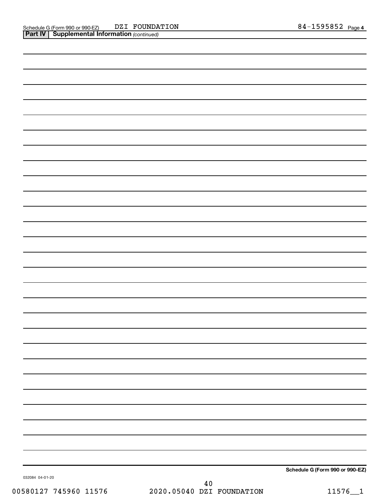| Schedule G (Form 990 or 990-EZ) |
|---------------------------------|

032084 04-01-20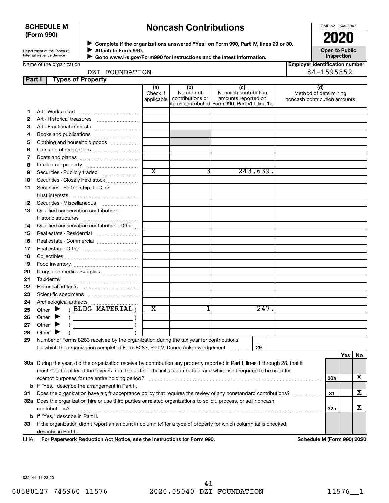#### **SCHEDULE M (Form 990)**

# **Noncash Contributions**

OMB No. 1545-0047

Department of the Treasury Internal Revenue Service

◆ Complete if the organizations answered "Yes" on Form 990, Part IV, lines 29 or 30.<br>● Complete if the organizations answered "Yes" on Form 990, Part IV, lines 29 or 30. **Attach to Form 990.**  $\blacktriangleright$ 

**Open to Public Inspection**

 **Go to www.irs.gov/Form990 for instructions and the latest information.**  $\blacktriangleright$ 

**Employer identification number**

| FOUNDATION | <b>EQEOE?</b> |
|------------|---------------|
| DZI        | 2034          |
|            |               |

| Part | <b>Types of Property</b>                                                                                                       |                         |                               |                                                 |                              |            |     |     |
|------|--------------------------------------------------------------------------------------------------------------------------------|-------------------------|-------------------------------|-------------------------------------------------|------------------------------|------------|-----|-----|
|      |                                                                                                                                | (a)                     | (b)                           | (c)                                             | (d)                          |            |     |     |
|      |                                                                                                                                | Check if                | Number of<br>contributions or | Noncash contribution<br>amounts reported on     | Method of determining        |            |     |     |
|      |                                                                                                                                | applicable              |                               | litems contributed Form 990, Part VIII, line 1g | noncash contribution amounts |            |     |     |
| 1    |                                                                                                                                |                         |                               |                                                 |                              |            |     |     |
| 2    |                                                                                                                                |                         |                               |                                                 |                              |            |     |     |
| З    | Art - Fractional interests                                                                                                     |                         |                               |                                                 |                              |            |     |     |
| 4    | Books and publications                                                                                                         |                         |                               |                                                 |                              |            |     |     |
| 5    | Clothing and household goods                                                                                                   |                         |                               |                                                 |                              |            |     |     |
| 6    |                                                                                                                                |                         |                               |                                                 |                              |            |     |     |
| 7    |                                                                                                                                |                         |                               |                                                 |                              |            |     |     |
| 8    |                                                                                                                                |                         |                               |                                                 |                              |            |     |     |
| 9    | Securities - Publicly traded                                                                                                   | $\overline{\text{x}}$   | 31                            | 243,639.                                        |                              |            |     |     |
| 10   | Securities - Closely held stock                                                                                                |                         |                               |                                                 |                              |            |     |     |
| 11   | Securities - Partnership, LLC, or                                                                                              |                         |                               |                                                 |                              |            |     |     |
|      | trust interests                                                                                                                |                         |                               |                                                 |                              |            |     |     |
| 12   |                                                                                                                                |                         |                               |                                                 |                              |            |     |     |
| 13   | Qualified conservation contribution -                                                                                          |                         |                               |                                                 |                              |            |     |     |
|      |                                                                                                                                |                         |                               |                                                 |                              |            |     |     |
| 14   | Qualified conservation contribution - Other                                                                                    |                         |                               |                                                 |                              |            |     |     |
| 15   |                                                                                                                                |                         |                               |                                                 |                              |            |     |     |
| 16   | Real estate - Commercial                                                                                                       |                         |                               |                                                 |                              |            |     |     |
| 17   |                                                                                                                                |                         |                               |                                                 |                              |            |     |     |
| 18   |                                                                                                                                |                         |                               |                                                 |                              |            |     |     |
| 19   |                                                                                                                                |                         |                               |                                                 |                              |            |     |     |
| 20   | Drugs and medical supplies                                                                                                     |                         |                               |                                                 |                              |            |     |     |
| 21   |                                                                                                                                |                         |                               |                                                 |                              |            |     |     |
| 22   | Historical artifacts                                                                                                           |                         |                               |                                                 |                              |            |     |     |
| 23   |                                                                                                                                |                         |                               |                                                 |                              |            |     |     |
| 24   |                                                                                                                                |                         |                               |                                                 |                              |            |     |     |
| 25   | (BLDG MATERIAL)<br>Other $\blacktriangleright$                                                                                 | $\overline{\textbf{x}}$ |                               | 247.                                            |                              |            |     |     |
| 26   | Other<br>▸                                                                                                                     |                         |                               |                                                 |                              |            |     |     |
| 27   | Other $\blacktriangleright$                                                                                                    |                         |                               |                                                 |                              |            |     |     |
| 28   | Other                                                                                                                          |                         |                               |                                                 |                              |            |     |     |
| 29   | Number of Forms 8283 received by the organization during the tax year for contributions                                        |                         |                               |                                                 |                              |            |     |     |
|      | for which the organization completed Form 8283, Part V, Donee Acknowledgement                                                  |                         |                               | 29                                              |                              |            |     |     |
|      |                                                                                                                                |                         |                               |                                                 |                              |            | Yes | No. |
|      | 30a During the year, did the organization receive by contribution any property reported in Part I, lines 1 through 28, that it |                         |                               |                                                 |                              |            |     |     |
|      | must hold for at least three years from the date of the initial contribution, and which isn't required to be used for          |                         |                               |                                                 |                              |            |     |     |
|      |                                                                                                                                |                         |                               |                                                 |                              | <b>30a</b> |     | x   |
|      | <b>b</b> If "Yes," describe the arrangement in Part II.                                                                        |                         |                               |                                                 |                              |            |     |     |
| 31   | Does the organization have a gift acceptance policy that requires the review of any nonstandard contributions?                 |                         |                               |                                                 |                              | 31         |     | x   |
|      | 32a Does the organization hire or use third parties or related organizations to solicit, process, or sell noncash              |                         |                               |                                                 |                              |            |     |     |
|      |                                                                                                                                |                         |                               |                                                 |                              | 32a        |     | x   |
|      | <b>b</b> If "Yes," describe in Part II.                                                                                        |                         |                               |                                                 |                              |            |     |     |
| 33   | If the organization didn't report an amount in column (c) for a type of property for which column (a) is checked,              |                         |                               |                                                 |                              |            |     |     |
|      | describe in Part II.                                                                                                           |                         |                               |                                                 |                              |            |     |     |

**For Paperwork Reduction Act Notice, see the Instructions for Form 990. Schedule M (Form 990) 2020** LHA

032141 11-23-20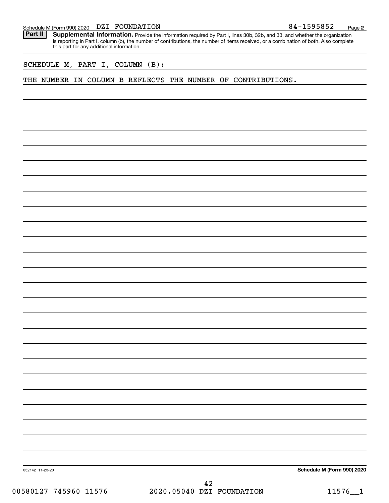#### DZI FOUNDATION

Schedule M (Form 990) 2020 DZI FOUNDATION<br>**Part II** Supplemental Information, Provide the information required by Part I. lines 30b, 32b, and 33, and whether the orga Part II | Supplemental Information. Provide the information required by Part I, lines 30b, 32b, and 33, and whether the organization is reporting in Part I, column (b), the number of contributions, the number of items received, or a combination of both. Also complete this part for any additional information.

SCHEDULE M, PART I, COLUMN (B):

#### THE NUMBER IN COLUMN B REFLECTS THE NUMBER OF CONTRIBUTIONS.

**Schedule M (Form 990) 2020**

032142 11-23-20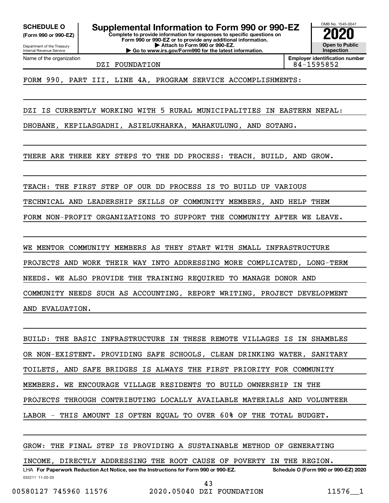Department of the Treasury **(Form 990 or 990-EZ)**

Name of the organization

Internal Revenue Service

**Complete to provide information for responses to specific questions on Form 990 or 990-EZ or to provide any additional information. | Attach to Form 990 or 990-EZ. | Go to www.irs.gov/Form990 for the latest information. SCHEDULE O Supplemental Information to Form 990 or 990-EZ 2020**<br>(Form 990 or 990-EZ) Complete to provide information for responses to specific questions on

OMB No. 1545-0047 **Open to Public Inspection**

DZI FOUNDATION 84-1595852

**Employer identification number**

FORM 990, PART III, LINE 4A, PROGRAM SERVICE ACCOMPLISHMENTS:

DZI IS CURRENTLY WORKING WITH 5 RURAL MUNICIPALITIES IN EASTERN NEPAL:

DHOBANE, KEPILASGADHI, ASIELUKHARKA, MAHAKULUNG, AND SOTANG.

THERE ARE THREE KEY STEPS TO THE DD PROCESS: TEACH, BUILD, AND GROW.

TEACH: THE FIRST STEP OF OUR DD PROCESS IS TO BUILD UP VARIOUS

TECHNICAL AND LEADERSHIP SKILLS OF COMMUNITY MEMBERS, AND HELP THEM

FORM NON-PROFIT ORGANIZATIONS TO SUPPORT THE COMMUNITY AFTER WE LEAVE.

WE MENTOR COMMUNITY MEMBERS AS THEY START WITH SMALL INFRASTRUCTURE PROJECTS AND WORK THEIR WAY INTO ADDRESSING MORE COMPLICATED, LONG-TERM NEEDS. WE ALSO PROVIDE THE TRAINING REQUIRED TO MANAGE DONOR AND COMMUNITY NEEDS SUCH AS ACCOUNTING, REPORT WRITING, PROJECT DEVELOPMENT AND EVALUATION.

BUILD: THE BASIC INFRASTRUCTURE IN THESE REMOTE VILLAGES IS IN SHAMBLES OR NON-EXISTENT. PROVIDING SAFE SCHOOLS, CLEAN DRINKING WATER, SANITARY TOILETS, AND SAFE BRIDGES IS ALWAYS THE FIRST PRIORITY FOR COMMUNITY MEMBERS. WE ENCOURAGE VILLAGE RESIDENTS TO BUILD OWNERSHIP IN THE PROJECTS THROUGH CONTRIBUTING LOCALLY AVAILABLE MATERIALS AND VOLUNTEER LABOR - THIS AMOUNT IS OFTEN EQUAL TO OVER 60% OF THE TOTAL BUDGET.

032211 11-20-20 **For Paperwork Reduction Act Notice, see the Instructions for Form 990 or 990-EZ. Schedule O (Form 990 or 990-EZ) 2020** LHA GROW: THE FINAL STEP IS PROVIDING A SUSTAINABLE METHOD OF GENERATING INCOME, DIRECTLY ADDRESSING THE ROOT CAUSE OF POVERTY IN THE REGION. 00580127 745960 11576 2020.05040 DZI FOUNDATION 11576\_\_1 43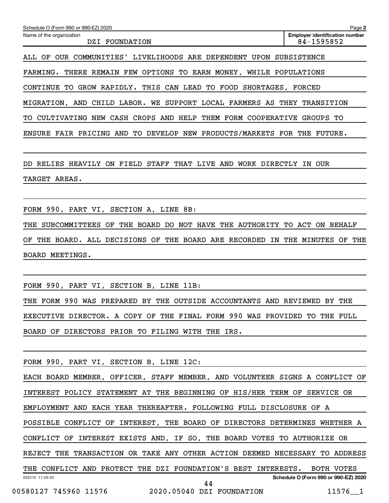| Schedule O (Form 990 or 990-EZ) 2020                                         | Page 2                                              |
|------------------------------------------------------------------------------|-----------------------------------------------------|
| Name of the organization<br>DZI FOUNDATION                                   | <b>Employer identification number</b><br>84-1595852 |
| LIVELIHOODS ARE DEPENDENT<br>OUR<br>COMMUNITIES'<br>OF<br>UPON .<br>ALL      | <b>SUBSISTENCE</b>                                  |
| FARMING. THERE REMAIN FEW OPTIONS<br>TO<br>EARN MONEY,                       | WHILE POPULATIONS                                   |
| GROW RAPIDLY. THIS CAN LEAD<br>CONTINUE<br>TO.<br>FOOD<br>TO.<br>SHORTAGES,  | FORCED                                              |
| MIGRATION, AND CHILD LABOR. WE SUPPORT LOCAL FARMERS AS THEY TRANSITION      |                                                     |
| CASH CROPS AND<br>HELP<br>THEM FORM COOPERATIVE<br>CULTIVATING<br>NEW<br>TO. | GROUPS TO                                           |
| DEVELOP NEW PRODUCTS/MARKETS FOR THE<br>ENSURE FAIR PRICING AND TO           | FUTURE.                                             |
|                                                                              |                                                     |

DD RELIES HEAVILY ON FIELD STAFF THAT LIVE AND WORK DIRECTLY IN OUR TARGET AREAS.

FORM 990, PART VI, SECTION A, LINE 8B:

THE SUBCOMMITTEES OF THE BOARD DO NOT HAVE THE AUTHORITY TO ACT ON BEHALF OF THE BOARD. ALL DECISIONS OF THE BOARD ARE RECORDED IN THE MINUTES OF THE BOARD MEETINGS.

FORM 990, PART VI, SECTION B, LINE 11B:

THE FORM 990 WAS PREPARED BY THE OUTSIDE ACCOUNTANTS AND REVIEWED BY THE EXECUTIVE DIRECTOR. A COPY OF THE FINAL FORM 990 WAS PROVIDED TO THE FULL BOARD OF DIRECTORS PRIOR TO FILING WITH THE IRS.

FORM 990, PART VI, SECTION B, LINE 12C:

032212 11-20-20 **Schedule O (Form 990 or 990-EZ) 2020** EACH BOARD MEMBER, OFFICER, STAFF MEMBER, AND VOLUNTEER SIGNS A CONFLICT OF INTEREST POLICY STATEMENT AT THE BEGINNING OF HIS/HER TERM OF SERVICE OR EMPLOYMENT AND EACH YEAR THEREAFTER. FOLLOWING FULL DISCLOSURE OF A POSSIBLE CONFLICT OF INTEREST, THE BOARD OF DIRECTORS DETERMINES WHETHER A CONFLICT OF INTEREST EXISTS AND, IF SO, THE BOARD VOTES TO AUTHORIZE OR REJECT THE TRANSACTION OR TAKE ANY OTHER ACTION DEEMED NECESSARY TO ADDRESS THE CONFLICT AND PROTECT THE DZI FOUNDATION'S BEST INTERESTS. BOTH VOTES 44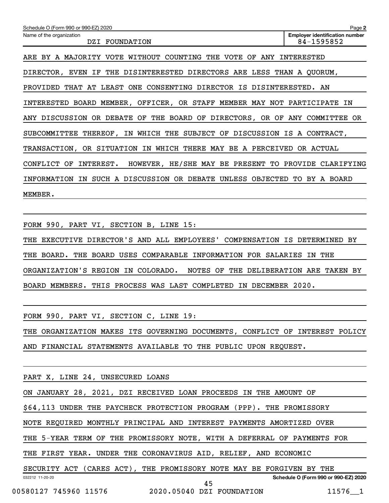| Schedule O (Form 990 or 990-EZ) 2020                                          | Page 2                                              |
|-------------------------------------------------------------------------------|-----------------------------------------------------|
| Name of the organization<br>DZI FOUNDATION                                    | <b>Employer identification number</b><br>84-1595852 |
| ARE BY A MAJORITY VOTE WITHOUT COUNTING THE VOTE OF<br>ANY                    | INTERESTED                                          |
| DIRECTOR, EVEN IF THE DISINTERESTED DIRECTORS ARE LESS THAN A QUORUM,         |                                                     |
| PROVIDED THAT AT LEAST ONE CONSENTING DIRECTOR IS DISINTERESTED. AN           |                                                     |
| INTERESTED BOARD MEMBER, OFFICER, OR STAFF MEMBER MAY NOT PARTICIPATE IN      |                                                     |
| ANY DISCUSSION OR DEBATE OF THE BOARD OF DIRECTORS, OR OF ANY COMMITTEE OR    |                                                     |
| SUBCOMMITTEE THEREOF, IN WHICH THE SUBJECT OF DISCUSSION IS A CONTRACT,       |                                                     |
| TRANSACTION, OR SITUATION IN WHICH THERE MAY BE A PERCEIVED OR ACTUAL         |                                                     |
| INTEREST. HOWEVER, HE/SHE MAY BE PRESENT TO PROVIDE CLARIFYING<br>CONFLICT OF |                                                     |
| SUCH A DISCUSSION OR DEBATE<br>UNLESS OBJECTED TO<br>INFORMATION IN           | BY A BOARD                                          |
| MEMBER.                                                                       |                                                     |

FORM 990, PART VI, SECTION B, LINE 15:

THE EXECUTIVE DIRECTOR'S AND ALL EMPLOYEES' COMPENSATION IS DETERMINED BY THE BOARD. THE BOARD USES COMPARABLE INFORMATION FOR SALARIES IN THE ORGANIZATION'S REGION IN COLORADO. NOTES OF THE DELIBERATION ARE TAKEN BY BOARD MEMBERS. THIS PROCESS WAS LAST COMPLETED IN DECEMBER 2020.

FORM 990, PART VI, SECTION C, LINE 19:

THE ORGANIZATION MAKES ITS GOVERNING DOCUMENTS, CONFLICT OF INTEREST POLICY AND FINANCIAL STATEMENTS AVAILABLE TO THE PUBLIC UPON REQUEST.

032212 11-20-20 **Schedule O (Form 990 or 990-EZ) 2020** PART X, LINE 24, UNSECURED LOANS ON JANUARY 28, 2021, DZI RECEIVED LOAN PROCEEDS IN THE AMOUNT OF \$64,113 UNDER THE PAYCHECK PROTECTION PROGRAM (PPP). THE PROMISSORY NOTE REQUIRED MONTHLY PRINCIPAL AND INTEREST PAYMENTS AMORTIZED OVER THE 5-YEAR TERM OF THE PROMISSORY NOTE, WITH A DEFERRAL OF PAYMENTS FOR THE FIRST YEAR. UNDER THE CORONAVIRUS AID, RELIEF, AND ECONOMIC SECURITY ACT (CARES ACT), THE PROMISSORY NOTE MAY BE FORGIVEN BY THE

45